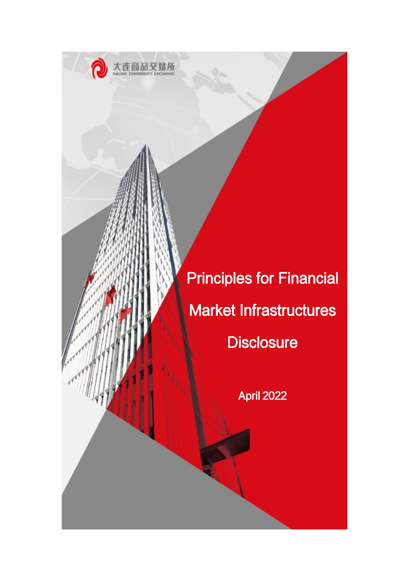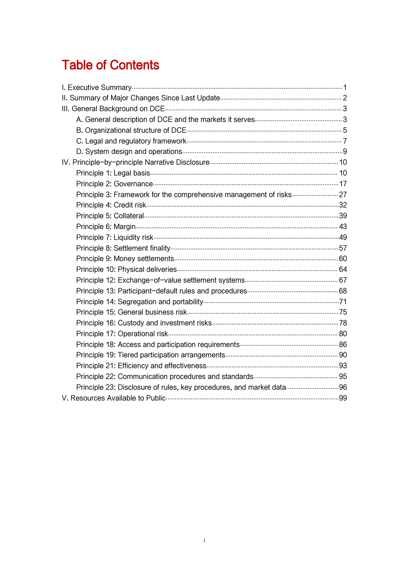# **Table of Contents**

| Principle 23: Disclosure of rules, key procedures, and market data 96 |  |
|-----------------------------------------------------------------------|--|
|                                                                       |  |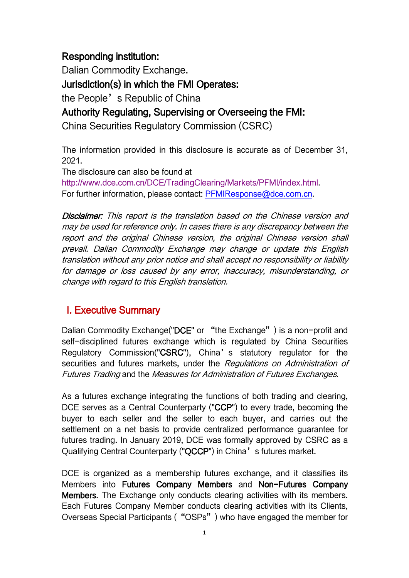# Responding institution:

Dalian Commodity Exchange. Jurisdiction(s) in which the FMI Operates: the People's Republic of China

Authority Regulating, Supervising or Overseeing the FMI:

China Securities Regulatory Commission (CSRC)

The information provided in this disclosure is accurate as of December 31, 2021.

The disclosure can also be found at

<http://www.dce.com.cn/DCE/TradingClearing/Markets/PFMI/index.html>. For further information, please contact: [PFMIResponse@dce.com.cn.](PFMIResponse@dce.com.cn)

Disclaimer: This report is the translation based on the Chinese version and may be used for reference only. In cases there is any discrepancy between the report and the original Chinese version, the original Chinese version shall prevail. Dalian Commodity Exchange may change or update this English translation without any prior notice and shall accept no responsibility or liability for damage or loss caused by any error, inaccuracy, misunderstanding, or change with regard to this English translation.

# <span id="page-2-0"></span>I. Executive Summary

Dalian Commodity Exchange("DCE" or "the Exchange") is a non-profit and self-disciplined futures exchange which is regulated by China Securities Regulatory Commission("CSRC"), China's statutory regulator for the securities and futures markets, under the Regulations on Administration of Futures Trading and the Measures for Administration of Futures Exchanges.

As a futures exchange integrating the functions of both trading and clearing, DCE serves as a Central Counterparty ("CCP") to every trade, becoming the buyer to each seller and the seller to each buyer, and carries out the settlement on a net basis to provide centralized performance guarantee for futures trading. In January 2019, DCE was formally approved by CSRC as a Qualifying Central Counterparty ("QCCP") in China's futures market.

DCE is organized as a membership futures exchange, and it classifies its Members into Futures Company Members and Non-Futures Company Members. The Exchange only conducts clearing activities with its members. Each Futures Company Member conducts clearing activities with its Clients, Overseas Special Participants ("OSPs") who have engaged the member for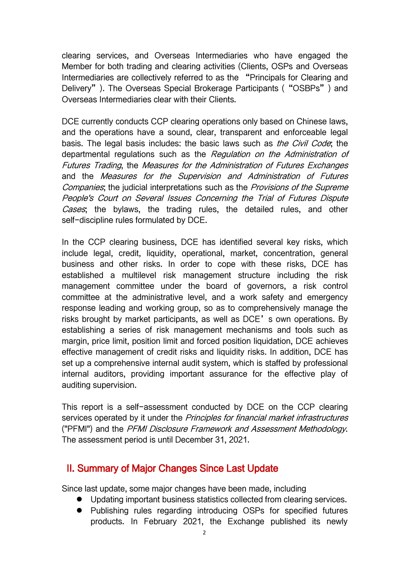clearing services, and Overseas Intermediaries who have engaged the Member for both trading and clearing activities (Clients, OSPs and Overseas Intermediaries are collectively referred to as the "Principals for Clearing and Delivery"). The Overseas Special Brokerage Participants ("OSBPs") and Overseas Intermediaries clear with their Clients.

DCE currently conducts CCP clearing operations only based on Chinese laws, and the operations have a sound, clear, transparent and enforceable legal basis. The legal basis includes: the basic laws such as *the Civil Code*; the departmental regulations such as the Regulation on the Administration of Futures Trading, the Measures for the Administration of Futures Exchanges and the Measures for the Supervision and Administration of Futures Companies; the judicial interpretations such as the Provisions of the Supreme People's Court on Several Issues Concerning the Trial of Futures Dispute Cases; the bylaws, the trading rules, the detailed rules, and other self-discipline rules formulated by DCE.

In the CCP clearing business, DCE has identified several key risks, which include legal, credit, liquidity, operational, market, concentration, general business and other risks. In order to cope with these risks, DCE has established a multilevel risk management structure including the risk management committee under the board of governors, a risk control committee at the administrative level, and a work safety and emergency response leading and working group, so as to comprehensively manage the risks brought by market participants, as well as DCE's own operations. By establishing a series of risk management mechanisms and tools such as margin, price limit, position limit and forced position liquidation, DCE achieves effective management of credit risks and liquidity risks. In addition, DCE has set up a comprehensive internal audit system, which is staffed by professional internal auditors, providing important assurance for the effective play of auditing supervision.

This report is a self-assessment conducted by DCE on the CCP clearing services operated by it under the *Principles for financial market infrastructures* ("PFMI") and the PFMI Disclosure Framework and Assessment Methodology. The assessment period is until December 31, 2021.

### <span id="page-3-0"></span>II. Summary of Major Changes Since Last Update

Since last update, some major changes have been made, including

- Updating important business statistics collected from clearing services.
- Publishing rules regarding introducing OSPs for specified futures products. In February 2021, the Exchange published its newly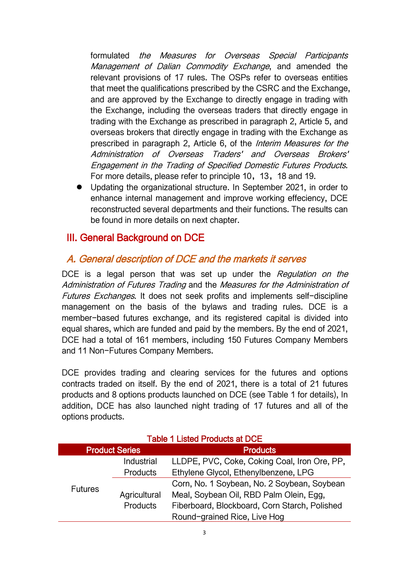formulated the Measures for Overseas Special Participants Management of Dalian Commodity Exchange, and amended the relevant provisions of 17 rules. The OSPs refer to overseas entities that meet the qualifications prescribed by the CSRC and the Exchange, and are approved by the Exchange to directly engage in trading with the Exchange, including the overseas traders that directly engage in trading with the Exchange as prescribed in paragraph 2, Article 5, and overseas brokers that directly engage in trading with the Exchange as prescribed in paragraph 2, Article 6, of the *Interim Measures for the* Administration of Overseas Traders' and Overseas Brokers' Engagement in the Trading of Specified Domestic Futures Products. For more details, please refer to principle 10, 13, 18 and 19.

 Updating the organizational structure. In September 2021, in order to enhance internal management and improve working effeciency, DCE reconstructed several departments and their functions. The results can be found in more details on next chapter.

### <span id="page-4-0"></span>III. General Background on DCE

### <span id="page-4-1"></span>A. General description of DCE and the markets it serves

DCE is a legal person that was set up under the Regulation on the Administration of Futures Trading and the Measures for the Administration of Futures Exchanges. It does not seek profits and implements self-discipline management on the basis of the bylaws and trading rules. DCE is a member-based futures exchange, and its registered capital is divided into equal shares, which are funded and paid by the members. By the end of 2021, DCE had a total of 161 members, including 150 Futures Company Members and 11 Non-Futures Company Members.

DCE provides trading and clearing services for the futures and options contracts traded on itself. By the end of 2021, there is a total of 21 futures products and 8 options products launched on DCE (see Table 1 for details). In addition, DCE has also launched night trading of 17 futures and all of the options products.

| <b>Product Series</b> |                 | <b>Products</b>                               |  |
|-----------------------|-----------------|-----------------------------------------------|--|
| <b>Futures</b>        | Industrial      | LLDPE, PVC, Coke, Coking Coal, Iron Ore, PP,  |  |
|                       | <b>Products</b> | Ethylene Glycol, Ethenylbenzene, LPG          |  |
|                       |                 | Corn, No. 1 Soybean, No. 2 Soybean, Soybean   |  |
|                       | Agricultural    | Meal, Soybean Oil, RBD Palm Olein, Egg,       |  |
|                       | <b>Products</b> | Fiberboard, Blockboard, Corn Starch, Polished |  |
|                       |                 | Round-grained Rice, Live Hog                  |  |

#### Table 1 Listed Products at DCE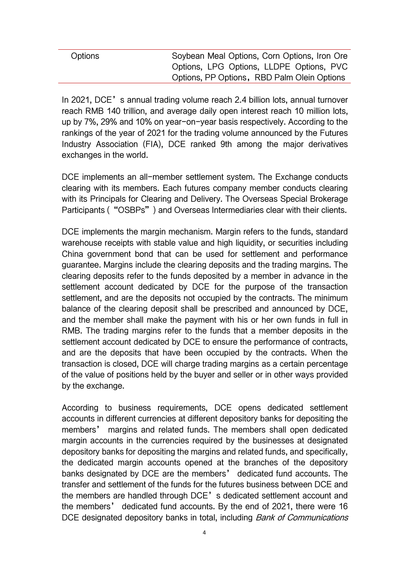| Options | Soybean Meal Options, Corn Options, Iron Ore |
|---------|----------------------------------------------|
|         | Options, LPG Options, LLDPE Options, PVC     |
|         | Options, PP Options, RBD Palm Olein Options  |

In 2021, DCE's annual trading volume reach 2.4 billion lots, annual turnover reach RMB 140 trillion, and average daily open interest reach 10 million lots, up by 7%, 29% and 10% on year-on-year basis respectively. According to the rankings of the year of 2021 for the trading volume announced by the Futures Industry Association (FIA), DCE ranked 9th among the major derivatives exchanges in the world.

DCE implements an all-member settlement system. The Exchange conducts clearing with its members. Each futures company member conducts clearing with its Principals for Clearing and Delivery. The Overseas Special Brokerage Participants ("OSBPs") and Overseas Intermediaries clear with their clients.

DCE implements the margin mechanism. Margin refers to the funds, standard warehouse receipts with stable value and high liquidity, or securities including China government bond that can be used for settlement and performance guarantee. Margins include the clearing deposits and the trading margins. The clearing deposits refer to the funds deposited by a member in advance in the settlement account dedicated by DCE for the purpose of the transaction settlement, and are the deposits not occupied by the contracts. The minimum balance of the clearing deposit shall be prescribed and announced by DCE, and the member shall make the payment with his or her own funds in full in RMB. The trading margins refer to the funds that a member deposits in the settlement account dedicated by DCE to ensure the performance of contracts, and are the deposits that have been occupied by the contracts. When the transaction is closed, DCE will charge trading margins as a certain percentage of the value of positions held by the buyer and seller or in other ways provided by the exchange.

According to business requirements, DCE opens dedicated settlement accounts in different currencies at different depository banks for depositing the members' margins and related funds. The members shall open dedicated margin accounts in the currencies required by the businesses at designated depository banks for depositing the margins and related funds, and specifically, the dedicated margin accounts opened at the branches of the depository banks designated by DCE are the members' dedicated fund accounts. The transfer and settlement of the funds for the futures business between DCE and the members are handled through DCE's dedicated settlement account and the members' dedicated fund accounts. By the end of 2021, there were 16 DCE designated depository banks in total, including *Bank of Communications*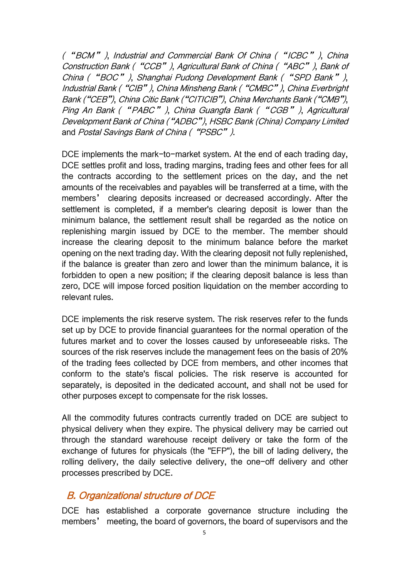("BCM"), Industrial and Commercial Bank Of China ("ICBC"), China Construction Bank ("CCB"), Agricultural Bank of China ("ABC"), Bank of China ("BOC"), Shanghai Pudong Development Bank ("SPD Bank"), Industrial Bank ("CIB"), China Minsheng Bank ("CMBC"), China Everbright Bank ("CEB"), China Citic Bank ("CITICIB"), China Merchants Bank ("CMB"), Ping An Bank ("PABC"), China Guangfa Bank ("CGB"), Agricultural Development Bank of China ("ADBC"), HSBC Bank (China) Company Limited and Postal Savings Bank of China ("PSBC").

DCE implements the mark-to-market system. At the end of each trading day, DCE settles profit and loss, trading margins, trading fees and other fees for all the contracts according to the settlement prices on the day, and the net amounts of the receivables and payables will be transferred at a time, with the members' clearing deposits increased or decreased accordingly. After the settlement is completed, if a member's clearing deposit is lower than the minimum balance, the settlement result shall be regarded as the notice on replenishing margin issued by DCE to the member. The member should increase the clearing deposit to the minimum balance before the market opening on the next trading day. With the clearing deposit not fully replenished, if the balance is greater than zero and lower than the minimum balance, it is forbidden to open a new position; if the clearing deposit balance is less than zero, DCE will impose forced position liquidation on the member according to relevant rules.

DCE implements the risk reserve system. The risk reserves refer to the funds set up by DCE to provide financial guarantees for the normal operation of the futures market and to cover the losses caused by unforeseeable risks. The sources of the risk reserves include the management fees on the basis of 20% of the trading fees collected by DCE from members, and other incomes that conform to the state's fiscal policies. The risk reserve is accounted for separately, is deposited in the dedicated account, and shall not be used for other purposes except to compensate for the risk losses.

All the commodity futures contracts currently traded on DCE are subject to physical delivery when they expire. The physical delivery may be carried out through the standard warehouse receipt delivery or take the form of the exchange of futures for physicals (the "EFP"), the bill of lading delivery, the rolling delivery, the daily selective delivery, the one-off delivery and other processes prescribed by DCE.

### <span id="page-6-0"></span>B. Organizational structure of DCE

DCE has established a corporate governance structure including the members' meeting, the board of governors, the board of supervisors and the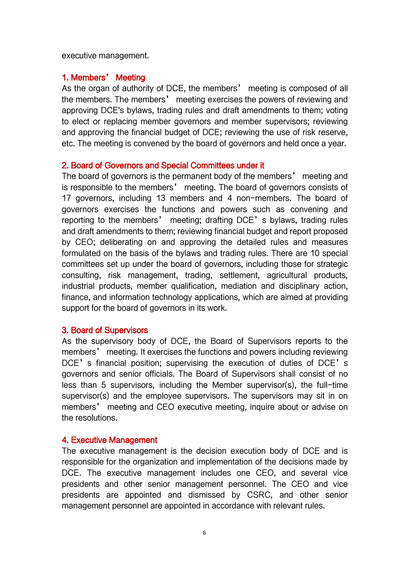executive management.

#### 1. Members' Meeting

As the organ of authority of DCE, the members' meeting is composed of all the members. The members' meeting exercises the powers of reviewing and approving DCE's bylaws, trading rules and draft amendments to them; voting to elect or replacing member governors and member supervisors; reviewing and approving the financial budget of DCE; reviewing the use of risk reserve, etc. The meeting is convened by the board of governors and held once a year.

#### 2. Board of Governors and Special Committees under it

The board of governors is the permanent body of the members' meeting and is responsible to the members' meeting. The board of governors consists of 17 governors, including 13 members and 4 non-members. The board of governors exercises the functions and powers such as convening and reporting to the members' meeting; drafting DCE's bylaws, trading rules and draft amendments to them; reviewing financial budget and report proposed by CEO; deliberating on and approving the detailed rules and measures formulated on the basis of the bylaws and trading rules. There are 10 special committees set up under the board of governors, including those for strategic consulting, risk management, trading, settlement, agricultural products, industrial products, member qualification, mediation and disciplinary action, finance, and information technology applications, which are aimed at providing support for the board of governors in its work.

#### 3. Board of Supervisors

As the supervisory body of DCE, the Board of Supervisors reports to the members' meeting. It exercises the functions and powers including reviewing DCE's financial position; supervising the execution of duties of DCE's governors and senior officials. The Board of Supervisors shall consist of no less than 5 supervisors, including the Member supervisor(s), the full-time supervisor(s) and the employee supervisors. The supervisors may sit in on members' meeting and CEO executive meeting, inquire about or advise on the resolutions.

#### 4. Executive Management

The executive management is the decision execution body of DCE and is responsible for the organization and implementation of the decisions made by DCE. The executive management includes one CEO, and several vice presidents and other senior management personnel. The CEO and vice presidents are appointed and dismissed by CSRC, and other senior management personnel are appointed in accordance with relevant rules.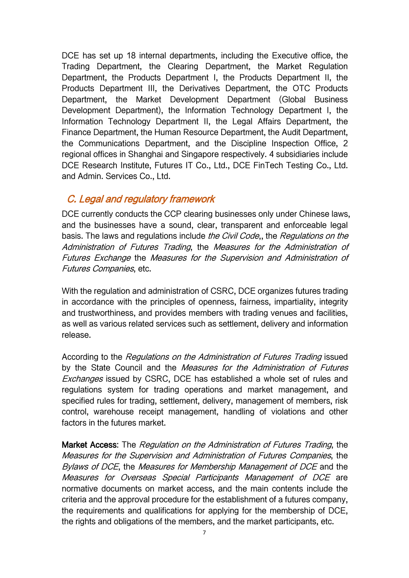DCE has set up 18 internal departments, including the Executive office, the Trading Department, the Clearing Department, the Market Regulation Department, the Products Department I, the Products Department II, the Products Department III, the Derivatives Department, the OTC Products Department, the Market Development Department (Global Business Development Department), the Information Technology Department I, the Information Technology Department II, the Legal Affairs Department, the Finance Department, the Human Resource Department, the Audit Department, the Communications Department, and the Discipline Inspection Office, 2 regional offices in Shanghai and Singapore respectively. 4 subsidiaries include DCE Research Institute, Futures IT Co., Ltd., DCE FinTech Testing Co., Ltd. and Admin. Services Co., Ltd.

### <span id="page-8-0"></span>C. Legal and regulatory framework

DCE currently conducts the CCP clearing businesses only under Chinese laws, and the businesses have a sound, clear, transparent and enforceable legal basis. The laws and regulations include the Civil Code,, the Regulations on the Administration of Futures Trading, the Measures for the Administration of Futures Exchange the Measures for the Supervision and Administration of Futures Companies, etc.

With the regulation and administration of CSRC, DCE organizes futures trading in accordance with the principles of openness, fairness, impartiality, integrity and trustworthiness, and provides members with trading venues and facilities, as well as various related services such as settlement, delivery and information release.

According to the Regulations on the Administration of Futures Trading issued by the State Council and the Measures for the Administration of Futures Exchanges issued by CSRC, DCE has established a whole set of rules and regulations system for trading operations and market management, and specified rules for trading, settlement, delivery, management of members, risk control, warehouse receipt management, handling of violations and other factors in the futures market.

Market Access: The Regulation on the Administration of Futures Trading, the Measures for the Supervision and Administration of Futures Companies, the Bylaws of DCE, the Measures for Membership Management of DCE and the Measures for Overseas Special Participants [Management](http://www.dce.com.cn/DCE/RulesRegulation/6146719/6146731/6146739/6269159/index.html) of DCE are normative documents on market access, and the main contents include the criteria and the approval procedure for the establishment of a futures company, the requirements and qualifications for applying for the membership of DCE, the rights and obligations of the members, and the market participants, etc.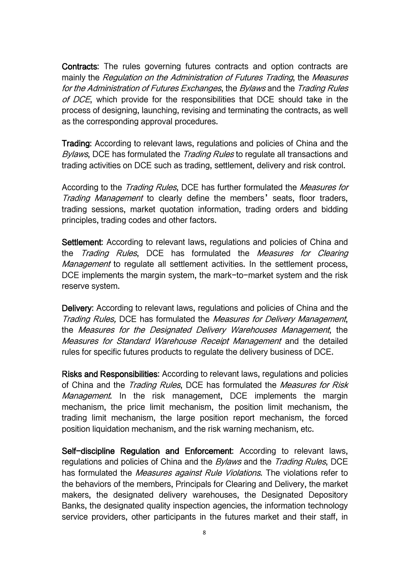Contracts: The rules governing futures contracts and option contracts are mainly the Regulation on the Administration of Futures Trading, the Measures for the Administration of Futures Exchanges, the Bylaws and the Trading Rules of DCE, which provide for the responsibilities that DCE should take in the process of designing, launching, revising and terminating the contracts, as well as the corresponding approval procedures.

Trading: According to relevant laws, regulations and policies of China and the Bylaws, DCE has formulated the *Trading Rules* to regulate all transactions and trading activities on DCE such as trading, settlement, delivery and risk control.

According to the *Trading Rules*, DCE has further formulated the *Measures for* Trading Management to clearly define the members' seats, floor traders, trading sessions, market quotation information, trading orders and bidding principles, trading codes and other factors.

Settlement: According to relevant laws, regulations and policies of China and the *Trading Rules*, DCE has formulated the *Measures for Clearing Management* to regulate all settlement activities. In the settlement process, DCE implements the margin system, the mark-to-market system and the risk reserve system.

Delivery: According to relevant laws, regulations and policies of China and the Trading Rules, DCE has formulated the Measures for Delivery Management, the Measures for the Designated Delivery Warehouses Management, the Measures for Standard Warehouse Receipt Management and the detailed rules for specific futures products to regulate the delivery business of DCE.

Risks and Responsibilities: According to relevant laws, regulations and policies of China and the *Trading Rules*, DCE has formulated the *Measures for Risk* Management. In the risk management, DCE implements the margin mechanism, the price limit mechanism, the position limit mechanism, the trading limit mechanism, the large position report mechanism, the forced position liquidation mechanism, and the risk warning mechanism, etc.

Self-discipline Regulation and Enforcement: According to relevant laws, regulations and policies of China and the *Bylaws* and the *Trading Rules*, DCE has formulated the *Measures against Rule Violations*. The violations refer to the behaviors of the members, Principals for Clearing and Delivery, the market makers, the designated delivery warehouses, the Designated Depository Banks, the designated quality inspection agencies, the information technology service providers, other participants in the futures market and their staff, in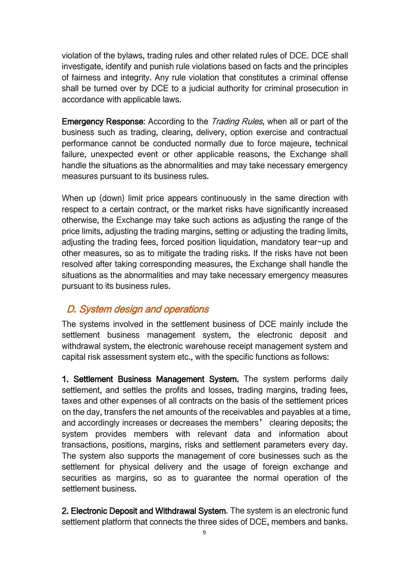violation of the bylaws, trading rules and other related rules of DCE. DCE shall investigate, identify and punish rule violations based on facts and the principles of fairness and integrity. Any rule violation that constitutes a criminal offense shall be turned over by DCE to a judicial authority for criminal prosecution in accordance with applicable laws.

Emergency Response: According to the *Trading Rules*, when all or part of the business such as trading, clearing, delivery, option exercise and contractual performance cannot be conducted normally due to force majeure, technical failure, unexpected event or other applicable reasons, the Exchange shall handle the situations as the abnormalities and may take necessary emergency measures pursuant to its business rules.

When up (down) limit price appears continuously in the same direction with respect to a certain contract, or the market risks have significantly increased otherwise, the Exchange may take such actions as adjusting the range of the price limits, adjusting the trading margins, setting or adjusting the trading limits, adjusting the trading fees, forced position liquidation, mandatory tear-up and other measures, so as to mitigate the trading risks. If the risks have not been resolved after taking corresponding measures, the Exchange shall handle the situations as the abnormalities and may take necessary emergency measures pursuant to its business rules.

# <span id="page-10-0"></span>D. System design and operations

The systems involved in the settlement business of DCE mainly include the settlement business management system, the electronic deposit and withdrawal system, the electronic warehouse receipt management system and capital risk assessment system etc., with the specific functions as follows:

1. Settlement Business Management System. The system performs daily settlement, and settles the profits and losses, trading margins, trading fees, taxes and other expenses of all contracts on the basis of the settlement prices on the day, transfers the net amounts of the receivables and payables at a time, and accordingly increases or decreases the members' clearing deposits; the system provides members with relevant data and information about transactions, positions, margins, risks and settlement parameters every day. The system also supports the management of core businesses such as the settlement for physical delivery and the usage of foreign exchange and securities as margins, so as to guarantee the normal operation of the settlement business.

2. Electronic Deposit and Withdrawal System. The system is an electronic fund settlement platform that connects the three sides of DCE, members and banks.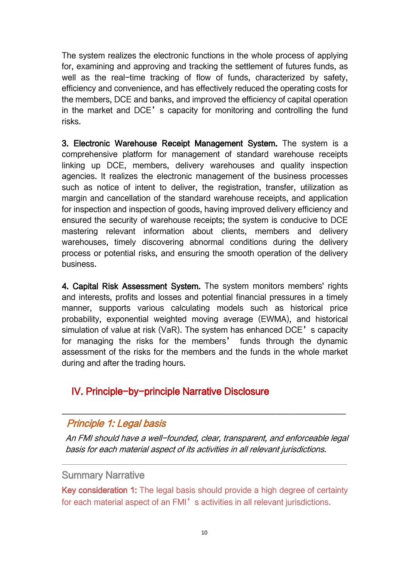The system realizes the electronic functions in the whole process of applying for, examining and approving and tracking the settlement of futures funds, as well as the real-time tracking of flow of funds, characterized by safety, efficiency and convenience, and has effectively reduced the operating costs for the members, DCE and banks, and improved the efficiency of capital operation in the market and DCE's capacity for monitoring and controlling the fund risks.

3. Electronic Warehouse Receipt Management System. The system is a comprehensive platform for management of standard warehouse receipts linking up DCE, members, delivery warehouses and quality inspection agencies. It realizes the electronic management of the business processes such as notice of intent to deliver, the registration, transfer, utilization as margin and cancellation of the standard warehouse receipts, and application for inspection and inspection of goods, having improved delivery efficiency and ensured the security of warehouse receipts; the system is conducive to DCE mastering relevant information about clients, members and delivery warehouses, timely discovering abnormal conditions during the delivery process or potential risks, and ensuring the smooth operation of the delivery business.

4. Capital Risk Assessment System. The system monitors members' rights and interests, profits and losses and potential financial pressures in a timely manner, supports various calculating models such as historical price probability, exponential weighted moving average (EWMA), and historical simulation of value at risk (VaR). The system has enhanced DCE's capacity for managing the risks for the members' funds through the dynamic assessment of the risks for the members and the funds in the whole market during and after the trading hours.

### <span id="page-11-0"></span>IV. Principle-by-principle Narrative Disclosure

#### <span id="page-11-1"></span>Principle 1: Legal basis

An FMI should have <sup>a</sup> well-founded, clear, transparent, and enforceable legal basis for each material aspect of its activities in all relevant jurisdictions.

\_\_\_\_\_\_\_\_\_\_\_\_\_\_\_\_\_\_\_\_\_\_\_\_\_\_\_\_\_\_\_\_\_\_\_\_\_\_\_\_\_\_\_\_\_\_\_\_\_\_\_\_\_\_\_\_\_\_\_\_\_\_\_\_\_\_\_\_\_\_\_

#### Summary Narrative

Key consideration 1: The legal basis should provide a high degree of certainty for each material aspect of an FMI's activities in all relevant jurisdictions.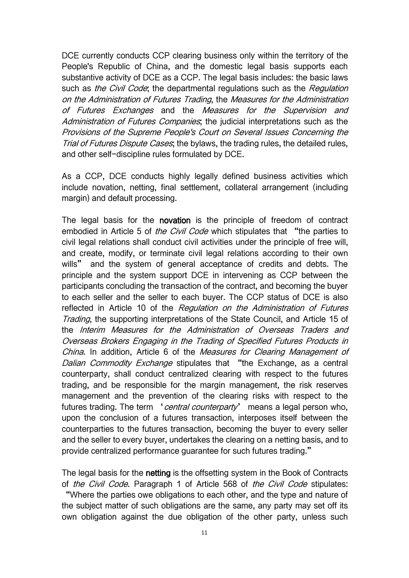DCE currently conducts CCP clearing business only within the territory of the People's Republic of China, and the domestic legal basis supports each substantive activity of DCE as a CCP. The legal basis includes: the basic laws such as *the Civil Code*; the departmental regulations such as the *Regulation* on the Administration of Futures Trading, the Measures for the Administration of Futures Exchanges and the Measures for the Supervision and Administration of Futures Companies, the judicial interpretations such as the Provisions of the Supreme People's Court on Several Issues Concerning the Trial of Futures Dispute Cases; the bylaws, the trading rules, the detailed rules, and other self-discipline rules formulated by DCE.

As a CCP, DCE conducts highly legally defined business activities which include novation, netting, final settlement, collateral arrangement (including margin) and default processing.

The legal basis for the **novation** is the principle of freedom of contract embodied in Article 5 of *the Civil Code* which stipulates that "the parties to civil legal relations shall conduct civil activities under the principle of free will, and create, modify, or terminate civil legal relations according to their own wills" and the system of general acceptance of credits and debts. The principle and the system support DCE in intervening as CCP between the participants concluding the transaction of the contract, and becoming the buyer to each seller and the seller to each buyer. The CCP status of DCE is also reflected in Article 10 of the Regulation on the Administration of Futures Trading, the supporting interpretations of the State Council, and Article 15 of the Interim Measures for the Administration of Overseas Traders and Overseas Brokers Engaging in the Trading of Specified Futures Products in China. In addition, Article 6 of the Measures for Clearing Management of Dalian Commodity Exchange stipulates that "the Exchange, as a central counterparty, shall conduct centralized clearing with respect to the futures trading, and be responsible for the margin management, the risk reserves management and the prevention of the clearing risks with respect to the futures trading. The term 'central counterparty' means a legal person who, upon the conclusion of a futures transaction, interposes itself between the counterparties to the futures transaction, becoming the buyer to every seller and the seller to every buyer, undertakes the clearing on a netting basis, and to provide centralized performance guarantee for such futures trading."

The legal basis for the netting is the offsetting system in the Book of Contracts of the Civil Code. Paragraph 1 of Article 568 of the Civil Code stipulates: "Where the parties owe obligations to each other, and the type and nature of the subject matter of such obligations are the same, any party may set off its own obligation against the due obligation of the other party, unless such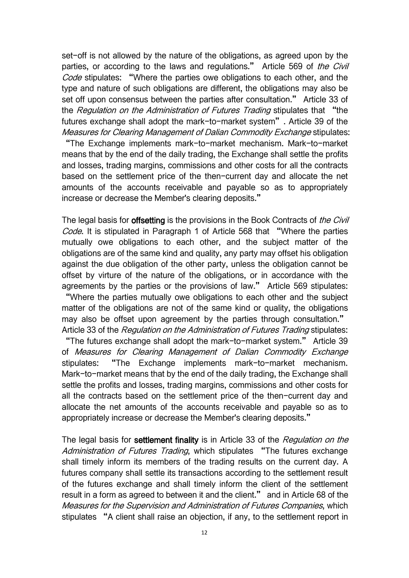set-off is not allowed by the nature of the obligations, as agreed upon by the parties, or according to the laws and regulations." Article 569 of the Civil Code stipulates: "Where the parties owe obligations to each other, and the type and nature of such obligations are different, the obligations may also be set off upon consensus between the parties after consultation." Article 33 of the Regulation on the Administration of Futures Trading stipulates that "the futures exchange shall adopt the mark-to-market system". Article 39 of the Measures for Clearing Management of Dalian Commodity Exchange stipulates:

"The Exchange implements mark-to-market mechanism. Mark-to-market means that by the end of the daily trading, the Exchange shall settle the profits and losses, trading margins, commissions and other costs for all the contracts based on the settlement price of the then-current day and allocate the net amounts of the accounts receivable and payable so as to appropriately increase or decrease the Member's clearing deposits."

The legal basis for **offsetting** is the provisions in the Book Contracts of *the Civil* Code. It is stipulated in Paragraph 1 of Article 568 that "Where the parties mutually owe obligations to each other, and the subject matter of the obligations are of the same kind and quality, any party may offset his obligation against the due obligation of the other party, unless the obligation cannot be offset by virture of the nature of the obligations, or in accordance with the agreements by the parties or the provisions of law." Article 569 stipulates: "Where the parties mutually owe obligations to each other and the subject matter of the obligations are not of the same kind or quality, the obligations may also be offset upon agreement by the parties through consultation." Article 33 of the Regulation on the Administration of Futures Trading stipulates:

"The futures exchange shall adopt the mark-to-market system." Article 39 of Measures for Clearing Management of Dalian Commodity Exchange stipulates: "The Exchange implements mark-to-market mechanism. Mark-to-market means that by the end of the daily trading, the Exchange shall settle the profits and losses, trading margins, commissions and other costs for all the contracts based on the settlement price of the then-current day and allocate the net amounts of the accounts receivable and payable so as to appropriately increase or decrease the Member's clearing deposits."

The legal basis for settlement finality is in Article 33 of the Regulation on the Administration of Futures Trading, which stipulates "The futures exchange shall timely inform its members of the trading results on the current day. A futures company shall settle its transactions according to the settlement result of the futures exchange and shall timely inform the client of the settlement result in a form as agreed to between it and the client." and in Article 68 of the Measures for the Supervision and Administration of Futures Companies, which stipulates "A client shall raise an objection, if any, to the settlement report in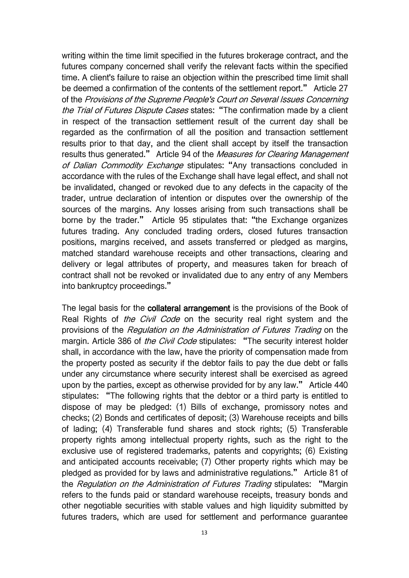writing within the time limit specified in the futures brokerage contract, and the futures company concerned shall verify the relevant facts within the specified time. A client's failure to raise an objection within the prescribed time limit shall be deemed a confirmation of the contents of the settlement report." Article 27 of the Provisions of the Supreme People's Court on Several Issues Concerning the Trial of Futures Dispute Cases states: "The confirmation made by a client in respect of the transaction settlement result of the current day shall be regarded as the confirmation of all the position and transaction settlement results prior to that day, and the client shall accept by itself the transaction results thus generated." Article 94 of the Measures for Clearing Management of Dalian Commodity Exchange stipulates: "Any transactions concluded in accordance with the rules of the Exchange shall have legal effect, and shall not be invalidated, changed or revoked due to any defects in the capacity of the trader, untrue declaration of intention or disputes over the ownership of the sources of the margins. Any losses arising from such transactions shall be borne by the trader." Article 95 stipulates that: "the Exchange organizes futures trading. Any concluded trading orders, closed futures transaction positions, margins received, and assets transferred or pledged as margins, matched standard warehouse receipts and other transactions, clearing and delivery or legal attributes of property, and measures taken for breach of contract shall not be revoked or invalidated due to any entry of any Members into bankruptcy proceedings."

The legal basis for the collateral arrangement is the provisions of the Book of Real Rights of the Civil Code on the security real right system and the provisions of the Regulation on the Administration of Futures Trading on the margin. Article 386 of the Civil Code stipulates: "The security interest holder shall, in accordance with the law, have the priority of compensation made from the property posted as security if the debtor fails to pay the due debt or falls under any circumstance where security interest shall be exercised as agreed upon by the parties, except as otherwise provided for by any law." Article 440 stipulates: "The following rights that the debtor or a third party is entitled to dispose of may be pledged: (1) Bills of exchange, promissory notes and checks; (2) Bonds and certificates of deposit; (3) Warehouse receipts and bills of lading; (4) Transferable fund shares and stock rights; (5) Transferable property rights among intellectual property rights, such as the right to the exclusive use of registered trademarks, patents and copyrights; (6) Existing and anticipated accounts receivable; (7) Other property rights which may be pledged as provided for by laws and administrative regulations." Article 81 of the Regulation on the Administration of Futures Trading stipulates: "Margin refers to the funds paid or standard warehouse receipts, treasury bonds and other negotiable securities with stable values and high liquidity submitted by futures traders, which are used for settlement and performance guarantee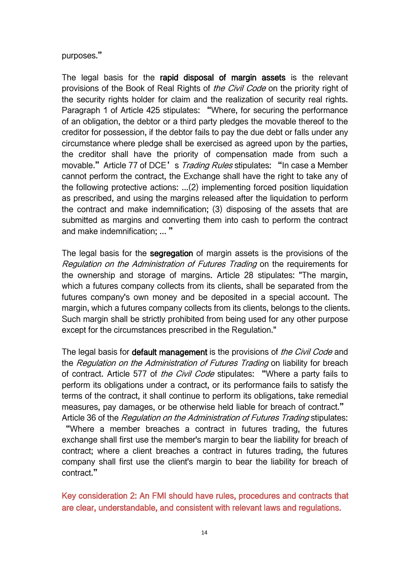purposes."

The legal basis for the rapid disposal of margin assets is the relevant provisions of the Book of Real Rights of *the Civil Code* on the priority right of the security rights holder for claim and the realization of security real rights. Paragraph 1 of Article 425 stipulates: "Where, for securing the performance of an obligation, the debtor or a third party pledges the movable thereof to the creditor for possession, if the debtor fails to pay the due debt or falls under any circumstance where pledge shall be exercised as agreed upon by the parties, the creditor shall have the priority of compensation made from such a movable." Article 77 of DCE's Trading Rules stipulates: "In case a Member cannot perform the contract, the Exchange shall have the right to take any of the following protective actions: ...(2) implementing forced position liquidation as prescribed, and using the margins released after the liquidation to perform the contract and make indemnification; (3) disposing of the assets that are submitted as margins and converting them into cash to perform the contract and make indemnification; ... "

The legal basis for the segregation of margin assets is the provisions of the Regulation on the Administration of Futures Trading on the requirements for the ownership and storage of margins. Article 28 stipulates: "The margin, which a futures company collects from its clients, shall be separated from the futures company's own money and be deposited in a special account. The margin, which a futures company collects from its clients, belongs to the clients. Such margin shall be strictly prohibited from being used for any other purpose except for the circumstances prescribed in the Regulation."

The legal basis for **default management** is the provisions of *the Civil Code* and the Regulation on the Administration of Futures Trading on liability for breach of contract. Article 577 of the Civil Code stipulates: "Where a party fails to perform its obligations under a contract, or its performance fails to satisfy the terms of the contract, it shall continue to perform its obligations, take remedial measures, pay damages, or be otherwise held liable for breach of contract." Article 36 of the Regulation on the Administration of Futures Trading stipulates:

"Where a member breaches a contract in futures trading, the futures exchange shall first use the member's margin to bear the liability for breach of contract; where a client breaches a contract in futures trading, the futures company shall first use the client's margin to bear the liability for breach of contract."

Key consideration 2: An FMI should have rules, procedures and contracts that are clear, understandable, and consistent with relevant laws and regulations.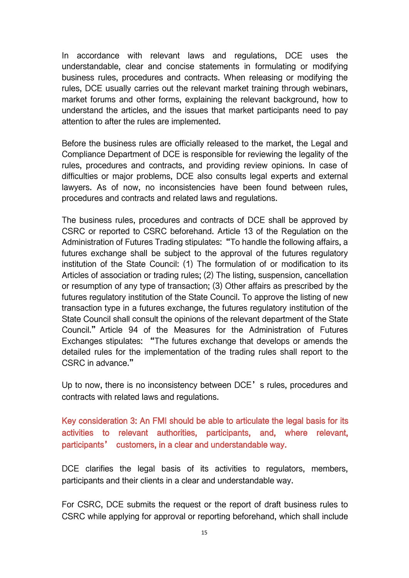In accordance with relevant laws and regulations, DCE uses the understandable, clear and concise statements in formulating or modifying business rules, procedures and contracts. When releasing or modifying the rules, DCE usually carries out the relevant market training through webinars, market forums and other forms, explaining the relevant background, how to understand the articles, and the issues that market participants need to pay attention to after the rules are implemented.

Before the business rules are officially released to the market, the Legal and Compliance Department of DCE is responsible for reviewing the legality of the rules, procedures and contracts, and providing review opinions. In case of difficulties or major problems, DCE also consults legal experts and external lawyers. As of now, no inconsistencies have been found between rules, procedures and contracts and related laws and regulations.

The business rules, procedures and contracts of DCE shall be approved by CSRC or reported to CSRC beforehand. Article 13 of the Regulation on the Administration of Futures Trading stipulates: "To handle the following affairs, a futures exchange shall be subject to the approval of the futures regulatory institution of the State Council: (1) The formulation of or modification to its Articles of association or trading rules: (2) The listing, suspension, cancellation or resumption of any type of transaction; (3) Other affairs as prescribed by the futures regulatory institution of the State Council. To approve the listing of new transaction type in a futures exchange, the futures regulatory institution of the State Council shall consult the opinions of the relevant department of the State Council."Article 94 of the Measures for the Administration of Futures Exchanges stipulates: "The futures exchange that develops or amends the detailed rules for the implementation of the trading rules shall report to the CSRC in advance."

Up to now, there is no inconsistency between DCE's rules, procedures and contracts with related laws and regulations.

Key consideration 3: An FMI should be able to articulate the legal basis for its activities to relevant authorities, participants, and, where relevant, participants' customers, in a clear and understandable way.

DCE clarifies the legal basis of its activities to regulators, members, participants and their clients in a clear and understandable way.

For CSRC, DCE submits the request or the report of draft business rules to CSRC while applying for approval or reporting beforehand, which shall include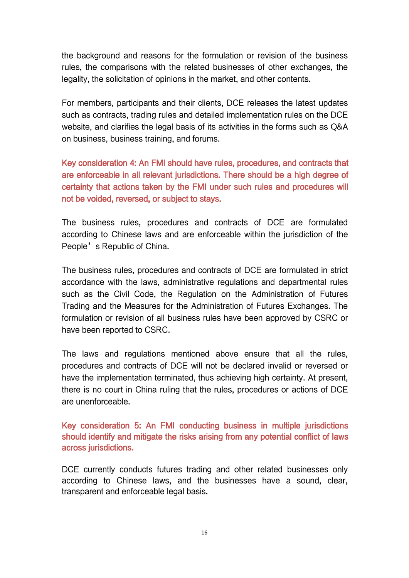the background and reasons for the formulation or revision of the business rules, the comparisons with the related businesses of other exchanges, the legality, the solicitation of opinions in the market, and other contents.

For members, participants and their clients, DCE releases the latest updates such as contracts, trading rules and detailed implementation rules on the DCE website, and clarifies the legal basis of its activities in the forms such as Q&A on business, business training, and forums.

Key consideration 4: An FMI should have rules, procedures, and contracts that are enforceable in all relevant jurisdictions. There should be a high degree of certainty that actions taken by the FMI under such rules and procedures will not be voided, reversed, or subject to stays.

The business rules, procedures and contracts of DCE are formulated according to Chinese laws and are enforceable within the jurisdiction of the People's Republic of China.

The business rules, procedures and contracts of DCE are formulated in strict accordance with the laws, administrative regulations and departmental rules such as the Civil Code, the Regulation on the Administration of Futures Trading and the Measures for the Administration of Futures Exchanges. The formulation or revision of all business rules have been approved by CSRC or have been reported to CSRC.

The laws and regulations mentioned above ensure that all the rules, procedures and contracts of DCE will not be declared invalid or reversed or have the implementation terminated, thus achieving high certainty. At present, there is no court in China ruling that the rules, procedures or actions of DCE are unenforceable.

Key consideration 5: An FMI conducting business in multiple jurisdictions should identify and mitigate the risks arising from any potential conflict of laws across jurisdictions.

DCE currently conducts futures trading and other related businesses only according to Chinese laws, and the businesses have a sound, clear, transparent and enforceable legal basis.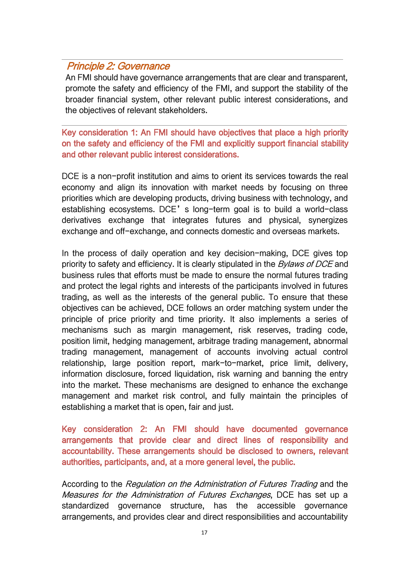### <span id="page-18-0"></span>Principle 2: Governance

An FMI should have governance arrangements that are clear and transparent, promote the safety and efficiency of the FMI, and support the stability of the broader financial system, other relevant public interest considerations, and the objectives of relevant stakeholders.

Key consideration 1: An FMI should have objectives that place a high priority on the safety and efficiency of the FMI and explicitly support financial stability and other relevant public interest considerations.

DCE is a non-profit institution and aims to orient its services towards the real economy and align its innovation with market needs by focusing on three priorities which are developing products, driving business with technology, and establishing ecosystems. DCE's long-term goal is to build a world-class derivatives exchange that integrates futures and physical, synergizes exchange and off-exchange, and connects domestic and overseas markets.

In the process of daily operation and key decision-making, DCE gives top priority to safety and efficiency. It is clearly stipulated in the *Bylaws of DCE* and business rules that efforts must be made to ensure the normal futures trading and protect the legal rights and interests of the participants involved in futures trading, as well as the interests of the general public. To ensure that these objectives can be achieved, DCE follows an order matching system under the principle of price priority and time priority. It also implements a series of mechanisms such as margin management, risk reserves, trading code, position limit, hedging management, arbitrage trading management, abnormal trading management, management of accounts involving actual control relationship, large position report, mark-to-market, price limit, delivery, information disclosure, forced liquidation, risk warning and banning the entry into the market. These mechanisms are designed to enhance the exchange management and market risk control, and fully maintain the principles of establishing a market that is open, fair and just.

Key consideration 2: An FMI should have documented governance arrangements that provide clear and direct lines of responsibility and accountability. These arrangements should be disclosed to owners, relevant authorities, participants, and, at a more general level, the public.

According to the Regulation on the Administration of Futures Trading and the Measures for the Administration of Futures Exchanges, DCE has set up a standardized governance structure, has the accessible governance arrangements, and provides clear and direct responsibilities and accountability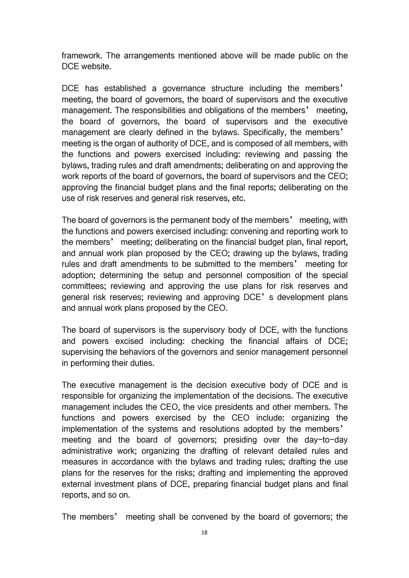framework. The arrangements mentioned above will be made public on the DCE website.

DCE has established a governance structure including the members' meeting, the board of governors, the board of supervisors and the executive management. The responsibilities and obligations of the members' meeting, the board of governors, the board of supervisors and the executive management are clearly defined in the bylaws. Specifically, the members' meeting is the organ of authority of DCE, and is composed of all members, with the functions and powers exercised including: reviewing and passing the bylaws, trading rules and draft amendments; deliberating on and approving the work reports of the board of governors, the board of supervisors and the CEO; approving the financial budget plans and the final reports; deliberating on the use of risk reserves and general risk reserves, etc.

The board of governors is the permanent body of the members' meeting, with the functions and powers exercised including: convening and reporting work to the members' meeting; deliberating on the financial budget plan, final report, and annual work plan proposed by the CEO; drawing up the bylaws, trading rules and draft amendments to be submitted to the members' meeting for adoption; determining the setup and personnel composition of the special committees; reviewing and approving the use plans for risk reserves and general risk reserves; reviewing and approving DCE's development plans and annual work plans proposed by the CEO.

The board of supervisors is the supervisory body of DCE, with the functions and powers excised including: checking the financial affairs of DCE; supervising the behaviors of the governors and senior management personnel in performing their duties.

The executive management is the decision executive body of DCE and is responsible for organizing the implementation of the decisions. The executive management includes the CEO, the vice presidents and other members. The functions and powers exercised by the CEO include: organizing the implementation of the systems and resolutions adopted by the members' meeting and the board of governors; presiding over the day-to-day administrative work; organizing the drafting of relevant detailed rules and measures in accordance with the bylaws and trading rules; drafting the use plans for the reserves for the risks; drafting and implementing the approved external investment plans of DCE, preparing financial budget plans and final reports, and so on.

The members' meeting shall be convened by the board of governors; the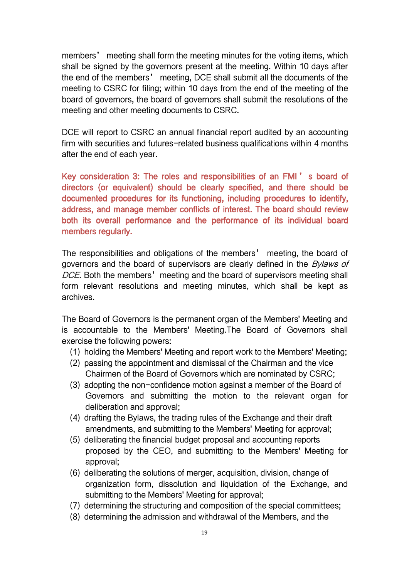members' meeting shall form the meeting minutes for the voting items, which shall be signed by the governors present at the meeting. Within 10 days after the end of the members' meeting, DCE shall submit all the documents of the meeting to CSRC for filing; within 10 days from the end of the meeting of the board of governors, the board of governors shall submit the resolutions of the meeting and other meeting documents to CSRC.

DCE will report to CSRC an annual financial report audited by an accounting firm with securities and futures-related business qualifications within 4 months after the end of each year.

Key consideration 3: The roles and responsibilities of an FMI ' s board of directors (or equivalent) should be clearly specified, and there should be documented procedures for its functioning, including procedures to identify, address, and manage member conflicts of interest. The board should review both its overall performance and the performance of its individual board members regularly.

The responsibilities and obligations of the members' meeting, the board of governors and the board of supervisors are clearly defined in the *Bylaws of* DCE. Both the members' meeting and the board of supervisors meeting shall form relevant resolutions and meeting minutes, which shall be kept as archives.

The Board of Governors is the permanent organ of the Members' Meeting and is accountable to the Members' Meeting.The Board of Governors shall exercise the following powers:

- (1) holding the Members' Meeting and report work to the Members' Meeting;
- (2) passing the appointment and dismissal of the Chairman and the vice Chairmen of the Board of Governors which are nominated by CSRC;
- (3) adopting the non-confidence motion against a member of the Board of Governors and submitting the motion to the relevant organ for deliberation and approval;
- (4) drafting the Bylaws, the trading rules of the Exchange and their draft amendments, and submitting to the Members' Meeting for approval;
- (5) deliberating the financial budget proposal and accounting reports proposed by the CEO, and submitting to the Members' Meeting for approval;
- (6) deliberating the solutions of merger, acquisition, division, change of organization form, dissolution and liquidation of the Exchange, and submitting to the Members' Meeting for approval;
- (7) determining the structuring and composition of the special committees;
- (8) determining the admission and withdrawal of the Members, and the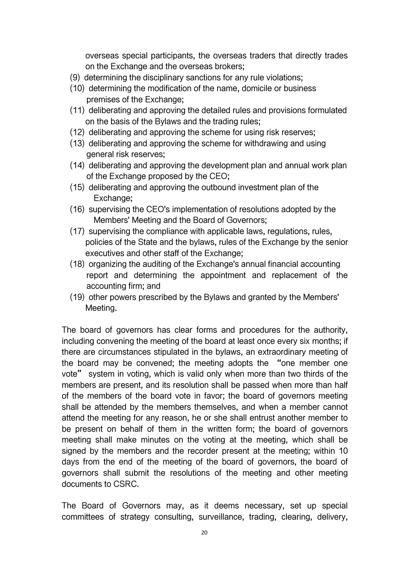overseas special participants, the overseas traders that directly trades on the Exchange and the overseas brokers;

- (9) determining the disciplinary sanctions for any rule violations;
- (10) determining the modification of the name, domicile or business premises of the Exchange;
- (11) deliberating and approving the detailed rules and provisions formulated on the basis of the Bylaws and the trading rules;
- (12) deliberating and approving the scheme for using risk reserves;
- (13) deliberating and approving the scheme for withdrawing and using general risk reserves;
- (14) deliberating and approving the development plan and annual work plan of the Exchange proposed by the CEO;
- (15) deliberating and approving the outbound investment plan of the Exchange;
- (16) supervising the CEO's implementation of resolutions adopted by the Members' Meeting and the Board of Governors;
- (17) supervising the compliance with applicable laws, regulations, rules, policies of the State and the bylaws, rules of the Exchange by the senior executives and other staff of the Exchange;
- (18) organizing the auditing of the Exchange's annual financial accounting report and determining the appointment and replacement of the accounting firm; and
- (19) other powers prescribed by the Bylaws and granted by the Members' Meeting.

The board of governors has clear forms and procedures for the authority, including convening the meeting of the board at least once every six months; if there are circumstances stipulated in the bylaws, an extraordinary meeting of the board may be convened; the meeting adopts the "one member one vote" system in voting, which is valid only when more than two thirds of the members are present, and its resolution shall be passed when more than half of the members of the board vote in favor; the board of governors meeting shall be attended by the members themselves, and when a member cannot attend the meeting for any reason, he or she shall entrust another member to be present on behalf of them in the written form; the board of governors meeting shall make minutes on the voting at the meeting, which shall be signed by the members and the recorder present at the meeting; within 10 days from the end of the meeting of the board of governors, the board of governors shall submit the resolutions of the meeting and other meeting documents to CSRC.

The Board of Governors may, as it deems necessary, set up special committees of strategy consulting, surveillance, trading, clearing, delivery,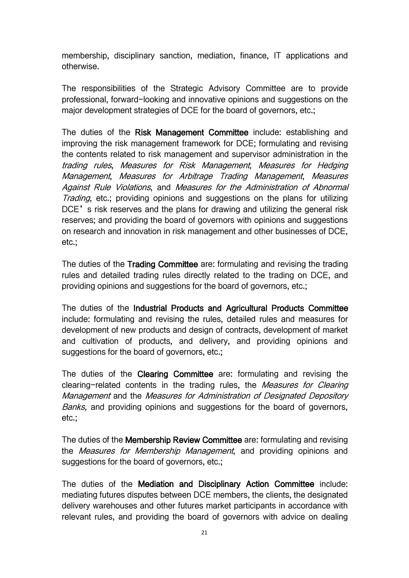membership, disciplinary sanction, mediation, finance, IT applications and otherwise.

The responsibilities of the Strategic Advisory Committee are to provide professional, forward-looking and innovative opinions and suggestions on the major development strategies of DCE for the board of governors, etc.;

The duties of the Risk Management Committee include: establishing and improving the risk management framework for DCE; formulating and revising the contents related to risk management and supervisor administration in the trading rules, Measures for Risk Management, Measures for Hedging Management, Measures for Arbitrage Trading Management, Measures Against Rule Violations, and Measures for the Administration of Abnormal Trading, etc.; providing opinions and suggestions on the plans for utilizing DCE's risk reserves and the plans for drawing and utilizing the general risk reserves; and providing the board of governors with opinions and suggestions on research and innovation in risk management and other businesses of DCE, etc.;

The duties of the Trading Committee are: formulating and revising the trading rules and detailed trading rules directly related to the trading on DCE, and providing opinions and suggestions for the board of governors, etc.;

The duties of the Industrial Products and Agricultural Products Committee include: formulating and revising the rules, detailed rules and measures for development of new products and design of contracts, development of market and cultivation of products, and delivery, and providing opinions and suggestions for the board of governors, etc.;

The duties of the Clearing Committee are: formulating and revising the clearing-related contents in the trading rules, the Measures for Clearing Management and the Measures for Administration of Designated Depository Banks, and providing opinions and suggestions for the board of governors, etc.;

The duties of the Membership Review Committee are: formulating and revising the *Measures for Membership Management*, and providing opinions and suggestions for the board of governors, etc.;

The duties of the Mediation and Disciplinary Action Committee include: mediating futures disputes between DCE members, the clients, the designated delivery warehouses and other futures market participants in accordance with relevant rules, and providing the board of governors with advice on dealing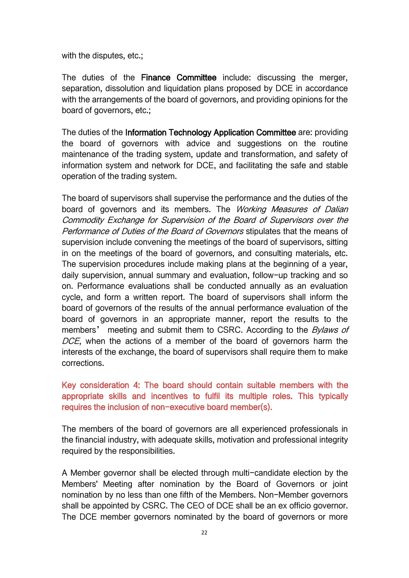with the disputes, etc.;

The duties of the Finance Committee include: discussing the merger, separation, dissolution and liquidation plans proposed by DCE in accordance with the arrangements of the board of governors, and providing opinions for the board of governors, etc.;

The duties of the Information Technology Application Committee are: providing the board of governors with advice and suggestions on the routine maintenance of the trading system, update and transformation, and safety of information system and network for DCE, and facilitating the safe and stable operation of the trading system.

The board of supervisors shall supervise the performance and the duties of the board of governors and its members. The Working Measures of Dalian Commodity Exchange for Supervision of the Board of Supervisors over the Performance of Duties of the Board of Governors stipulates that the means of supervision include convening the meetings of the board of supervisors, sitting in on the meetings of the board of governors, and consulting materials, etc. The supervision procedures include making plans at the beginning of a year, daily supervision, annual summary and evaluation, follow-up tracking and so on. Performance evaluations shall be conducted annually as an evaluation cycle, and form a written report. The board of supervisors shall inform the board of governors of the results of the annual performance evaluation of the board of governors in an appropriate manner, report the results to the members' meeting and submit them to CSRC. According to the *Bylaws of* DCE, when the actions of a member of the board of governors harm the interests of the exchange, the board of supervisors shall require them to make corrections.

Key consideration 4: The board should contain suitable members with the appropriate skills and incentives to fulfil its multiple roles. This typically requires the inclusion of non-executive board member(s).

The members of the board of governors are all experienced professionals in the financial industry, with adequate skills, motivation and professional integrity required by the responsibilities.

A Member governor shall be elected through multi-candidate election by the Members' Meeting after nomination by the Board of Governors or joint nomination by no less than one fifth of the Members. Non-Member governors shall be appointed by CSRC. The CEO of DCE shall be an ex officio governor. The DCE member governors nominated by the board of governors or more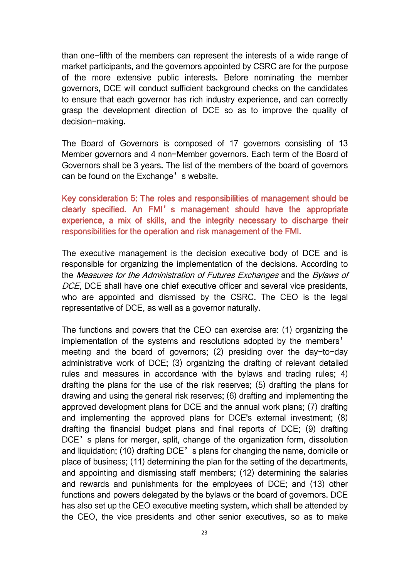than one-fifth of the members can represent the interests of a wide range of market participants, and the governors appointed by CSRC are for the purpose of the more extensive public interests. Before nominating the member governors, DCE will conduct sufficient background checks on the candidates to ensure that each governor has rich industry experience, and can correctly grasp the development direction of DCE so as to improve the quality of decision-making.

The Board of Governors is composed of 17 governors consisting of 13 Member governors and 4 non-Member governors. Each term of the Board of Governors shall be 3 years. The list of the members of the board of governors can be found on the Exchange's website.

Key consideration 5: The roles and responsibilities of management should be clearly specified. An FMI's management should have the appropriate experience, a mix of skills, and the integrity necessary to discharge their responsibilities for the operation and risk management of the FMI.

The executive management is the decision executive body of DCE and is responsible for organizing the implementation of the decisions. According to the Measures for the Administration of Futures Exchanges and the Bylaws of DCE, DCE shall have one chief executive officer and several vice presidents, who are appointed and dismissed by the CSRC. The CEO is the legal representative of DCE, as well as a governor naturally.

The functions and powers that the CEO can exercise are: (1) organizing the implementation of the systems and resolutions adopted by the members' meeting and the board of governors; (2) presiding over the day-to-day administrative work of DCE; (3) organizing the drafting of relevant detailed rules and measures in accordance with the bylaws and trading rules; 4) drafting the plans for the use of the risk reserves; (5) drafting the plans for drawing and using the general risk reserves; (6) drafting and implementing the approved development plans for DCE and the annual work plans; (7) drafting and implementing the approved plans for DCE's external investment; (8) drafting the financial budget plans and final reports of DCE; (9) drafting DCE's plans for merger, split, change of the organization form, dissolution and liquidation; (10) drafting DCE's plans for changing the name, domicile or place of business; (11) determining the plan for the setting of the departments, and appointing and dismissing staff members; (12) determining the salaries and rewards and punishments for the employees of DCE; and (13) other functions and powers delegated by the bylaws or the board of governors. DCE has also set up the CEO executive meeting system, which shall be attended by the CEO, the vice presidents and other senior executives, so as to make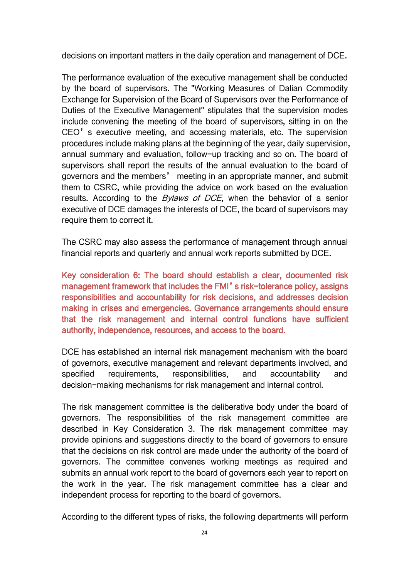decisions on important matters in the daily operation and management of DCE.

The performance evaluation of the executive management shall be conducted by the board of supervisors. The "Working Measures of Dalian Commodity Exchange for Supervision of the Board of Supervisors over the Performance of Duties of the Executive Management" stipulates that the supervision modes include convening the meeting of the board of supervisors, sitting in on the CEO's executive meeting, and accessing materials, etc. The supervision procedures include making plans at the beginning of the year, daily supervision, annual summary and evaluation, follow-up tracking and so on.The board of supervisors shall report the results of the annual evaluation to the board of governors and the members' meeting in an appropriate manner, and submit them to CSRC, while providing the advice on work based on the evaluation results. According to the *Bylaws of DCE*, when the behavior of a senior executive of DCE damages the interests of DCE, the board of supervisors may require them to correct it.

The CSRC may also assess the performance of management through annual financial reports and quarterly and annual work reports submitted by DCE.

Key consideration 6: The board should establish a clear, documented risk management framework that includes the FMI's risk-tolerance policy, assigns responsibilities and accountability for risk decisions, and addresses decision making in crises and emergencies. Governance arrangements should ensure that the risk management and internal control functions have sufficient authority, independence, resources, and access to the board.

DCE has established an internal risk management mechanism with the board of governors, executive management and relevant departments involved,and specified requirements, responsibilities, and accountability and decision-making mechanisms for risk management and internal control.

The risk management committee is the deliberative body under the board of governors. The responsibilities of the risk management committee are described in Key Consideration 3. The risk management committee may provide opinions and suggestions directly to the board of governors to ensure that the decisions on risk control are made under the authority of the board of governors. The committee convenes working meetings as required and submits an annual work report to the board of governors each year to report on the work in the year. The risk management committee has a clear and independent process for reporting to the board of governors.

According to the different types of risks, the following departments will perform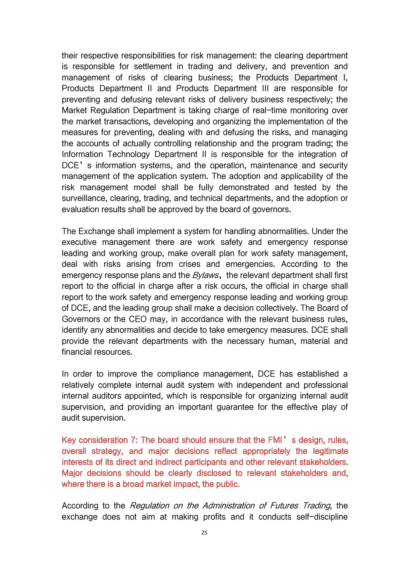their respective responsibilities for risk management: the clearing department is responsible for settlement in trading and delivery, and prevention and management of risks of clearing business; the Products Department I, Products Department II and Products Department III are responsible for preventing and defusing relevant risks of delivery business respectively; the Market Regulation Department is taking charge of real-time monitoring over the market transactions, developing and organizing the implementation of the measures for preventing, dealing with and defusing the risks, and managing the accounts of actually controlling relationship and the program trading; the Information Technology Department II is responsible for the integration of DCE's information systems, and the operation, maintenance and security management of the application system. The adoption and applicability of the risk management model shall be fully demonstrated and tested by the surveillance, clearing, trading, and technical departments, and the adoption or evaluation results shall be approved by the board of governors.

The Exchange shall implement a system for handling abnormalities. Under the executive management there are work safety and emergency response leading and working group, make overall plan for work safety management, deal with risks arising from crises and emergencies. According to the emergency response plans and the *Bylaws*, the relevant department shall first report to the official in charge after a risk occurs, the official in charge shall report to the work safety and emergency response leading and working group of DCE, and the leading group shall make a decision collectively. The Board of Governors or the CEO may, in accordance with the relevant business rules, identify any abnormalities and decide to take emergency measures. DCE shall provide the relevant departments with the necessary human, material and financial resources.

In order to improve the compliance management, DCE has established a relatively complete internal audit system with independent and professional internal auditors appointed, which is responsible for organizing internal audit supervision, and providing an important guarantee for the effective play of audit supervision.

Key consideration 7: The board should ensure that the FMI's design, rules, overall strategy, and major decisions reflect appropriately the legitimate interests of its direct and indirect participants and other relevant stakeholders. Major decisions should be clearly disclosed to relevant stakeholders and, where there is a broad market impact, the public.

According to the Regulation on the Administration of Futures Trading, the exchange does not aim at making profits and it conducts self-discipline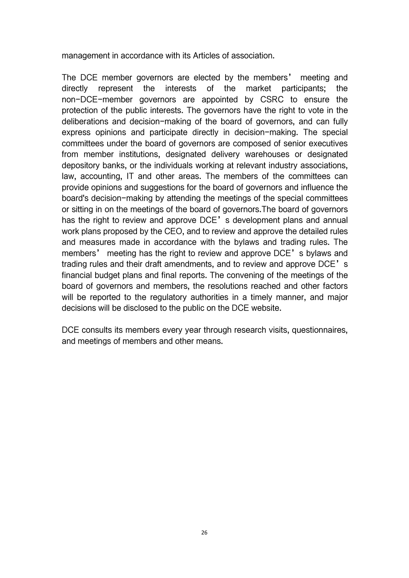management in accordance with its Articles of association.

The DCE member governors are elected by the members' meeting and directly represent the interests of the market participants; the non-DCE-member governors are appointed by CSRC to ensure the protection of the public interests. The governors have the right to vote in the deliberations and decision-making of the board of governors, and can fully express opinions and participate directly in decision-making. The special committees under the board of governors are composed of senior executives from member institutions, designated delivery warehouses or designated depository banks, or the individuals working at relevant industry associations, law, accounting, IT and other areas. The members of the committees can provide opinions and suggestions for the board of governors and influence the board's decision-making by attending the meetings of the special committees or sitting in on the meetings of the board of governors.The board of governors has the right to review and approve DCE's development plans and annual work plans proposed by the CEO, and to review and approve the detailed rules and measures made in accordance with the bylaws and trading rules. The members' meeting has the right to review and approve DCE's bylaws and trading rules and their draft amendments, and to review and approve DCE's financial budget plans and final reports. The convening of the meetings of the board of governors and members, the resolutions reached and other factors will be reported to the regulatory authorities in a timely manner, and major decisions will be disclosed to the public on the DCE website.

DCE consults its members every year through research visits, questionnaires, and meetings of members and other means.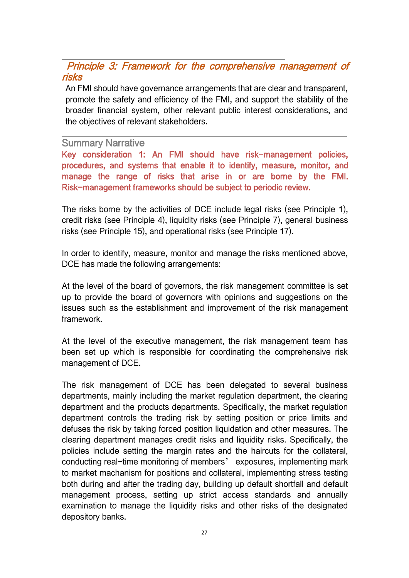## <span id="page-28-0"></span>Principle 3: Framework for the comprehensive management of risks

An FMI should have governance arrangements that are clear and transparent, promote the safety and efficiency of the FMI, and support the stability of the broader financial system, other relevant public interest considerations, and the objectives of relevant stakeholders.

#### Summary Narrative

Key consideration 1: An FMI should have risk-management policies, procedures, and systems that enable it to identify, measure, monitor, and manage the range of risks that arise in or are borne by the FMI. Risk-management frameworks should be subject to periodic review.

The risks borne by the activities of DCE include legal risks (see Principle 1), credit risks (see Principle 4), liquidity risks (see Principle 7), general business risks (see Principle 15), and operational risks (see Principle 17).

In order to identify, measure, monitor and manage the risks mentioned above, DCE has made the following arrangements:

At the level of the board of governors, the risk management committee is set up to provide the board of governors with opinions and suggestions on the issues such as the establishment and improvement of the risk management framework.

At the level of the executive management, the risk management team has been set up which is responsible for coordinating the comprehensive risk management of DCE.

The risk management of DCE has been delegated to several business departments, mainly including the market regulation department, the clearing department and the products departments. Specifically, the market regulation department controls the trading risk by setting position or price limits and defuses the risk by taking forced position liquidation and other measures. The clearing department manages credit risks and liquidity risks. Specifically, the policies include setting the margin rates and the haircuts for the collateral, conducting real-time monitoring of members' exposures, implementing mark to market machanism for positions and collateral, implementing stress testing both during and after the trading day, building up default shortfall and default management process, setting up strict access standards and annually examination to manage the liquidity risks and other risks of the designated depository banks.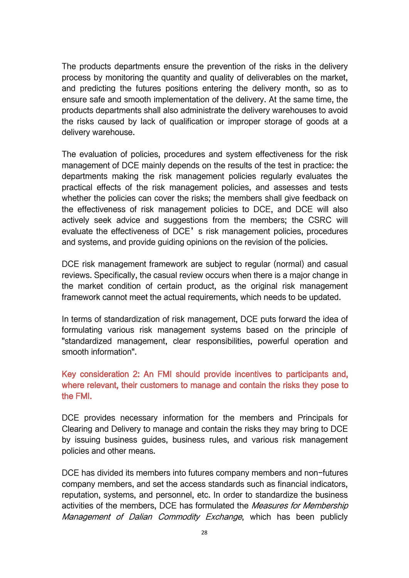The products departments ensure the prevention of the risks in the delivery process by monitoring the quantity and quality of deliverables on the market, and predicting the futures positions entering the delivery month, so as to ensure safe and smooth implementation of the delivery. At the same time, the products departments shall also administrate the delivery warehouses to avoid the risks caused by lack of qualification or improper storage of goods at a delivery warehouse.

The evaluation of policies, procedures and system effectiveness for the risk management of DCE mainly depends on the results of the test in practice: the departments making the risk management policies regularly evaluates the practical effects of the risk management policies, and assesses and tests whether the policies can cover the risks; the members shall give feedback on the effectiveness of risk management policies to DCE, and DCE will also actively seek advice and suggestions from the members; the CSRC will evaluate the effectiveness of DCE's risk management policies, procedures and systems, and provide guiding opinions on the revision of the policies.

DCE risk management framework are subject to regular (normal) and casual reviews. Specifically, the casual review occurs when there is a major change in the market condition of certain product, as the original risk management framework cannot meet the actual requirements, which needs to be updated.

In terms of standardization of risk management, DCE puts forward the idea of formulating various risk management systems based on the principle of "standardized management, clear responsibilities, powerful operation and smooth information".

#### Key consideration 2: An FMI should provide incentives to participants and, where relevant, their customers to manage and contain the risks they pose to the FMI.

DCE provides necessary information for the members and Principals for Clearing and Delivery to manage and contain the risks they may bring to DCE by issuing business guides, business rules, and various risk management policies and other means.

DCE has divided its members into futures company members and non-futures company members, and set the access standards such as financial indicators, reputation, systems, and personnel, etc. In order to standardize the business activities of the members, DCE has formulated the *Measures for Membership* Management of Dalian Commodity Exchange, which has been publicly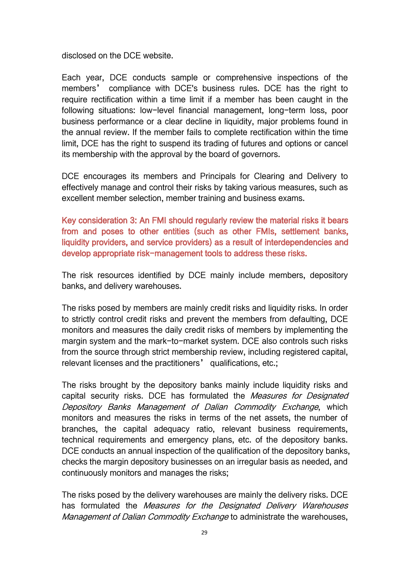disclosed on the DCE website.

Each year, DCE conducts sample or comprehensive inspections of the members' compliance with DCE's business rules. DCE has the right to require rectification within a time limit if a member has been caught in the following situations: low-level financial management, long-term loss, poor business performance or a clear decline in liquidity, major problems found in the annual review. If the member fails to complete rectification within the time limit, DCE has the right to suspend its trading of futures and options or cancel its membership with the approval by the board of governors.

DCE encourages its members and Principals for Clearing and Delivery to effectively manage and control their risks by taking various measures, such as excellent member selection, member training and business exams.

Key consideration 3: An FMI should regularly review the material risks it bears from and poses to other entities (such as other FMIs, settlement banks, liquidity providers, and service providers) as a result of interdependencies and develop appropriate risk-management tools to address these risks.

The risk resources identified by DCE mainly include members, depository banks, and delivery warehouses.

The risks posed by members are mainly credit risks and liquidity risks. In order to strictly control credit risks and prevent the members from defaulting, DCE monitors and measures the daily credit risks of members by implementing the margin system and the mark-to-market system. DCE also controls such risks from the source through strict membership review, including registered capital, relevant licenses and the practitioners' qualifications, etc.;

The risks brought by the depository banks mainly include liquidity risks and capital security risks. DCE has formulated the *Measures for Designated* Depository Banks Management of Dalian Commodity Exchange, which monitors and measures the risks in terms of the net assets, the number of branches, the capital adequacy ratio, relevant business requirements, technical requirements and emergency plans, etc. of the depository banks. DCE conducts an annual inspection of the qualification of the depository banks, checks the margin depository businesses on an irregular basis as needed, and continuously monitors and manages the risks;

The risks posed by the delivery warehouses are mainly the delivery risks. DCE has formulated the Measures for the Designated Delivery Warehouses Management of Dalian Commodity Exchange to administrate the warehouses,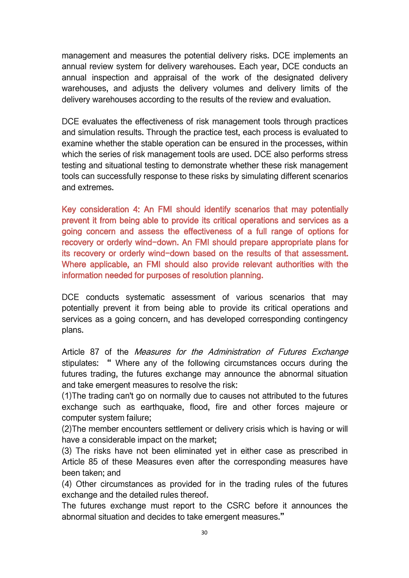management and measures the potential delivery risks. DCE implements an annual review system for delivery warehouses. Each year, DCE conducts an annual inspection and appraisal of the work of the designated delivery warehouses, and adjusts the delivery volumes and delivery limits of the delivery warehouses according to the results of the review and evaluation.

DCE evaluates the effectiveness of risk management tools through practices and simulation results. Through the practice test, each process is evaluated to examine whether the stable operation can be ensured in the processes, within which the series of risk management tools are used. DCE also performs stress testing and situational testing to demonstrate whether these risk management tools can successfully response to these risks by simulating different scenarios and extremes.

Key consideration 4: An FMI should identify scenarios that may potentially prevent it from being able to provide its critical operations and services as a going concern and assess the effectiveness of a full range of options for recovery or orderly wind-down. An FMI should prepare appropriate plans for its recovery or orderly wind-down based on the results of that assessment. Where applicable, an FMI should also provide relevant authorities with the information needed for purposes of resolution planning.

DCE conducts systematic assessment of various scenarios that may potentially prevent it from being able to provide its critical operations and services as a going concern, and has developed corresponding contingency plans.

Article 87 of the *Measures for the Administration of Futures Exchange* stipulates: " Where any of the following circumstances occurs during the futures trading, the futures exchange may announce the abnormal situation and take emergent measures to resolve the risk:

(1)The trading can't go on normally due to causes not attributed to the futures exchange such as earthquake, flood, fire and other forces majeure or computer system failure;

(2)The member encounters settlement or delivery crisis which ishaving or will have a considerable impact on the market;

(3) The risks have not been eliminated yet in either case as prescribed in Article 85 of these Measures even after the corresponding measures have been taken; and

(4) Other circumstances as provided for in the trading rules of the futures exchange and the detailed rules thereof.

The futures exchange must report to the CSRC before it announces the abnormal situation and decides to take emergent measures."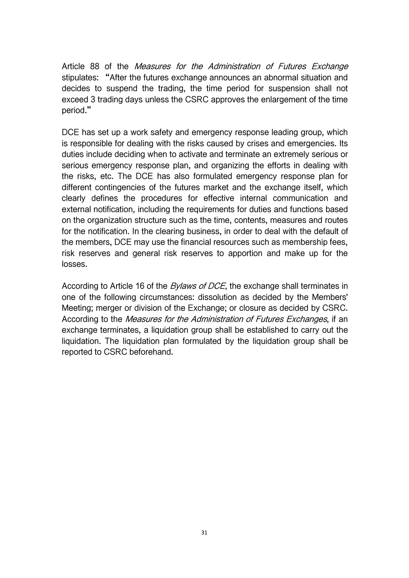Article 88 of the *Measures for the Administration of Futures Exchange* stipulates: "After the futures exchange announces an abnormal situation and decides to suspend the trading, the time period for suspension shall not exceed 3 trading days unless the CSRC approves the enlargement of the time period."

DCE has set up a work safety and emergency response leading group, which is responsible for dealing with the risks caused by crises and emergencies. Its duties include deciding when to activate and terminate an extremely serious or serious emergency response plan, and organizing the efforts in dealing with the risks, etc. The DCE has also formulated emergency response plan for different contingencies of the futures market and the exchange itself, which clearly defines the procedures for effective internal communication and external notification, including the requirements for duties and functions based on the organization structure such as the time, contents, measures and routes for the notification. In the clearing business, in order to deal with the default of the members, DCE may use the financial resources such as membership fees, risk reserves and general risk reserves to apportion and make up for the losses.

According to Article 16 of the *Bylaws of DCE*, the exchange shall terminates in one of the following circumstances: dissolution as decided by the Members' Meeting; merger or division of the Exchange; or closure as decided by CSRC. According to the *Measures for the Administration of Futures Exchanges*, if an exchange terminates, a liquidation group shall be established to carry out the liquidation. The liquidation plan formulated by the liquidation group shall be reported to CSRC beforehand.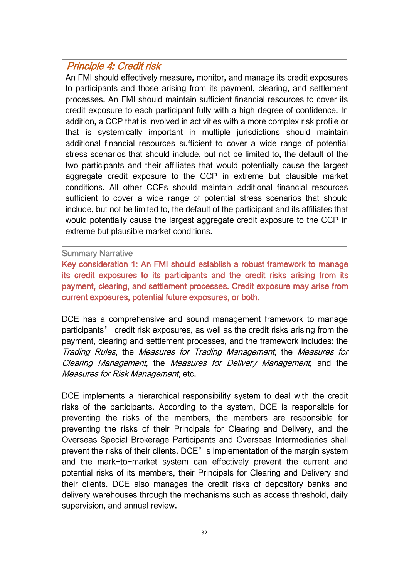### <span id="page-33-0"></span>Principle 4: Credit risk

An FMI should effectively measure, monitor, and manage its credit exposures to participants and those arising from its payment, clearing, and settlement processes. An FMI should maintain sufficient financial resources to cover its credit exposure to each participant fully with a high degree of confidence. In addition, a CCP that is involved in activities with a more complex risk profile or that is systemically important in multiple jurisdictions should maintain additional financial resources sufficient to cover a wide range of potential stress scenarios that should include, but not be limited to, the default of the two participants and their affiliates that would potentially cause the largest aggregate credit exposure to the CCP in extreme but plausible market conditions. All other CCPs should maintain additional financial resources sufficient to cover a wide range of potential stress scenarios that should include, but not be limited to, the default of the participant and its affiliates that would potentially cause the largest aggregate credit exposure to the CCP in extreme but plausible market conditions.

#### Summary Narrative

Key consideration 1: An FMI should establish a robust framework to manage its credit exposures to its participants and the credit risks arising from its payment, clearing, and settlement processes. Credit exposure may arise from current exposures, potential future exposures, or both.

DCE has a comprehensive and sound management framework to manage participants' credit risk exposures, as well as the credit risks arising from the payment, clearing and settlement processes, and the framework includes: the Trading Rules, the Measures for Trading Management, the Measures for Clearing Management, the Measures for Delivery Management, and the Measures for Risk Management, etc.

DCE implements a hierarchical responsibility system to deal with the credit risks of the participants. According to the system, DCE is responsible for preventing the risks of the members, the members are responsible for preventing the risks of their Principals for Clearing and Delivery, and the Overseas Special Brokerage Participants and Overseas Intermediaries shall prevent the risks of their clients. DCE's implementation of the margin system and the mark-to-market system can effectively prevent the current and potential risks of its members, their Principals for Clearing and Delivery and their clients. DCE also manages the credit risks of depository banks and delivery warehouses through the mechanisms such as access threshold, daily supervision, and annual review.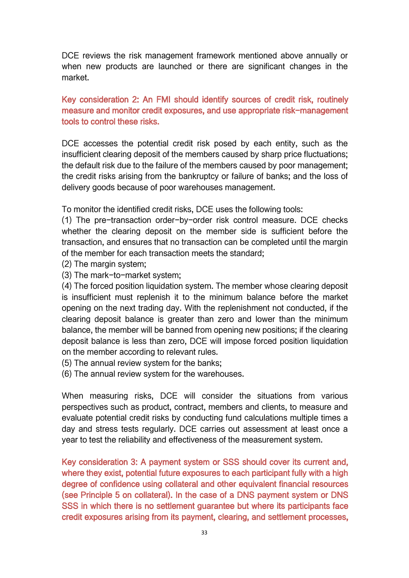DCE reviews the risk management framework mentioned above annually or when new products are launched or there are significant changes in the market.

Key consideration 2: An FMI should identify sources of credit risk, routinely measure and monitor credit exposures, and use appropriate risk-management tools to control these risks.

DCE accesses the potential credit risk posed by each entity, such as the insufficient clearing deposit of the members caused by sharp price fluctuations; the default risk due to the failure of the members caused by poor management; the credit risks arising from the bankruptcy or failure of banks; and the loss of delivery goods because of poor warehouses management.

To monitor the identified credit risks, DCE uses the following tools:

(1) The pre-transaction order-by-order risk control measure. DCE checks whether the clearing deposit on the member side is sufficient before the transaction, and ensures that no transaction can be completed until the margin of the member for each transaction meets the standard;

- (2) The margin system;
- (3) The mark-to-market system;

(4) The forced position liquidation system. The member whose clearing deposit is insufficient must replenish it to the minimum balance before the market opening on the next trading day. With the replenishment not conducted, if the clearing deposit balance is greater than zero and lower than the minimum balance, the member will be banned from opening new positions; if the clearing deposit balance is less than zero, DCE will impose forced position liquidation on the member according to relevant rules.

- (5) The annual review system for the banks;
- (6) The annual review system for the warehouses.

When measuring risks, DCE will consider the situations from various perspectives such as product, contract, members and clients, to measure and evaluate potential credit risks by conducting fund calculations multiple times a day and stress tests regularly. DCE carries out assessment at least once a year to test the reliability and effectiveness of the measurement system.

Key consideration 3: A payment system or SSS should cover its current and, where they exist, potential future exposures to each participant fully with a high degree of confidence using collateral and other equivalent financial resources (see Principle 5 on collateral). In the case of a DNS payment system or DNS SSS in which there is no settlement guarantee but where its participants face credit exposures arising from its payment, clearing, and settlement processes,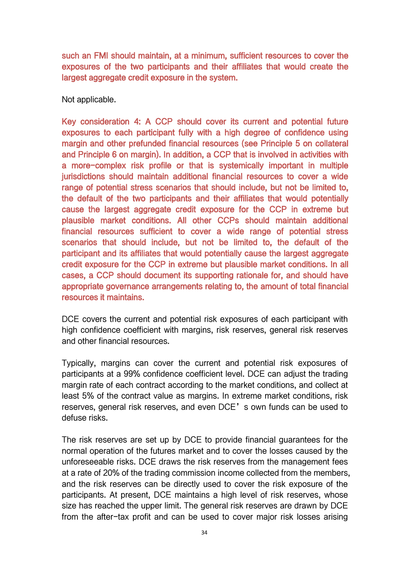such an FMI should maintain, at a minimum, sufficient resources to cover the exposures of the two participants and their affiliates that would create the largest aggregate credit exposure in the system.

Not applicable.

Key consideration 4: A CCP should cover its current and potential future exposures to each participant fully with a high degree of confidence using margin and other prefunded financial resources (see Principle 5 on collateral and Principle 6 on margin). In addition, a CCP that is involved in activities with a more-complex risk profile or that is systemically important in multiple jurisdictions should maintain additional financial resources to cover a wide range of potential stress scenarios that should include, but not be limited to, the default of the two participants and their affiliates that would potentially cause the largest aggregate credit exposure for the CCP in extreme but plausible market conditions. All other CCPs should maintain additional financial resources sufficient to cover a wide range of potential stress scenarios that should include, but not be limited to, the default of the participant and its affiliates that would potentially cause the largest aggregate credit exposure for the CCP in extreme but plausible market conditions. In all cases, a CCP should document its supporting rationale for, and should have appropriate governance arrangements relating to, the amount of total financial resources it maintains.

DCE covers the current and potential risk exposures of each participant with high confidence coefficient with margins, risk reserves, general risk reserves and other financial resources.

Typically, margins can cover the current and potential risk exposures of participants at a 99% confidence coefficient level. DCE can adjust the trading margin rate of each contract according to the market conditions, and collect at least 5% of the contract value as margins. In extreme market conditions, risk reserves, general risk reserves, and even DCE's own funds can be used to defuse risks.

The risk reserves are set up by DCE to provide financial guarantees for the normal operation of the futures market and to cover the losses caused by the unforeseeable risks. DCE draws the risk reserves from the management fees at a rate of 20% of the trading commission income collected from the members, and the risk reserves can be directly used to cover the risk exposure of the participants. At present, DCE maintains a high level of risk reserves, whose size has reached the upper limit. The general risk reserves are drawn by DCE from the after-tax profit and can be used to cover major risk losses arising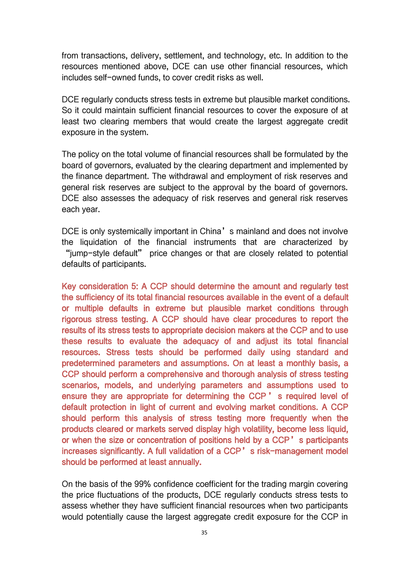from transactions, delivery, settlement, and technology, etc. In addition to the resources mentioned above, DCE can use other financial resources, which includes self-owned funds, to cover credit risks as well.

DCE regularly conducts stress tests in extreme but plausible market conditions. So it could maintain sufficient financial resources to cover the exposure of at least two clearing members that would create the largest aggregate credit exposure in the system.

The policy on the total volume of financial resources shall be formulated by the board of governors, evaluated by the clearing department and implemented by the finance department. The withdrawal and employment of risk reserves and general risk reserves are subject to the approval by the board of governors. DCE also assesses the adequacy of risk reserves and general risk reserves each year.

DCE is only systemically important in China's mainland and does not involve the liquidation of the financial instruments that are characterized by "jump-style default" price changes or that are closely related to potential defaults of participants.

Key consideration 5: A CCP should determine the amount and regularly test the sufficiency of its total financial resources available in the event of a default or multiple defaults in extreme but plausible market conditions through rigorous stress testing. A CCP should have clear procedures to report the results of its stress tests to appropriate decision makers at the CCP and to use these results to evaluate the adequacy of and adjust its total financial resources. Stress tests should be performed daily using standard and predetermined parameters and assumptions. On at least a monthly basis, a CCP should perform a comprehensive and thorough analysis of stress testing scenarios, models, and underlying parameters and assumptions used to ensure they are appropriate for determining the CCP ' s required level of default protection in light of current and evolving market conditions. A CCP should perform this analysis of stress testing more frequently when the products cleared or markets served display high volatility, become less liquid, or when the size or concentration of positions held by a CCP's participants increases significantly. A full validation of a CCP's risk-management model should be performed at least annually.

On the basis of the 99% confidence coefficient for the trading margin covering the price fluctuations of the products, DCE regularly conducts stress tests to assess whether they have sufficient financial resources when two participants would potentially cause the largest aggregate credit exposure for the CCP in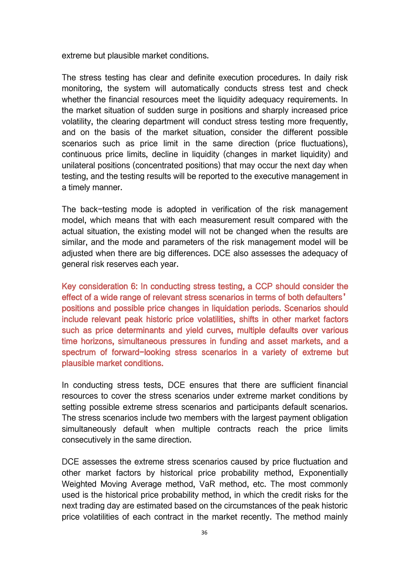extreme but plausible market conditions.

The stress testing has clear and definite execution procedures. In daily risk monitoring, the system will automatically conducts stress test and check whether the financial resources meet the liquidity adequacy requirements. In the market situation of sudden surge in positions and sharply increased price volatility, the clearing department will conduct stress testing more frequently, and on the basis of the market situation, consider the different possible scenarios such as price limit in the same direction (price fluctuations), continuous price limits, decline in liquidity (changes in market liquidity) and unilateral positions (concentrated positions) that may occur the next day when testing, and the testing results will be reported to the executive management in a timely manner.

The back-testing mode is adopted in verification of the risk management model, which means that with each measurement result compared with the actual situation, the existing model will not be changed when the results are similar, and the mode and parameters of the risk management model will be adjusted when there are big differences. DCE also assesses the adequacy of general risk reserves each year.

Key consideration 6: In conducting stress testing, a CCP should consider the effect of a wide range of relevant stress scenarios in terms of both defaulters' positions and possible price changes in liquidation periods. Scenarios should include relevant peak historic price volatilities, shifts in other market factors such as price determinants and yield curves, multiple defaults over various time horizons, simultaneous pressures in funding and asset markets, and a spectrum of forward-looking stress scenarios in a variety of extreme but plausible market conditions.

In conducting stress tests, DCE ensures that there are sufficient financial resources to cover the stress scenarios under extreme market conditions by setting possible extreme stress scenarios and participants default scenarios. The stress scenarios include two members with the largest payment obligation simultaneously default when multiple contracts reach the price limits consecutively in the same direction.

DCE assesses the extreme stress scenarios caused by price fluctuation and other market factors by historical price probability method, Exponentially Weighted Moving Average method, VaR method, etc. The most commonly used is the historical price probability method, in which the credit risks for the next trading day are estimated based on the circumstances of the peak historic price volatilities of each contract in the market recently. The method mainly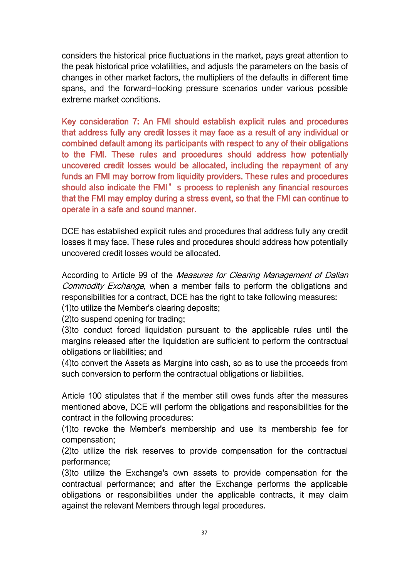considers the historical price fluctuations in the market, pays great attention to the peak historical price volatilities, and adjusts the parameters on the basis of changes in other market factors, the multipliers of the defaults in different time spans, and the forward-looking pressure scenarios under various possible extreme market conditions.

Key consideration 7: An FMI should establish explicit rules and procedures that address fully any credit losses it may face as a result of any individual or combined default among its participants with respect to any of their obligations to the FMI. These rules and procedures should address how potentially uncovered credit losses would be allocated, including the repayment of any funds an FMI may borrow from liquidity providers. These rules and procedures should also indicate the FMI's process to replenish any financial resources that the FMI may employ during a stress event, so that the FMI can continue to operate in a safe and sound manner.

DCE has established explicit rules and procedures that address fully any credit losses it may face. These rules and procedures should address how potentially uncovered credit losses would be allocated.

According to Article 99 of the Measures for Clearing Management of Dalian Commodity Exchange, when a member fails to perform the obligations and responsibilities for a contract, DCE has the right to take following measures:

(1)to utilize the Member's clearing deposits;

(2)to suspend opening for trading;

(3)to conduct forced liquidation pursuant to the applicable rules until the margins released after the liquidation are sufficient to perform the contractual obligations or liabilities; and

(4)to convert the Assets as Margins into cash, so as to use the proceeds from such conversion to perform the contractual obligations or liabilities.

Article 100 stipulates that if the member still owes funds after the measures mentioned above, DCE will perform the obligations and responsibilities for the contract in the following procedures:

(1)to revoke the Member's membership and use its membership fee for compensation;

(2)to utilize the risk reserves to provide compensation for the contractual performance;

(3)to utilize the Exchange's own assets to provide compensation for the contractual performance; and after the Exchange performs the applicable obligations or responsibilities under the applicable contracts, it may claim against the relevant Members through legal procedures.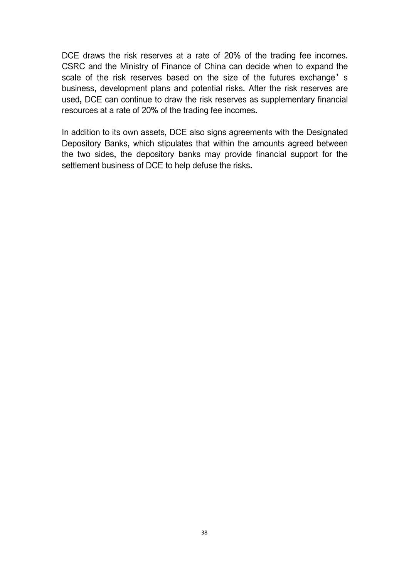DCE draws the risk reserves at a rate of 20% of the trading fee incomes. CSRC and the Ministry of Finance of China can decide when to expand the scale of the risk reserves based on the size of the futures exchange's business, development plans and potential risks. After the risk reserves are used, DCE can continue to draw the risk reserves as supplementary financial resources at a rate of 20% of the trading fee incomes.

In addition to its own assets, DCE also signs agreements with the Designated Depository Banks, which stipulates that within the amounts agreed between the two sides, the depository banks may provide financial support for the settlement business of DCE to help defuse the risks.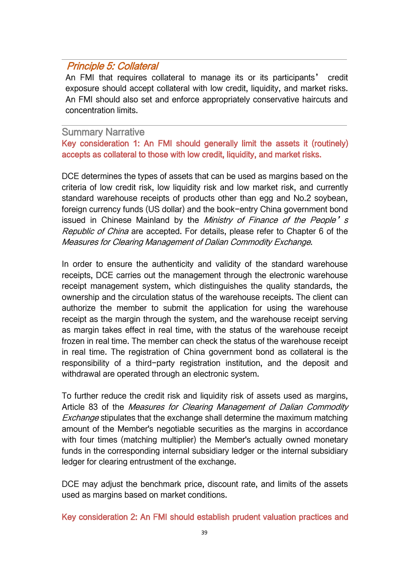# Principle 5: Collateral

An FMI that requires collateral to manage its or its participants' credit exposure should accept collateral with low credit, liquidity, and market risks. An FMI should also set and enforce appropriately conservative haircuts and concentration limits.

#### Summary Narrative

Key consideration 1: An FMI should generally limit the assets it (routinely) accepts as collateral to those with low credit, liquidity, and market risks.

DCE determines the types of assets that can be used as margins based on the criteria of low credit risk, low liquidity risk and low market risk, and currently standard warehouse receipts of products other than egg and No.2 soybean, foreign currency funds (US dollar) and the book-entry China government bond issued in Chinese Mainland by the Ministry of Finance of the People's Republic of China are accepted. For details, please refer to Chapter 6 of the Measures for Clearing Management of Dalian Commodity Exchange.

In order to ensure the authenticity and validity of the standard warehouse receipts, DCE carries out the management through the electronic warehouse receipt management system, which distinguishes the quality standards, the ownership and the circulation status of the warehouse receipts. The client can authorize the member to submit the application for using the warehouse receipt as the margin through the system, and the warehouse receipt serving as margin takes effect in real time, with the status of the warehouse receipt frozen in real time. The member can check the status of the warehouse receipt in real time. The registration of China government bond as collateral is the responsibility of a third-party registration institution, and the deposit and withdrawal are operated through an electronic system.

To further reduce the credit risk and liquidity risk of assets used as margins,<br>Article 83 of the *Measures for Clearing Management of Dalian Commodity* Exchange stipulates that the exchange shall determine the maximum matching amount of the Member's negotiable securities as the margins in accordance with four times (matching multiplier) the Member's actually owned monetary funds in the corresponding internal subsidiary ledger or the internal subsidiary ledger for clearing entrustment of the exchange.

DCE may adjust the benchmark price, discount rate, and limits of the assets used as margins based on market conditions.

Key consideration 2: An FMI should establish prudent valuation practices and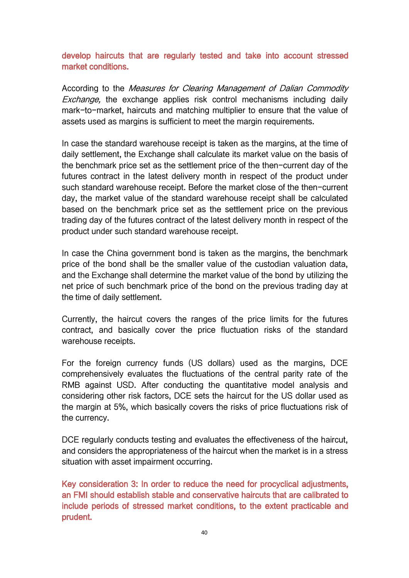develop haircuts that are regularly tested and take into account stressed market conditions.

According to the Measures for Clearing Management of Dalian Commodity Exchange, the exchange applies risk control mechanisms including daily mark-to-market, haircuts and matching multiplier to ensure that the value of assets used as margins is sufficient to meet the margin requirements.

In case the standard warehouse receipt is taken as the margins, at the time of daily settlement, the Exchange shall calculate its market value on the basis of the benchmark price set as the settlement price of the then-current day of the futures contract in the latest delivery month in respect of the product under such standard warehouse receipt. Before the market close of the then-current day, the market value of the standard warehouse receipt shall be calculated based on the benchmark price set as the settlement price on the previous trading day of the futures contract of the latest delivery month in respect of the product under such standard warehouse receipt.

In case the China government bond is taken as the margins, the benchmark price of the bond shall be the smaller value of the custodian valuation data, and the Exchange shall determine the market value of the bond by utilizing the net price of such benchmark price of the bond on the previous trading day at the time of daily settlement.

Currently, the haircut covers the ranges of the price limits for the futures contract, and basically cover the price fluctuation risks of the standard warehouse receipts.

For the foreign currency funds (US dollars) used as the margins, DCE comprehensively evaluates the fluctuations of the central parity rate of the RMB against USD. After conducting the quantitative model analysis and considering other risk factors, DCE sets the haircut for the US dollar used as the margin at 5%, which basically covers the risks of price fluctuations risk of the currency.

DCE regularly conducts testing and evaluates the effectiveness of the haircut, and considers the appropriateness of the haircut when the market is in a stress situation with asset impairment occurring.

Key consideration 3: In order to reduce the need for procyclical adjustments, an FMI should establish stable and conservative haircuts that are calibrated to include periods of stressed market conditions, to the extent practicable and prudent.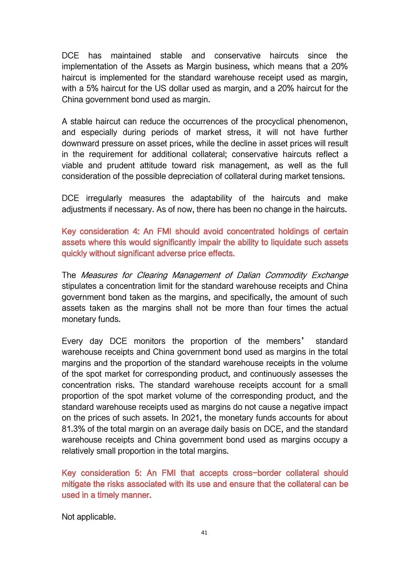DCE has maintained stable and conservative haircuts since the implementation of the Assets as Margin business, which means that a 20% haircut is implemented for the standard warehouse receipt used as margin, with a 5% haircut for the US dollar used as margin, and a 20% haircut for the China government bond used as margin.

A stable haircut can reduce the occurrences of the procyclical phenomenon, and especially during periods of market stress, it will not have further downward pressure on asset prices, while the decline in asset prices will result in the requirement for additional collateral; conservative haircuts reflect a viable and prudent attitude toward risk management, as well as the full consideration of the possible depreciation of collateral during market tensions.

DCE irregularly measures the adaptability of the haircuts and make adjustments if necessary. As of now, there has been no change in the haircuts.

Key consideration 4: An FMI should avoid concentrated holdings of certain assets where this would significantly impair the ability to liquidate such assets quickly without significant adverse price effects.

The Measures for Clearing Management of Dalian Commodity Exchange stipulates a concentration limit for the standard warehouse receipts and China government bond taken as the margins, and specifically, the amount of such assets taken as the margins shall not be more than four times the actual monetary funds.

Every day DCE monitors the proportion of the members' standard warehouse receipts and China government bond used as margins in the total margins and the proportion of the standard warehouse receipts in the volume of the spot market for corresponding product, and continuously assesses the concentration risks. The standard warehouse receipts account for a small proportion of the spot market volume of the corresponding product, and the standard warehouse receipts used as margins do not cause a negative impact on the prices of such assets. In 2021, the monetary funds accounts for about 81.3% of the total margin on an average daily basis on DCE, and the standard warehouse receipts and China government bond used as margins occupy a relatively small proportion in the total margins.

Key consideration 5: An FMI that accepts cross-border collateral should mitigate the risks associated with its use and ensure that the collateral can be used in a timely manner.

Not applicable.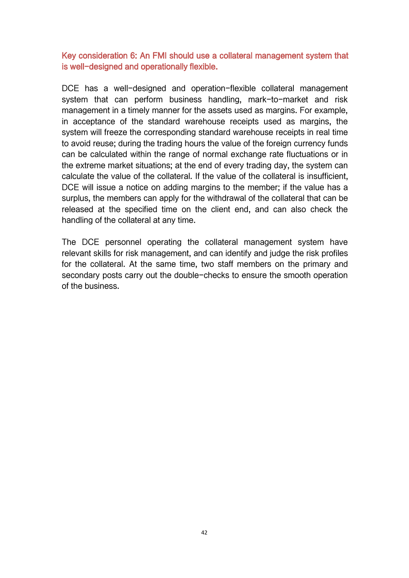Key consideration 6: An FMI should use a collateral management system that is well-designed and operationally flexible.

DCE has a well-designed and operation-flexible collateral management system that can perform business handling, mark-to-market and risk management in a timely manner for the assets used as margins. For example, in acceptance of the standard warehouse receipts used as margins, the system will freeze the corresponding standard warehouse receipts in real time to avoid reuse; during the trading hours the value of the foreign currency funds can be calculated within the range of normal exchange rate fluctuations or in the extreme market situations; at the end of every trading day, the system can calculate the value of the collateral. If the value of the collateral is insufficient, DCE will issue a notice on adding margins to the member; if the value has a surplus, the members can apply for the withdrawal of the collateral that can be released at the specified time on the client end, and can also check the handling of the collateral at any time.

The DCE personnel operating the collateral management system have relevant skills for risk management, and can identify and judge the risk profiles for the collateral. At the same time, two staff members on the primary and secondary posts carry out the double-checks to ensure the smooth operation of the business.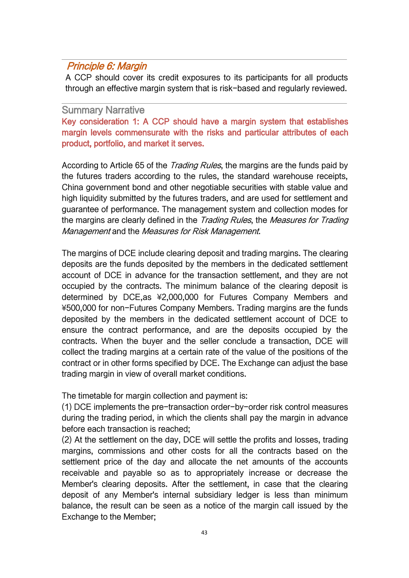# Principle 6: Margin

A CCP should cover its credit exposures to its participants for all products through an effective margin system that is risk-based and regularly reviewed.

#### Summary Narrative

Key consideration 1: A CCP should have a margin system that establishes margin levels commensurate with the risks and particular attributes of each product, portfolio, and market it serves.

According to Article 65 of the *Trading Rules*, the margins are the funds paid by the futures traders according to the rules, the standard warehouse receipts, China government bond and other negotiable securities with stable value and high liquidity submitted by the futures traders, and are used for settlement and guarantee of performance. The management system and collection modes for the margins are clearly defined in the Trading Rules, the Measures for Trading Management and the Measures for Risk Management.

The margins of DCE include clearing deposit and trading margins. The clearing deposits are the funds deposited by the members in the dedicated settlement account of DCE in advance for the transaction settlement,and they are not occupied by the contracts. The minimum balance of the clearing deposit is determined by DCE,as ¥2,000,000 for Futures Company Members and ¥500,000 for non-Futures Company Members. Trading margins are the funds deposited by the members in the dedicated settlement account of DCE to ensure the contract performance, and are the deposits occupied by the contracts. When the buyer and the seller conclude a transaction, DCE will collect the trading margins at a certain rate of the value of the positions of the contract or in other forms specified by DCE. The Exchange can adjust the base trading margin in view of overall market conditions.

The timetable for margin collection and payment is:

(1) DCE implements the pre-transaction order-by-order risk control measures during the trading period, in which the clients shall pay the margin in advance before each transaction is reached;

(2) At the settlement on the day, DCE will settle the profits and losses, trading margins, commissions and other costs for all the contracts based on the settlement price of the day and allocate the net amounts of the accounts receivable and payable so as to appropriately increase or decrease the Member's clearing deposits. After the settlement, in case that the clearing deposit of any Member's internal subsidiary ledger is less than minimum balance, the result can be seen as a notice of the margin call issued by the Exchange to the Member;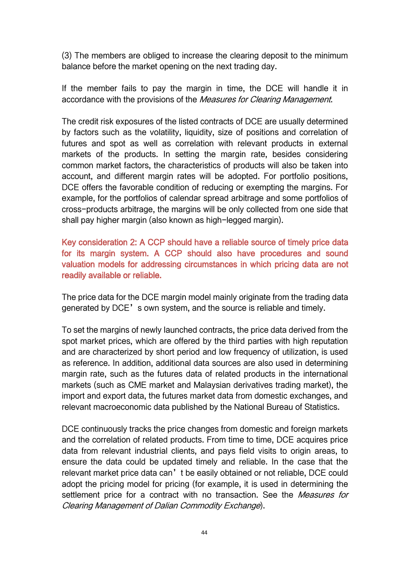(3) The members are obliged to increase the clearing deposit to the minimum balance before the market opening on the next trading day.

If the member fails to pay the margin in time, the DCE will handle it in accordance with the provisions of the *Measures for Clearing Management*.

The credit risk exposures of the listed contracts of DCE are usually determined by factors such as the volatility, liquidity, size of positions and correlation of futures and spot as well as correlation with relevant products in external markets of the products. In setting the margin rate, besides considering common market factors, the characteristics of products will also be taken into account, and different margin rates will be adopted. For portfolio positions, DCE offers the favorable condition of reducing or exempting the margins. For example, for the portfolios of calendar spread arbitrage and some portfolios of cross-products arbitrage, the margins will be only collected from one side that shall pay higher margin (also known as high-legged margin).

Key consideration 2: A CCP should have a reliable source of timely price data for its margin system. A CCP should also have procedures and sound valuation models for addressing circumstances in which pricing data are not readily available or reliable.

The price data for the DCE margin model mainly originate from the trading data generated by DCE's own system, and the source is reliable and timely.

To set the margins of newly launched contracts, the price data derived from the spot market prices, which are offered by the third parties with high reputation and are characterized by short period and low frequency of utilization, is used as reference. In addition, additional data sources are also used in determining margin rate, such as the futures data of related products in the international markets (such as CME market and Malaysian derivatives trading market), the import and export data, the futures market data from domestic exchanges, and relevant macroeconomic data published by the National Bureau of Statistics.

DCE continuously tracks the price changes from domestic and foreign markets and the correlation of related products. From time to time, DCE acquires price data from relevant industrial clients, and pays field visits to origin areas, to ensure the data could be updated timely and reliable. In the case that the relevant market price data can't be easily obtained or not reliable, DCE could adopt the pricing model for pricing (for example, it is used in determining the settlement price for a contract with no transaction. See the *Measures for* Clearing Management of Dalian Commodity Exchange).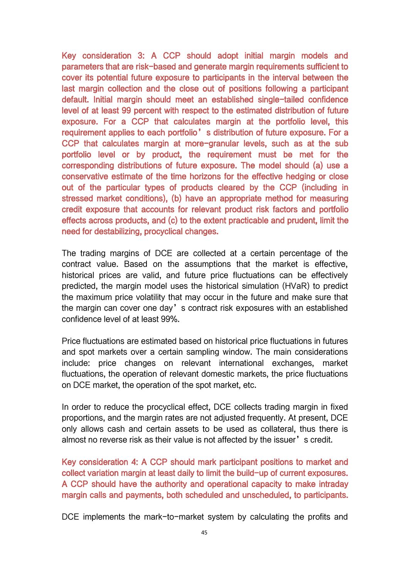Key consideration 3: A CCP should adopt initial margin models and parameters that are risk-based and generate margin requirements sufficient to cover its potential future exposure to participants in the interval between the last margin collection and the close out of positions following a participant default. Initial margin should meet an established single-tailed confidence level of at least 99 percent with respect to the estimated distribution of future exposure. For a CCP that calculates margin at the portfolio level, this requirement applies to each portfolio's distribution of future exposure. For a CCP that calculates margin at more-granular levels, such as at the sub portfolio level or by product, the requirement must be met for the corresponding distributions of future exposure. The model should (a) use a conservative estimate of the time horizons for the effective hedging or close out of the particular types of products cleared by the CCP (including in stressed market conditions), (b) have an appropriate method for measuring credit exposure that accounts for relevant product risk factors and portfolio effects across products, and (c) to the extent practicable and prudent, limit the need for destabilizing, procyclical changes.

The trading margins of DCE are collected at a certain percentage of the contract value. Based on the assumptions that the market is effective, historical prices are valid, and future price fluctuations can be effectively predicted, the margin model uses the historical simulation (HVaR) to predict the maximum price volatility that may occur in the future and make sure that the margin can cover one day's contract risk exposures with an established confidence level of at least 99%.

Price fluctuations are estimated based on historical price fluctuations in futures and spot markets over a certain sampling window. The main considerations include: price changes on relevant international exchanges, market fluctuations, the operation of relevant domestic markets, the price fluctuations on DCE market, the operation of the spot market, etc.

In order to reduce the procyclical effect, DCE collects trading margin in fixed proportions, and the margin rates are not adjusted frequently. At present, DCE only allows cash and certain assets to be used as collateral, thus there is almost no reverse risk as their value is not affected by the issuer's credit.

Key consideration 4: A CCP should mark participant positions to market and collect variation margin at least daily to limit the build-up of current exposures. A CCP should have the authority and operational capacity to make intraday margin calls and payments, both scheduled and unscheduled, to participants.

DCE implements the mark-to-market system by calculating the profits and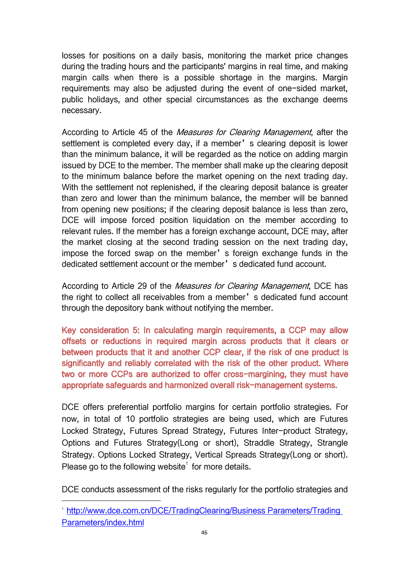losses for positions on a daily basis, monitoring the market price changes during the trading hours and the participants' margins in real time, and making margin calls when there is a possible shortage in the margins. Margin requirements may also be adjusted during the event of one-sided market, public holidays, and other special circumstances as the exchange deems necessary.

According to Article 45 of the *Measures for Clearing Management*, after the settlement is completed every day, if a member's clearing deposit is lower than the minimum balance, it will be regarded as the notice on adding margin issued by DCE to the member. The member shall make up the clearing deposit to the minimum balance before the market opening on the next trading day. With the settlement not replenished, if the clearing deposit balance is greater than zero and lower than the minimum balance, the member will be banned from opening new positions; if the clearing deposit balance is less than zero, DCE will impose forced position liquidation on the member according to relevant rules. If the member has a foreign exchange account, DCE may, after the market closing at the second trading session on the next trading day, impose the forced swap on the member's foreign exchange funds in the dedicated settlement account or the member's dedicated fund account.

According to Article 29 of the *Measures for Clearing Management*, DCE has the right to collect all receivables from a member's dedicated fund account through the depository bank without notifying the member.

Key consideration 5: In calculating margin requirements, a CCP may allow offsets or reductions in required margin across products that it clears or between products that it and another CCP clear, if the risk of one product is significantly and reliably correlated with the risk of the other product. Where two or more CCPs are authorized to offer cross-margining, they must have appropriate safeguards and harmonized overall risk-management systems.

DCE offers preferential portfolio margins for certain portfolio strategies. For now, in total of 10 portfolio strategies are being used, which are Futures Locked Strategy, Futures Spread Strategy, Futures Inter-product Strategy, Options and Futures Strategy(Long or short), Straddle Strategy, Strangle Strategy. Options Locked Strategy, Vertical Spreads Strategy(Long or short). Please go to the following website $^1$  $^1$  for more details.

DCE conducts assessment of the risks regularly for the portfolio strategies and

<span id="page-47-0"></span><sup>1</sup> [http://www.dce.com.cn/DCE/TradingClearing/Business](http://www.dce.com.cn/DCE/TradingClearing/Business Parameters/Trading Parameters/index.html) Parameters/Trading Parameters/index.html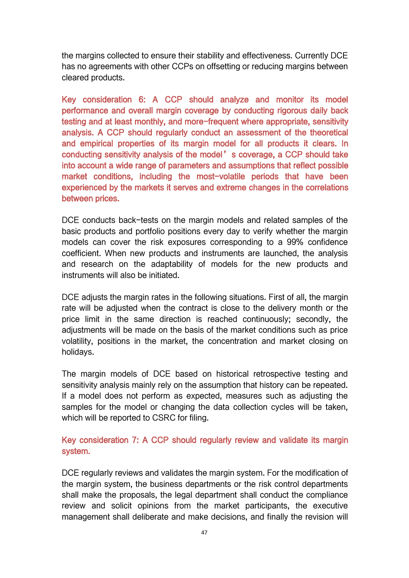the margins collected to ensure their stability and effectiveness. Currently DCE has no agreements with other CCPs on offsetting or reducing margins between cleared products.

Key consideration 6: A CCP should analyze and monitor its model performance and overall margin coverage by conducting rigorous daily back testing and at least monthly, and more-frequent where appropriate, sensitivity analysis. A CCP should regularly conduct an assessment of the theoretical and empirical properties of its margin model for all products it clears. In conducting sensitivity analysis of the model's coverage, a CCP should take into account a wide range of parameters and assumptions that reflect possible market conditions, including the most-volatile periods that have been experienced by the markets it serves and extreme changes in the correlations between prices.

DCE conducts back-tests on the margin models and related samples of the basic products and portfolio positions every day to verify whether the margin models can cover the risk exposures corresponding to a 99% confidence coefficient. When new products and instruments are launched, the analysis and research on the adaptability of models for the new products and instruments will also be initiated.

DCE adjusts the margin rates in the following situations. First of all, the margin rate will be adjusted when the contract is close to the delivery month or the price limit in the same direction is reached continuously; secondly, the adjustments will be made on the basis of the market conditions such as price volatility, positions in the market, the concentration and market closing on holidays.

The margin models of DCE based on historical retrospective testing and sensitivity analysis mainly rely on the assumption that history can be repeated. If a model does not perform as expected, measures such as adjusting the samples for the model or changing the data collection cycles will be taken, which will be reported to CSRC for filing.

## Key consideration 7: A CCP should regularly review and validate its margin system.

DCE regularly reviews and validates the margin system. For the modification of the margin system, the business departments or the risk control departments shall make the proposals, the legal department shall conduct the compliance review and solicit opinions from the market participants, the executive management shall deliberate and make decisions, and finally the revision will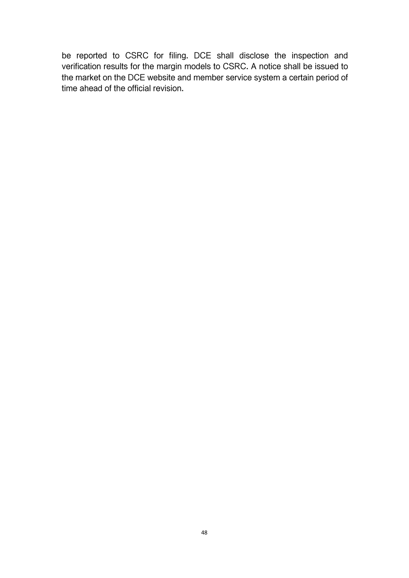be reported to CSRC for filing. DCE shall disclose the inspection and verification results for the margin models to CSRC. A notice shall be issued to the market on the DCE website and member service system a certain period of time ahead of the official revision.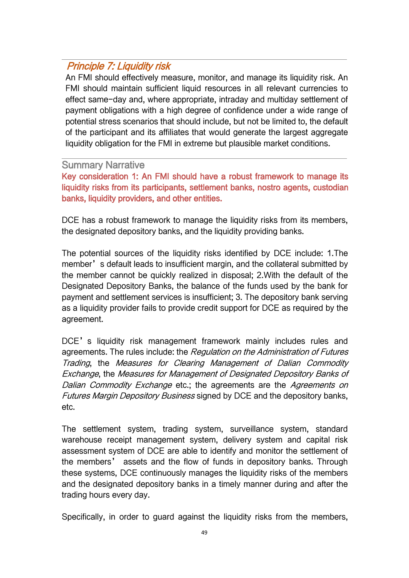# Principle 7: Liquidity risk

An FMI should effectively measure, monitor, and manage its liquidity risk. An FMI should maintain sufficient liquid resources in all relevant currencies to effect same-day and, where appropriate, intraday and multiday settlement of payment obligations with a high degree of confidence under a wide range of potential stress scenarios that should include, but not be limited to, the default of the participant and its affiliates that would generate the largest aggregate liquidity obligation for the FMI in extreme but plausible market conditions.

### Summary Narrative

Key consideration 1: An FMI should have a robust framework to manage its liquidity risks from its participants, settlement banks, nostro agents, custodian banks, liquidity providers, and other entities.

DCE has a robust framework to manage the liquidity risks from its members, the designated depository banks, and the liquidity providing banks.

The potential sources of the liquidity risks identified by DCE include: 1.The member's default leads to insufficient margin, and the collateral submitted by the member cannot be quickly realized in disposal; 2.With the default of the Designated Depository Banks, the balance of the funds used by the bank for payment and settlement services is insufficient; 3. The depository bank serving as a liquidity provider fails to provide credit support for DCE as required by the agreement.

DCE's liquidity risk management framework mainly includes rules and agreements. The rules include: the Regulation on the Administration of Futures Trading, the Measures for Clearing Management of Dalian Commodity Exchange, the Measures for Management of Designated Depository Banks of Dalian Commodity Exchange etc.; the agreements are the Agreements on Futures Margin Depository Business signed by DCE and the depository banks, etc.

The settlement system, trading system, surveillance system, standard warehouse receipt management system, delivery system and capital risk assessment system of DCE are able to identify and monitor the settlement of the members' assets and the flow of funds in depository banks. Through these systems, DCE continuously manages the liquidity risks of the members and the designated depository banks in a timely manner during and after the trading hours every day.

Specifically, in order to guard against the liquidity risks from the members,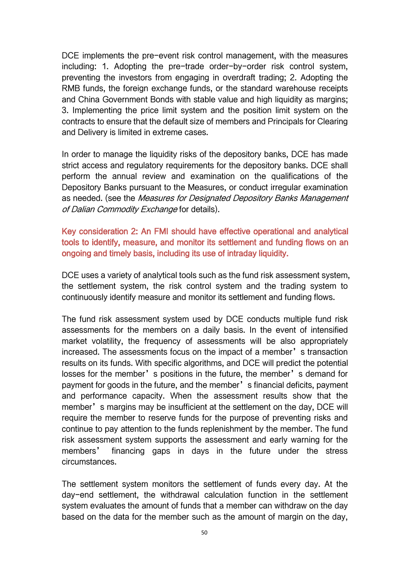DCE implements the pre-event risk control management, with the measures including: 1. Adopting the pre-trade order-by-order risk control system, preventing the investors from engaging in overdraft trading; 2. Adopting the RMB funds, the foreign exchange funds, or the standard warehouse receipts and China Government Bonds with stable value and high liquidity as margins; 3. Implementing the price limit system and the position limit system on the contracts to ensure that the default size of members and Principals for Clearing and Delivery is limited in extreme cases.

In order to manage the liquidity risks of the depository banks, DCE has made strict access and regulatory requirements for the depository banks. DCE shall perform the annual review and examination on the qualifications of the Depository Banks pursuant to the Measures, or conduct irregular examination as needed. (see the Measures for Designated Depository Banks Management of Dalian Commodity Exchange for details).

Key consideration 2: An FMI should have effective operational and analytical tools to identify, measure, and monitor its settlement and funding flows on an ongoing and timely basis, including its use of intraday liquidity.

DCE uses a variety of analytical tools such as the fund risk assessment system, the settlement system, the risk control system and the trading system to continuously identify measure and monitor its settlement and funding flows.

The fund risk assessment system used by DCE conducts multiple fund risk assessments for the members on a daily basis. In the event of intensified market volatility, the frequency of assessments will be also appropriately increased. The assessments focus on the impact of a member's transaction results on its funds. With specific algorithms, and DCE will predict the potential losses for the member's positions in the future, the member's demand for payment for goods in the future, and the member's financial deficits, payment and performance capacity. When the assessment results show that the member's margins may be insufficient at the settlement on the day, DCE will require the member to reserve funds for the purpose of preventing risks and continue to pay attention to the funds replenishment by the member. The fund risk assessment system supports the assessment and early warning for the members' financing gaps in days in the future under the stress circumstances.

The settlement system monitors the settlement of funds every day. At the day-end settlement, the withdrawal calculation function in the settlement system evaluates the amount of funds that a member can withdraw on the day based on the data for the member such as the amount of margin on the day,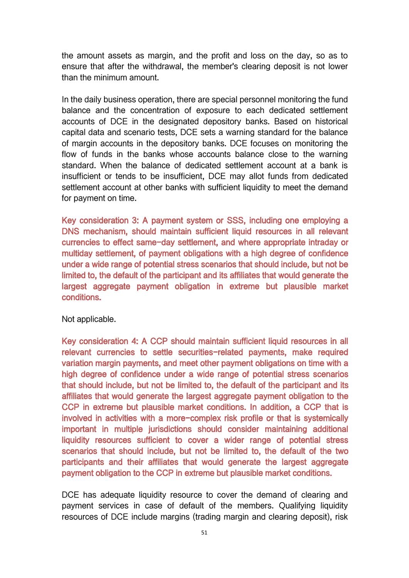the amount assets as margin, and the profit and loss on the day, so as to ensure that after the withdrawal, the member's clearing deposit is not lower than the minimum amount.

In the daily business operation, there are special personnel monitoring the fund balance and the concentration of exposure to each dedicated settlement accounts of DCE in the designated depository banks. Based on historical capital data and scenario tests, DCE sets a warning standard for the balance of margin accounts in the depository banks. DCE focuses on monitoring the flow of funds in the banks whose accounts balance close to the warning standard. When the balance of dedicated settlement account at a bank is insufficient or tends to be insufficient, DCE may allot funds from dedicated settlement account at other banks with sufficient liquidity to meet the demand for payment on time.

Key consideration 3: A payment system or SSS, including one employing a DNS mechanism, should maintain sufficient liquid resources in all relevant currencies to effect same-day settlement, and where appropriate intraday or multiday settlement, of payment obligations with a high degree of confidence under a wide range of potential stress scenarios that should include, but not be limited to, the default of the participant and its affiliates that would generate the largest aggregate payment obligation in extreme but plausible market conditions.

Not applicable.

Key consideration 4: A CCP should maintain sufficient liquid resources in all relevant currencies to settle securities-related payments, make required variation margin payments, and meet other payment obligations on time with a high degree of confidence under a wide range of potential stress scenarios that should include, but not be limited to, the default of the participant and its affiliates that would generate the largest aggregate payment obligation to the CCP in extreme but plausible market conditions. In addition, a CCP that is involved in activities with a more-complex risk profile or that is systemically important in multiple jurisdictions should consider maintaining additional liquidity resources sufficient to cover a wider range of potential stress scenarios that should include, but not be limited to, the default of the two participants and their affiliates that would generate the largest aggregate payment obligation to the CCP in extreme but plausible market conditions.

DCE has adequate liquidity resource to cover the demand of clearing and payment services in case of default of the members. Qualifying liquidity resources of DCE include margins (trading margin and clearing deposit), risk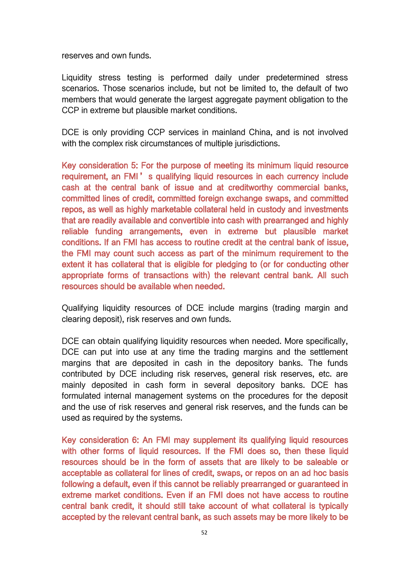reserves and own funds.

Liquidity stress testing is performed daily under predetermined stress scenarios. Those scenarios include, but not be limited to, the default of two members that would generate the largest aggregate payment obligation to the CCP in extreme but plausible market conditions.

DCE is only providing CCP services in mainland China, and is not involved with the complex risk circumstances of multiple jurisdictions.

Key consideration 5: For the purpose of meeting its minimum liquid resource requirement, an FMI's qualifying liquid resources in each currency include cash at the central bank of issue and at creditworthy commercial banks, committed lines of credit, committed foreign exchange swaps, and committed repos, as well as highly marketable collateral held in custody and investments that are readily available and convertible into cash with prearranged and highly reliable funding arrangements, even in extreme but plausible market conditions. If an FMI has access to routine credit at the central bank of issue, the FMI may count such access as part of the minimum requirement to the extent it has collateral that is eligible for pledging to (or for conducting other appropriate forms of transactions with) the relevant central bank. All such resources should be available when needed.

Qualifying liquidity resources of DCE include margins (trading margin and clearing deposit), risk reserves and own funds.

DCE can obtain qualifying liquidity resources when needed. More specifically, DCE can put into use at any time the trading margins and the settlement margins that are deposited in cash in the depository banks. The funds contributed by DCE including risk reserves, general risk reserves, etc. are mainly deposited in cash form in several depository banks. DCE has formulated internal management systems on the procedures for the deposit and the use of risk reserves and general risk reserves, and the funds can be used as required by the systems.

Key consideration 6: An FMI may supplement its qualifying liquid resources with other forms of liquid resources. If the FMI does so, then these liquid resources should be in the form of assets that are likely to be saleable or acceptable as collateral for lines of credit, swaps, or repos on an ad hoc basis following a default, even if this cannot be reliably prearranged or guaranteed in extreme market conditions. Even if an FMI does not have access to routine central bank credit, it should still take account of what collateral is typically accepted by the relevant central bank, as such assets may be more likely to be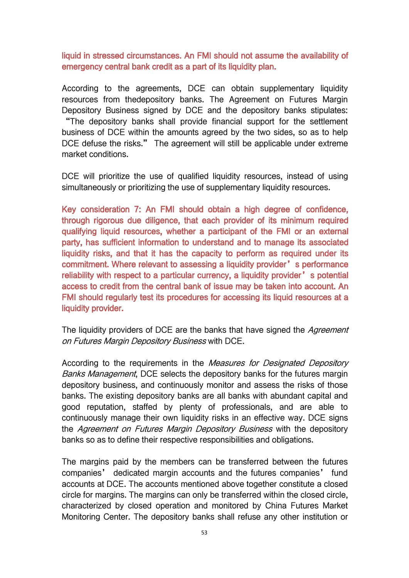liquid in stressed circumstances. An FMI should not assume the availability of emergency central bank credit as a part of its liquidity plan.

According to the agreements, DCE can obtain supplementary liquidity resources from thedepository banks. The Agreement on Futures Margin Depository Business signed by DCE and the depository banks stipulates: "The depository banks shall provide financial support for the settlement business of DCE within the amounts agreed by the two sides, so as to help DCE defuse the risks." The agreement will still be applicable under extreme market conditions.

DCE will prioritize the use of qualified liquidity resources, instead of using simultaneously or prioritizing the use of supplementary liquidity resources.

Key consideration 7: An FMI should obtain a high degree of confidence, through rigorous due diligence, that each provider of its minimum required qualifying liquid resources, whether a participant of the FMI or an external party, has sufficient information to understand and to manage its associated liquidity risks, and that it has the capacity to perform as required under its commitment. Where relevant to assessing a liquidity provider's performance reliability with respect to a particular currency, a liquidity provider's potential access to credit from the central bank of issue may be taken into account. An FMI should regularly test its procedures for accessing its liquid resources at a liquidity provider.

The liquidity providers of DCE are the banks that have signed the Agreement on Futures Margin Depository Business with DCE.

According to the requirements in the Measures for Designated Depository Banks Management, DCE selects the depository banks for the futures margin depository business, and continuously monitor and assess the risks of those banks. The existing depository banks are all banks with abundant capital and good reputation, staffed by plenty of professionals, and are able to continuously manage their own liquidity risks in an effective way. DCE signs the Agreement on Futures Margin Depository Business with the depository banks so as to define their respective responsibilities and obligations.

The margins paid by the members can be transferred between the futures companies' dedicated margin accounts and the futures companies' fund accounts at DCE. The accounts mentioned above together constitute a closed circle for margins. The margins can only be transferred within the closed circle, characterized by closed operation and monitored by China Futures Market Monitoring Center. The depository banks shall refuse any other institution or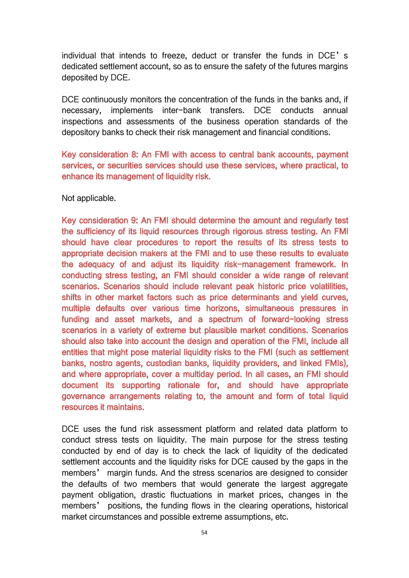individual that intends to freeze, deduct or transfer the funds in DCE's dedicated settlement account, so as to ensure the safety of the futures margins deposited by DCE.

DCE continuously monitors the concentration of the funds in the banks and, if necessary, implements inter-bank transfers. DCE conducts annual inspections and assessments of the business operation standards of the depository banks to check their risk management and financial conditions.

Key consideration 8: An FMI with access to central bank accounts, payment services, or securities services should use these services, where practical, to enhance its management of liquidity risk.

Not applicable.

Key consideration 9: An FMI should determine the amount and regularly test the sufficiency of its liquid resources through rigorous stress testing. An FMI should have clear procedures to report the results of its stress tests to appropriate decision makers at the FMI and to use these results to evaluate the adequacy of and adjust its liquidity risk-management framework. In conducting stress testing, an FMI should consider a wide range of relevant scenarios. Scenarios should include relevant peak historic price volatilities, shifts in other market factors such as price determinants and yield curves, multiple defaults over various time horizons, simultaneous pressures in funding and asset markets, and a spectrum of forward-looking stress scenarios in a variety of extreme but plausible market conditions. Scenarios should also take into account the design and operation of the FMI, include all entities that might pose material liquidity risks to the FMI (such as settlement banks, nostro agents, custodian banks, liquidity providers, and linked FMIs), and where appropriate, cover a multiday period. In all cases, an FMI should document its supporting rationale for, and should have appropriate governance arrangements relating to, the amount and form of total liquid resources it maintains.

DCE uses the fund risk assessment platform and related data platform to conduct stress tests on liquidity. The main purpose for the stress testing conducted by end of day is to check the lack of liquidity of the dedicated settlement accounts and the liquidity risks for DCE caused by the gaps in the members' margin funds. And the stress scenarios are designed to consider the defaults of two members that would generate the largest aggregate payment obligation, drastic fluctuations in market prices, changes in the members' positions, the funding flows in the clearing operations, historical market circumstances and possible extreme assumptions, etc.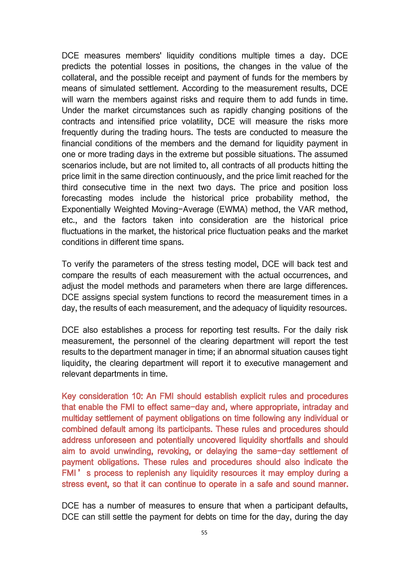DCE measures members' liquidity conditions multiple times a day. DCE predicts the potential losses in positions, the changes in the value of the collateral, and the possible receipt and payment of funds for the members by means of simulated settlement.According to the measurement results, DCE will warn the members against risks and require them to add funds in time. Under the market circumstances such as rapidly changing positions of the contracts and intensified price volatility, DCE will measure the risks more frequently during the trading hours. The tests are conducted to measure the financial conditions of the members and the demand for liquidity payment in one or more trading days in the extreme but possible situations. The assumed scenarios include, but are not limited to, all contracts of all products hitting the price limit in the same direction continuously, and the price limit reached for the third consecutive time in the next two days. The price and position loss forecasting modes include the historical price probability method, the Exponentially Weighted Moving-Average (EWMA) method, the VAR method, etc., and the factors taken into consideration are the historical price fluctuations in the market, the historical price fluctuation peaks and the market conditions in different time spans.

To verify the parameters of the stress testing model, DCE will back test and compare the results of each measurement with the actual occurrences, and adjust the model methods and parameters when there are large differences. DCE assigns special system functions to record the measurement times in a day, the results of each measurement, and the adequacy of liquidity resources.

DCE also establishes a process for reporting test results. For the daily risk measurement, the personnel of the clearing department will report the test results to the department manager in time; if an abnormal situation causes tight liquidity, the clearing department will report it to executive management and relevant departments in time.

Key consideration 10: An FMI should establish explicit rules and procedures that enable the FMI to effect same-day and, where appropriate, intraday and multiday settlement of payment obligations on time following any individual or combined default among its participants. These rules and procedures should address unforeseen and potentially uncovered liquidity shortfalls and should aim to avoid unwinding, revoking, or delaying the same-day settlement of payment obligations. These rules and procedures should also indicate the FMI's process to replenish any liquidity resources it may employ during a stress event, so that it can continue to operate in a safe and sound manner.

DCE has a number of measures to ensure that when a participant defaults, DCE can still settle the payment for debts on time for the day, during the day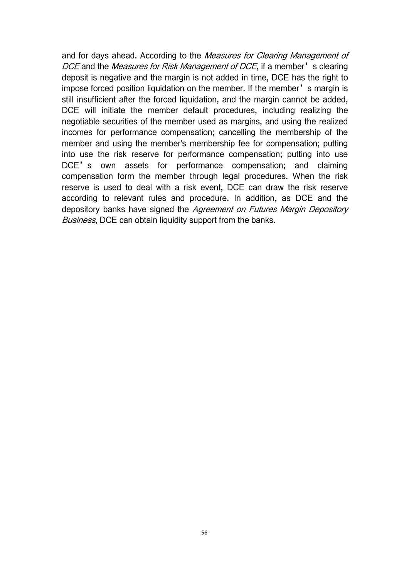and for days ahead. According to the Measures for Clearing Management of DCE and the *Measures for Risk Management of DCE*, if a member's clearing deposit is negative and the margin is not added in time, DCE has the right to impose forced position liquidation on the member. If the member's margin is still insufficient after the forced liquidation, and the margin cannot be added, DCE will initiate the member default procedures, including realizing the negotiable securities of the member used as margins, and using the realized incomes for performance compensation; cancelling the membership of the member and using the member's membership fee for compensation; putting into use the risk reserve for performance compensation; putting into use DCE's own assets for performance compensation; and claiming compensation form the member through legal procedures. When the risk reserve is used to deal with a risk event, DCE can draw the risk reserve according to relevant rules and procedure. In addition, as DCE and the depository banks have signed the Agreement on Futures Margin Depository Business, DCE can obtain liquidity support from the banks.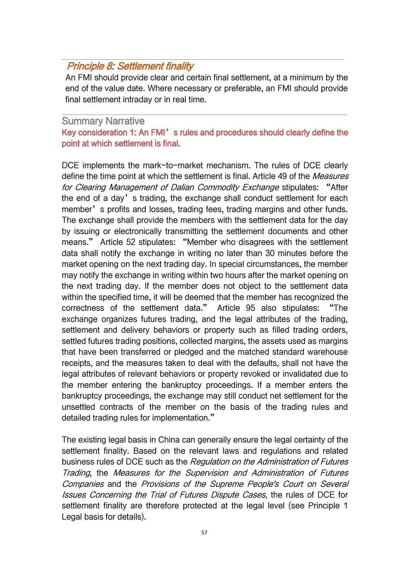# Principle 8: Settlement finality

An FMI should provide clear and certain final settlement, at a minimum by the end of the value date. Where necessary or preferable, an FMI should provide final settlement intraday or in real time.

## Summary Narrative

Key consideration 1: An FMI's rules and procedures should clearly define the point at which settlement is final.

DCE implements the mark-to-market mechanism. The rules of DCE clearly define the time point at which the settlement is final. Article 49 of the Measures for Clearing Management of Dalian Commodity Exchange stipulates: "After the end of a day's trading, the exchange shall conduct settlement for each member's profits and losses, trading fees, trading margins and other funds. The exchange shall provide the members with the settlement data for the day by issuing or electronically transmitting the settlement documents and other means." Article 52 stipulates: "Member who disagrees with the settlement data shall notify the exchange in writing no later than 30 minutes before the market opening on the next trading day. In special circumstances, the member may notify the exchange in writing within two hours after the market opening on the next trading day. If the member does not object to the settlement data within the specified time, it will be deemed that the member has recognized the correctness of the settlement data." Article 95 also stipulates: "The exchange organizes futures trading, and the legal attributes of the trading, settlement and delivery behaviors or property such as filled trading orders, settled futures trading positions, collected margins, the assets used as margins that have been transferred or pledged and the matched standard warehouse receipts, and the measures taken to deal with the defaults, shall not have the legal attributes of relevant behaviors or property revoked or invalidated due to the member entering the bankruptcy proceedings. If a member enters the bankruptcy proceedings, the exchange may still conduct net settlement for the unsettled contracts of the member on the basis of the trading rules and detailed trading rules for implementation."

The existing legal basis in China can generally ensure the legal certainty of the settlement finality. Based on the relevant laws and regulations and related business rules of DCE such as the Regulation on the Administration of Futures Trading, the Measures for the Supervision and Administration of Futures Companies and the Provisions of the Supreme People's Court on Several Issues Concerning the Trial of Futures Dispute Cases, the rules of DCE for settlement finality are therefore protected at the legal level (see Principle 1 Legal basis for details).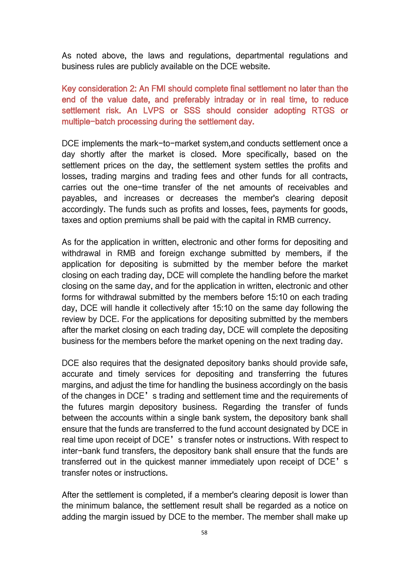As noted above, the laws and regulations, departmental regulations and business rules are publicly available on the DCE website.

Key consideration 2: An FMI should complete final settlement no later than the end of the value date, and preferably intraday or in real time, to reduce settlement risk. An LVPS or SSS should consider adopting RTGS or multiple-batch processing during the settlement day.

DCE implements the mark-to-market system,and conducts settlement once a day shortly after the market is closed. More specifically, based on the settlement prices on the day, the settlement system settles the profits and losses, trading margins and trading fees and other funds for all contracts, carries out the one-time transfer of the net amounts of receivables and payables, and increases or decreases the member's clearing deposit accordingly. The funds such as profits and losses, fees, payments for goods, taxes and option premiums shall be paid with the capital in RMB currency.

As for the application in written, electronic and other forms for depositing and withdrawal in RMB and foreign exchange submitted by members, if the application for depositing is submitted by the member before the market closing on each trading day, DCE will complete the handling before the market closing on the same day, and for the application in written, electronic and other forms for withdrawal submitted by the members before 15:10 on each trading day, DCE will handle it collectively after 15:10 on the same day following the review by DCE. For the applications for depositing submitted by the members after the market closing on each trading day, DCE will complete the depositing business for the members before the market opening on the next trading day.

DCE also requires that the designated depository banks should provide safe, accurate and timely services for depositing and transferring the futures margins, and adjust the time for handling the business accordingly on the basis of the changes in DCE's trading and settlement time and the requirements of the futures margin depository business. Regarding the transfer of funds between the accounts within a single bank system, the depository bank shall ensure that the funds are transferred to the fund account designated by DCE in real time upon receipt of DCE's transfer notes or instructions. With respect to inter-bank fund transfers, the depository bank shall ensure that the funds are transferred out in the quickest manner immediately upon receipt of DCE's transfer notes or instructions.

After the settlement is completed, if a member's clearing deposit is lower than the minimum balance, the settlement result shall be regarded as a notice on adding the margin issued by DCE to the member. The member shall make up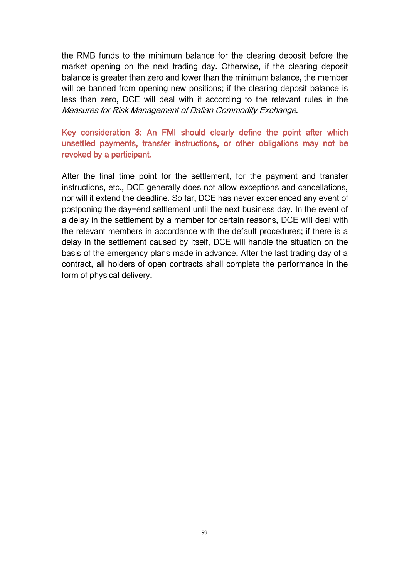the RMB funds to the minimum balance for the clearing deposit before the market opening on the next trading day. Otherwise, if the clearing deposit balance is greater than zero and lower than the minimum balance, the member will be banned from opening new positions; if the clearing deposit balance is less than zero, DCE will deal with it according to the relevant rules in the Measures for Risk Management of Dalian Commodity Exchange.

### Key consideration 3: An FMI should clearly define the point after which unsettled payments, transfer instructions, or other obligations may not be revoked by a participant.

After the final time point for the settlement, for the payment and transfer instructions, etc., DCE generally does not allow exceptions and cancellations, nor will it extend the deadline. So far, DCE has never experienced any event of postponing the day-end settlement until the next business day. In the event of a delay in the settlement by a member for certain reasons, DCE will deal with the relevant members in accordance with the default procedures; if there is a delay in the settlement caused by itself, DCE will handle the situation on the basis of the emergency plans made in advance. After the last trading day of a contract, all holders of open contracts shall complete the performance in the form of physical delivery.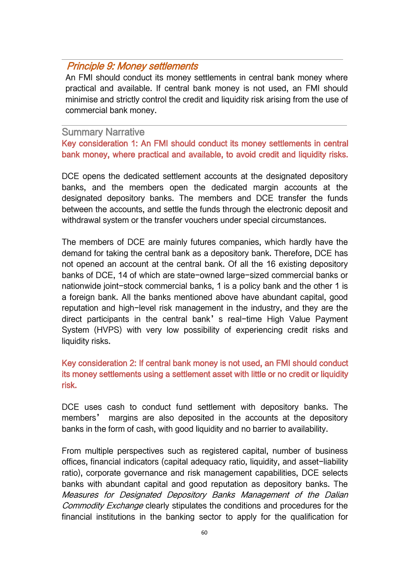## Principle 9: Money settlements

An FMI should conduct its money settlements in central bank money where practical and available. If central bank money is not used, an FMI should minimise and strictly control the credit and liquidity risk arising from the use of commercial bank money.

#### Summary Narrative

Key consideration 1: An FMI should conduct its money settlements in central bank money, where practical and available, to avoid credit and liquidity risks.

DCE opens the dedicated settlement accounts at the designated depository banks, and the members open the dedicated margin accounts at the designated depository banks. The members and DCE transfer the funds between the accounts, and settle the funds through the electronic deposit and withdrawal system or the transfer vouchers under special circumstances.

The members of DCE are mainly futures companies, which hardly have the demand for taking the central bank as a depository bank. Therefore, DCE has not opened an account at the central bank. Of all the 16 existing depository banks of DCE, 14 of which are state-owned large-sized commercial banks or nationwide joint-stock commercial banks, 1 is a policy bank and the other 1 is a foreign bank. All the banks mentioned above have abundant capital, good reputation and high-level risk management in the industry, and they are the direct participants in the central bank's real-time High Value Payment System (HVPS) with very low possibility of experiencing credit risks and liquidity risks.

### Key consideration 2: If central bank money is not used, an FMI should conduct its money settlements using a settlement asset with little or no credit or liquidity risk.

DCE uses cash to conduct fund settlement with depository banks. The members' margins are also deposited in the accounts at the depository banks in the form of cash, with good liquidity and no barrier to availability.

From multiple perspectives such as registered capital, number of business offices, financial indicators (capital adequacy ratio, liquidity, and asset-liability ratio), corporate governance and risk management capabilities, DCE selects banks with abundant capital and good reputation as depository banks. The Measures for Designated Depository Banks Management of the Dalian Commodity Exchange clearly stipulates the conditions and procedures for the financial institutions in the banking sector to apply for the qualification for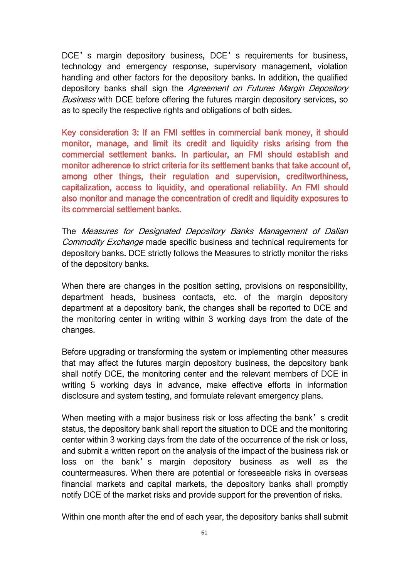DCE's margin depository business, DCE's requirements for business, technology and emergency response, supervisory management, violation handling and other factors for the depository banks. In addition, the qualified depository banks shall sign the Agreement on Futures Margin Depository Business with DCE before offering the futures margin depository services, so as to specify the respective rights and obligations of both sides.

Key consideration 3: If an FMI settles in commercial bank money, it should monitor, manage, and limit its credit and liquidity risks arising from the commercial settlement banks. In particular, an FMI should establish and monitor adherence to strict criteria for its settlement banks that take account of, among other things, their regulation and supervision, creditworthiness, capitalization, access to liquidity, and operational reliability. An FMI should also monitor and manage the concentration of credit and liquidity exposures to its commercial settlement banks.

The Measures for Designated Depository Banks Management of Dalian Commodity Exchange made specific business and technical requirements for depository banks. DCE strictly follows the Measures to strictly monitor the risks of the depository banks.

When there are changes in the position setting, provisions on responsibility, department heads, business contacts, etc. of the margin depository department at a depository bank, the changes shall be reported to DCE and the monitoring center in writing within 3 working days from the date of the changes.

Before upgrading or transforming the system or implementing other measures that may affect the futures margin depository business, the depository bank shall notify DCE, the monitoring center and the relevant members of DCE in writing 5 working days in advance, make effective efforts in information disclosure and system testing, and formulate relevant emergency plans.

When meeting with a major business risk or loss affecting the bank's credit status, the depository bank shall report the situation to DCE and the monitoring center within 3 working days from the date of the occurrence of the risk or loss, and submit a written report on the analysis of the impact of the business risk or loss on the bank's margin depository business as well as the countermeasures. When there are potential or foreseeable risks in overseas financial markets and capital markets, the depository banks shall promptly notify DCE of the market risks and provide support for the prevention of risks.

Within one month after the end of each year, the depository banks shall submit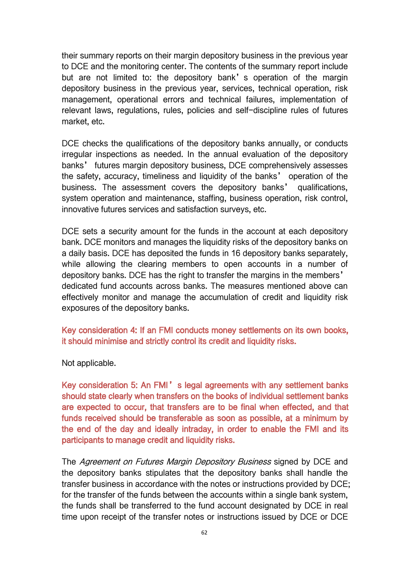their summary reports on their margin depository business in the previous year to DCE and the monitoring center. The contents of the summary report include but are not limited to: the depository bank's operation of the margin depository business in the previous year, services, technical operation, risk management, operational errors and technical failures, implementation of relevant laws, regulations, rules, policies and self-discipline rules of futures market, etc.

DCE checks the qualifications of the depository banks annually, or conducts irregular inspections as needed. In the annual evaluation of the depository banks' futures margin depository business, DCE comprehensively assesses the safety, accuracy, timeliness and liquidity of the banks' operation of the business. The assessment covers the depository banks' qualifications, system operation and maintenance, staffing, business operation, risk control, innovative futures services and satisfaction surveys, etc.

DCE sets a security amount for the funds in the account at each depository bank. DCE monitors and manages the liquidity risks of the depository banks on a daily basis.DCE has deposited the funds in 16 depository banks separately, while allowing the clearing members to open accounts in a number of depository banks. DCE has the right to transfer the margins in the members' dedicated fund accounts across banks. The measures mentioned above can effectively monitor and manage the accumulation of credit and liquidity risk exposures of the depository banks.

Key consideration 4: If an FMI conducts money settlements on its own books, it should minimise and strictly control its credit and liquidity risks.

Not applicable.

Key consideration 5: An FMI's legal agreements with any settlement banks should state clearly when transfers on the books of individual settlement banks are expected to occur, that transfers are to be final when effected, and that funds received should be transferable as soon as possible, at a minimum by the end of the day and ideally intraday, in order to enable the FMI and its participants to manage credit and liquidity risks.

The Agreement on Futures Margin Depository Business signed by DCE and the depository banks stipulates that the depository banks shall handle the transfer business in accordance with the notes or instructions provided by DCE; for the transfer of the funds between the accounts within a single bank system, the funds shall be transferred to the fund account designated by DCE in real time upon receipt of the transfer notes or instructions issued by DCE or DCE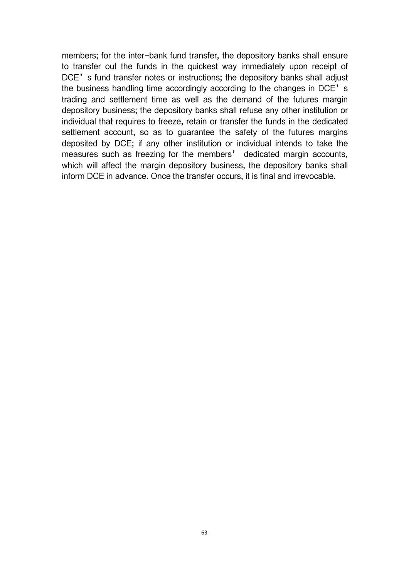members; for the inter-bank fund transfer, the depository banks shall ensure to transfer out the funds in the quickest way immediately upon receipt of DCE's fund transfer notes or instructions; the depository banks shall adjust the business handling time accordingly according to the changes in DCE's trading and settlement time as well as the demand of the futures margin depository business; the depository banks shall refuse any other institution or individual that requires to freeze, retain or transfer the funds in the dedicated settlement account, so as to guarantee the safety of the futures margins deposited by DCE; if any other institution or individual intends to take the measures such as freezing for the members' dedicated margin accounts, which will affect the margin depository business, the depository banks shall inform DCE in advance. Once the transfer occurs, it is final and irrevocable.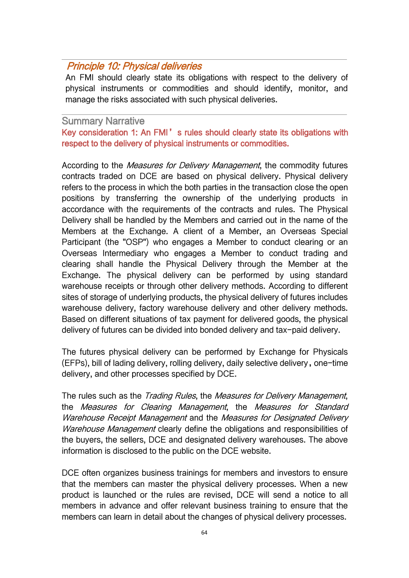# Principle 10: Physical deliveries

An FMI should clearly state its obligations with respect to the delivery of physical instruments or commodities and should identify, monitor, and manage the risks associated with such physical deliveries.

#### Summary Narrative

Key consideration 1: An FMI's rules should clearly state its obligations with respect to the delivery of physical instruments or commodities.

According to the *Measures for Delivery Management*, the commodity futures contracts traded on DCE are based on physical delivery. Physical delivery refers to the process in which the both parties in the transaction close the open positions by transferring the ownership of the underlying products in accordance with the requirements of the contracts and rules. The Physical Delivery shall be handled by the Members and carried out in the name of the Members at the Exchange. A client of a Member, an Overseas Special Participant (the "OSP") who engages a Member to conduct clearing or an Overseas Intermediary who engages a Member to conduct trading and clearing shall handle the Physical Delivery through the Member at the Exchange. The physical delivery can be performed by using standard warehouse receipts or through other delivery methods. According to different sites of storage of underlying products, the physical delivery of futures includes warehouse delivery, factory warehouse delivery and other delivery methods. Based on different situations of tax payment for delivered goods, the physical delivery of futures can be divided into bonded delivery and tax-paid delivery.

The futures physical delivery can be performed by Exchange for Physicals (EFPs), bill of lading delivery, rolling delivery, daily selective delivery,one-time delivery, and other processes specified by DCE.

The rules such as the Trading Rules, the Measures for Delivery Management, the Measures for Clearing Management, the Measures for Standard Warehouse Receipt Management and the Measures for Designated Delivery Warehouse Management clearly define the obligations and responsibilities of the buyers, the sellers, DCE and designated delivery warehouses. The above information is disclosed to the public on the DCE website.

DCE often organizes business trainings for members and investors to ensure that the members can master the physical delivery processes. When a new product is launched or the rules are revised, DCE will send a notice to all members in advance and offer relevant business training to ensure that the members can learn in detail about the changes of physical delivery processes.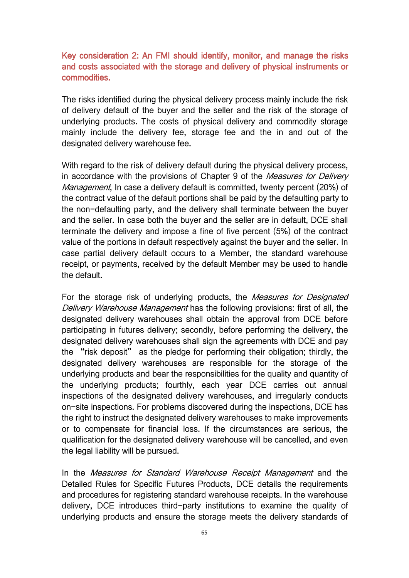### Key consideration 2: An FMI should identify, monitor, and manage the risks and costs associated with the storage and delivery of physical instruments or commodities.

The risks identified during the physical delivery process mainly include the risk of delivery default of the buyer and the seller and the risk of the storage of underlying products. The costs of physical delivery and commodity storage mainly include the delivery fee, storage fee and the in and out of the designated delivery warehouse fee.

With regard to the risk of delivery default during the physical delivery process, in accordance with the provisions of Chapter 9 of the Measures for Delivery Management, In case a delivery default is committed, twenty percent (20%) of the contract value of the default portions shall be paid by the defaulting party to the non-defaulting party, and the delivery shall terminate between the buyer and the seller. In case both the buyer and the seller are in default, DCE shall terminate the delivery and impose a fine of five percent (5%) of the contract value of the portions in default respectively against the buyer and the seller. In case partial delivery default occurs to a Member, the standard warehouse receipt, or payments, received by the default Member may be used to handle the default.

For the storage risk of underlying products, the Measures for Designated Delivery Warehouse Management has the following provisions: first of all, the designated delivery warehouses shall obtain the approval from DCE before participating in futures delivery; secondly, before performing the delivery, the designated delivery warehouses shall sign the agreements with DCE and pay the "risk deposit" as the pledge for performing their obligation; thirdly, the designated delivery warehouses are responsible for the storage of the underlying products and bear the responsibilities for the quality and quantity of the underlying products; fourthly, each year DCE carries out annual inspections of the designated delivery warehouses, and irregularly conducts on-site inspections. For problems discovered during the inspections, DCE has the right to instruct the designated delivery warehouses to make improvements or to compensate for financial loss. If the circumstances are serious, the qualification for the designated delivery warehouse will be cancelled, and even the legal liability will be pursued.

In the Measures for Standard Warehouse Receipt Management and the Detailed Rules for Specific Futures Products, DCE details the requirements and procedures for registering standard warehouse receipts. In the warehouse delivery, DCE introduces third-party institutions to examine the quality of underlying products and ensure the storage meets the delivery standards of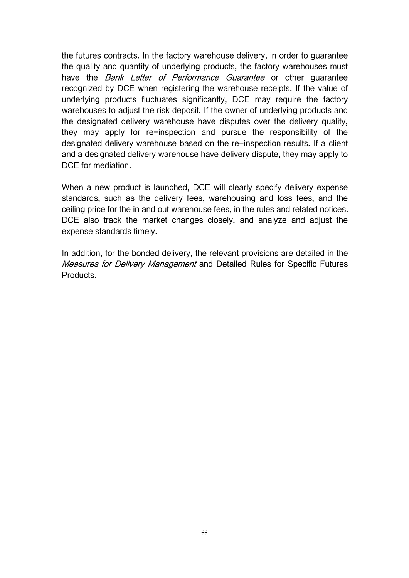the futures contracts. In the factory warehouse delivery, in order to guarantee the quality and quantity of underlying products, the factory warehouses must have the *Bank Letter of Performance Guarantee* or other guarantee recognized by DCE when registering the warehouse receipts. If the value of underlying products fluctuates significantly, DCE may require the factory warehouses to adjust the risk deposit. If the owner of underlying products and the designated delivery warehouse have disputes over the delivery quality, they may apply for re-inspection and pursue the responsibility of the designated delivery warehouse based on the re-inspection results. If a client and a designated delivery warehouse have delivery dispute, they may apply to DCE for mediation.

When a new product is launched, DCE will clearly specify delivery expense standards, such as the delivery fees, warehousing and loss fees, and the ceiling price for the in and out warehouse fees, in the rules and related notices. DCE also track the market changes closely, and analyze and adjust the expense standards timely.

In addition, for the bonded delivery, the relevant provisions are detailed in the Measures for Delivery Management and Detailed Rules for Specific Futures Products.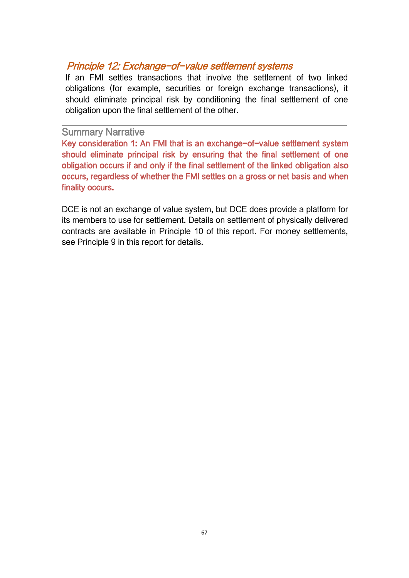# Principle 12: Exchange-of-value settlement systems

If an FMI settles transactions that involve the settlement of two linked obligations (for example, securities or foreign exchange transactions), it should eliminate principal risk by conditioning the final settlement of one obligation upon the final settlement of the other.

### Summary Narrative

Key consideration 1: An FMI that is an exchange-of-value settlement system should eliminate principal risk by ensuring that the final settlement of one obligation occurs if and only if the final settlement of the linked obligation also occurs, regardless of whether the FMI settles on a gross or net basis and when finality occurs.

DCE is not an exchange of value system, but DCE does provide a platform for its members to use for settlement. Details on settlement of physically delivered contracts are available in Principle 10 of this report. For money settlements, see Principle 9 in this report for details.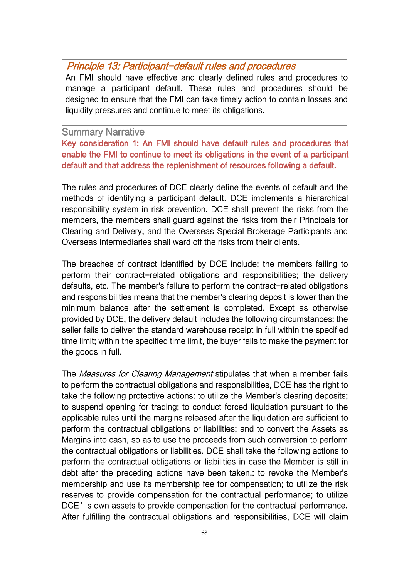### Principle 13: Participant-default rules and procedures

An FMI should have effective and clearly defined rules and procedures to manage a participant default. These rules and procedures should be designed to ensure that the FMI can take timely action to contain losses and liquidity pressures and continue to meet its obligations.

#### Summary Narrative

Key consideration 1: An FMI should have default rules and procedures that enable the FMI to continue to meet its obligations in the event of a participant default and that address the replenishment of resources following a default.

The rules and procedures of DCE clearly define the events of default and the methods of identifying a participant default. DCE implements a hierarchical responsibility system in risk prevention. DCE shall prevent the risks from the members, the members shall guard against the risks from their Principals for Clearing and Delivery, and the Overseas Special Brokerage Participants and Overseas Intermediaries shall ward off the risks from their clients.

The breaches of contract identified by DCE include: the members failing to perform their contract-related obligations and responsibilities; the delivery defaults, etc. The member's failure to perform the contract-related obligations and responsibilities means that the member's clearing deposit is lower than the minimum balance after the settlement is completed. Except as otherwise provided by DCE, the delivery default includes the following circumstances: the seller fails to deliver the standard warehouse receipt in full within the specified time limit; within the specified time limit, the buyer fails to make the payment for the goods in full.

The *Measures for Clearing Management* stipulates that when a member fails to perform the contractual obligations and responsibilities, DCE has the right to take the following protective actions: to utilize the Member's clearing deposits; to suspend opening for trading; to conduct forced liquidation pursuant to the applicable rules until the margins released after the liquidation are sufficient to perform the contractual obligations or liabilities; and to convert the Assets as Margins into cash, so as to use the proceeds from such conversion to perform the contractual obligations or liabilities. DCE shall take the following actions to perform the contractual obligations or liabilities in case the Member is still in debt after the preceding actions have been taken.: to revoke the Member's membership and use its membership fee for compensation; to utilize the risk reserves to provide compensation for the contractual performance; to utilize DCE's own assets to provide compensation for the contractual performance. After fulfilling the contractual obligations and responsibilities, DCE will claim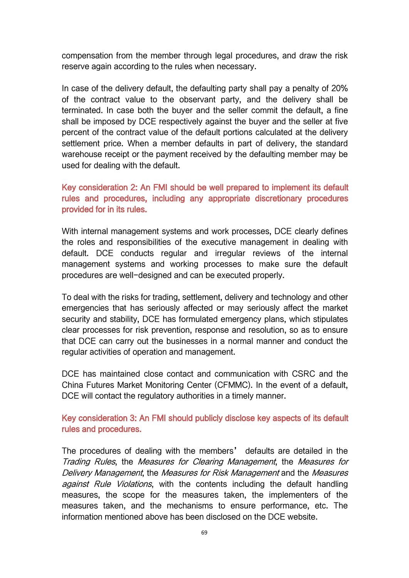compensation from the member through legal procedures, and draw the risk reserve again according to the rules when necessary.

In case of the delivery default, the defaulting party shall pay a penalty of 20% of the contract value to the observant party, and the delivery shall be terminated. In case both the buyer and the seller commit the default, a fine shall be imposed by DCE respectively against the buyer and the seller at five percent of the contract value of the default portions calculated at the delivery settlement price. When a member defaults in part of delivery, the standard warehouse receipt or the payment received by the defaulting member may be used for dealing with the default.

## Key consideration 2: An FMI should be well prepared to implement its default rules and procedures, including any appropriate discretionary procedures provided for in its rules.

With internal management systems and work processes, DCE clearly defines the roles and responsibilities of the executive management in dealing with default. DCE conducts regular and irregular reviews of the internal management systems and working processes to make sure the default procedures are well-designed and can be executed properly.

To deal with the risks for trading, settlement, delivery and technology and other emergencies that has seriously affected or may seriously affect the market security and stability, DCE has formulated emergency plans, which stipulates clear processes for risk prevention, response and resolution, so as to ensure that DCE can carry out the businesses in a normal manner and conduct the regular activities of operation and management.

DCE has maintained close contact and communication with CSRC and the China Futures Market Monitoring Center (CFMMC). In the event of a default, DCE will contact the regulatory authorities in a timely manner.

Key consideration 3: An FMI should publicly disclose key aspects of its default rules and procedures.

The procedures of dealing with the members' defaults are detailed in the Trading Rules, the Measures for Clearing Management, the Measures for Delivery Management, the Measures for Risk Management and the Measures against Rule Violations, with the contents including the default handling measures, the scope for the measures taken, the implementers of the measures taken, and the mechanisms to ensure performance, etc. The information mentioned above has been disclosed on the DCE website.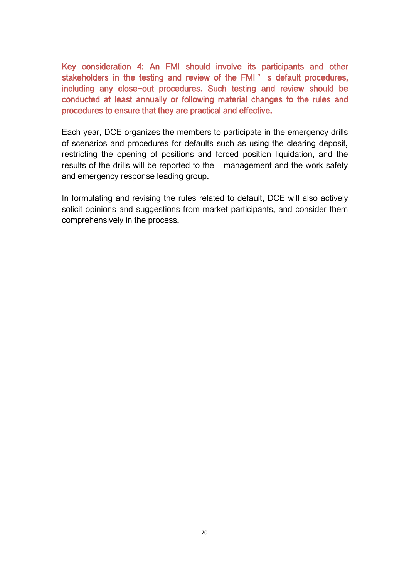Key consideration 4: An FMI should involve its participants and other stakeholders in the testing and review of the FMI ' s default procedures, including any close-out procedures. Such testing and review should be conducted at least annually or following material changes to the rules and procedures to ensure that they are practical and effective.

Each year, DCE organizes the members to participate in the emergency drills of scenarios and procedures for defaults such as using the clearing deposit, restricting the opening of positions and forced position liquidation, and the results of the drills will be reported to the management and the work safety and emergency response leading group.

In formulating and revising the rules related to default, DCE will also actively solicit opinions and suggestions from market participants, and consider them comprehensively in the process.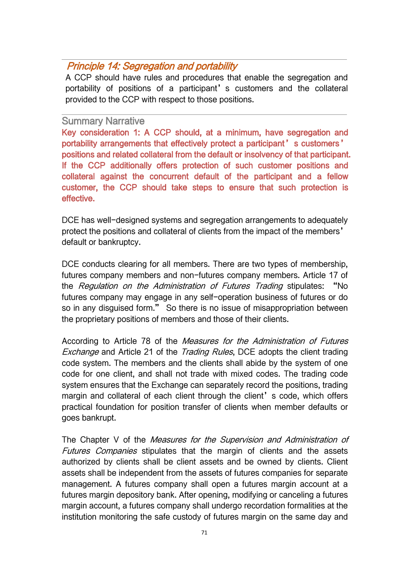# Principle 14: Segregation and portability

A CCP should have rules and procedures that enable the segregation and portability of positions of a participant' s customers and the collateral provided to the CCP with respect to those positions.

#### Summary Narrative

Key consideration 1: A CCP should, at a minimum, have segregation and portability arrangements that effectively protect a participant's customers' positions and related collateral from the default or insolvency of that participant. If the CCP additionally offers protection of such customer positions and collateral against the concurrent default of the participant and a fellow customer, the CCP should take steps to ensure that such protection is effective.

DCE has well-designed systems and segregation arrangements to adequately protect the positions and collateral of clients from the impact of the members' default or bankruptcy.

DCE conducts clearing for all members. There are two types of membership, futures company members and non-futures company members. Article 17 of the Regulation on the Administration of Futures Trading stipulates: "No futures company may engage in any self-operation business of futures or do so in any disguised form." So there is no issue of misappropriation between the proprietary positions of members and those of their clients.

According to Article 78 of the Measures for the Administration of Futures Exchange and Article 21 of the Trading Rules, DCE adopts the client trading code system. The members and the clients shall abide by the system of one code for one client, and shall not trade with mixed codes. The trading code system ensures that the Exchange can separately record the positions, trading margin and collateral of each client through the client's code, which offers practical foundation for position transfer of clients when member defaults or goes bankrupt.

The Chapter V of the Measures for the Supervision and Administration of Futures Companies stipulates that the margin of clients and the assets authorized by clients shall be client assets and be owned by clients. Client assets shall be independent from the assets of futures companies for separate management. A futures company shall open a futures margin account at a futures margin depository bank. After opening, modifying or canceling a futures margin account, a futures company shall undergo recordation formalities at the institution monitoring the safe custody of futures margin on the same day and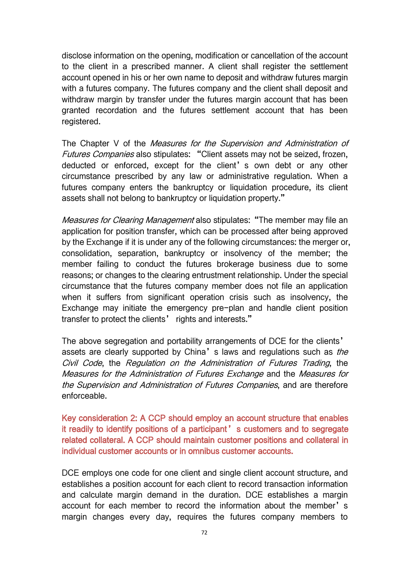disclose information on the opening, modification or cancellation of the account to the client in a prescribed manner. A client shall register the settlement account opened in his or her own name to deposit and withdraw futures margin with a futures company. The futures company and the client shall deposit and withdraw margin by transfer under the futures margin account that has been granted recordation and the futures settlement account that has been registered.

The Chapter V of the Measures for the Supervision and Administration of Futures Companies also stipulates: "Client assets may not be seized, frozen, deducted or enforced, except for the client's own debt or any other circumstance prescribed by any law or administrative regulation. When a futures company enters the bankruptcy or liquidation procedure, its client assets shall not belong to bankruptcy or liquidation property."

Measures for Clearing Management also stipulates: "The member may file an application for position transfer, which can be processed after being approved by the Exchange if it is under any of the following circumstances: the merger or, consolidation, separation, bankruptcy or insolvency of the member; the member failing to conduct the futures brokerage business due to some reasons; or changes to the clearing entrustment relationship. Under the special circumstance that the futures company member does not file an application when it suffers from significant operation crisis such as insolvency, the Exchange may initiate the emergency pre-plan and handle client position transfer to protect the clients' rights and interests."

The above segregation and portability arrangements of DCE for the clients' assets are clearly supported by China's laws and regulations such as *the* Civil Code, the Regulation on the Administration of Futures Trading, the Measures for the Administration of Futures Exchange and the Measures for the Supervision and Administration of Futures Companies, and are therefore enforceable.

Key consideration 2: A CCP should employ an account structure that enables it readily to identify positions of a participant' s customers and to segregate related collateral. A CCP should maintain customer positions and collateral in individual customer accounts or in omnibus customer accounts.

DCE employs one code for one client and single client account structure, and establishes a position account for each client to record transaction information and calculate margin demand in the duration. DCE establishes a margin account for each member to record the information about the member's margin changes every day, requires the futures company members to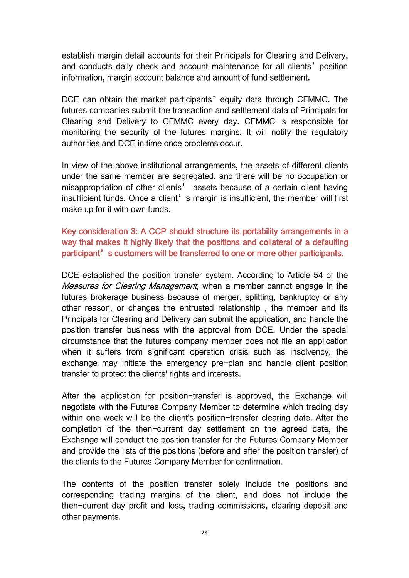establish margin detail accounts for their Principals for Clearing and Delivery, and conducts daily check and account maintenance for all clients'position information, margin account balance and amount of fund settlement.

DCE can obtain the market participants' equity data through CFMMC. The futures companies submit the transaction and settlement data of Principals for Clearing and Delivery to CFMMC every day. CFMMC is responsible for monitoring the security of the futures margins. It will notify the regulatory authorities and DCE in time once problems occur.

In view of the above institutional arrangements, the assets of different clients under the same member are segregated, and there will be no occupation or misappropriation of other clients' assets because of a certain client having insufficient funds. Once a client's margin is insufficient, the member will first make up for it with own funds.

Key consideration 3: A CCP should structure its portability arrangements in a way that makes it highly likely that the positions and collateral of a defaulting participant's customers will be transferred to one or more other participants.

DCE established the position transfer system. According to Article 54 of the Measures for Clearing Management, when a member cannot engage in the futures brokerage business because of merger, splitting, bankruptcy or any other reason, or changes the entrusted relationship , the member and its Principals for Clearing and Delivery can submit the application, and handle the position transfer business with the approval from DCE. Under the special circumstance that the futures company member does not file an application when it suffers from significant operation crisis such as insolvency, the exchange may initiate the emergency pre-plan and handle client position transfer to protect the clients' rights and interests.

After the application for position-transfer is approved, the Exchange will negotiate with the Futures Company Member to determine which trading day within one week will be the client's position-transfer clearing date. After the completion of the then-current day settlement on the agreed date, the Exchange will conduct the position transfer for the Futures Company Member and provide the lists of the positions (before and after the position transfer) of the clients to the Futures Company Member for confirmation.

The contents of the position transfer solely include the positions and corresponding trading margins of the client, and does not include the then-current day profit and loss, trading commissions, clearing deposit and other payments.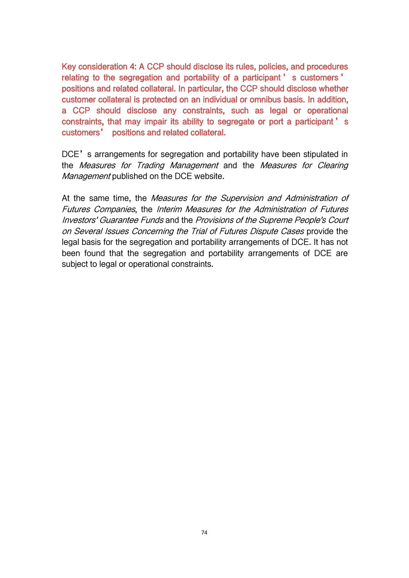Key consideration 4: A CCP should disclose its rules, policies, and procedures relating to the segregation and portability of a participant ' s customers ' positions and related collateral. In particular, the CCP should disclose whether customer collateral is protected on an individual or omnibus basis. In addition, a CCP should disclose any constraints, such as legal or operational constraints, that may impair its ability to segregate or port a participant' s customers' positions and related collateral.

DCE's arrangements for segregation and portability have been stipulated in the Measures for Trading Management and the Measures for Clearing Management published on the DCE website.

At the same time, the *Measures for the Supervision and Administration of* Futures Companies, the Interim Measures for the Administration of Futures Investors' Guarantee Funds and the Provisions of the Supreme People's Court on Several Issues Concerning the Trial of Futures Dispute Cases provide the legal basis for the segregation and portability arrangements of DCE. It has not been found that the segregation and portability arrangements of DCE are subject to legal or operational constraints.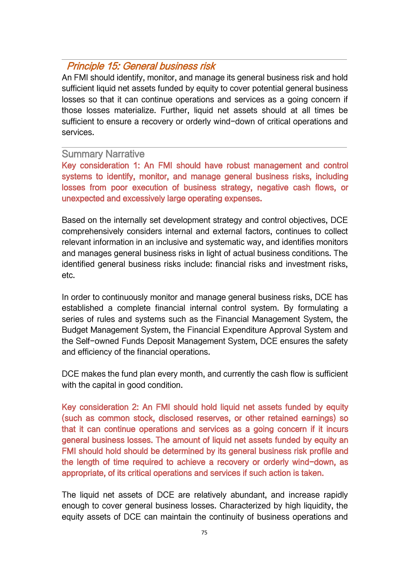## Principle 15: General business risk

An FMI should identify, monitor, and manage its general business risk and hold sufficient liquid net assets funded by equity to cover potential general business losses so that it can continue operations and services as a going concern if those losses materialize. Further, liquid net assets should at all times be sufficient to ensure a recovery or orderly wind-down of critical operations and services.

#### Summary Narrative

Key consideration 1: An FMI should have robust management and control systems to identify, monitor, and manage general business risks, including losses from poor execution of business strategy, negative cash flows, or unexpected and excessively large operating expenses.

Based on the internally set development strategy and control objectives, DCE comprehensively considers internal and external factors, continues to collect relevant information in an inclusive and systematic way, and identifies monitors and manages general business risks in light of actual business conditions. The identified general business risks include: financial risks and investment risks, etc.

In order to continuously monitor and manage general business risks, DCE has established a complete financial internal control system. By formulating a series of rules and systems such as the Financial Management System, the Budget Management System, the Financial Expenditure Approval System and the Self-owned Funds Deposit Management System, DCE ensures the safety and efficiency of the financial operations.

DCE makes the fund plan every month, and currently the cash flow is sufficient with the capital in good condition.

Key consideration 2: An FMI should hold liquid net assets funded by equity (such as common stock, disclosed reserves, or other retained earnings) so that it can continue operations and services as a going concern if it incurs general business losses. The amount of liquid net assets funded by equity an FMI should hold should be determined by its general business risk profile and the length of time required to achieve a recovery or orderly wind-down, as appropriate, of its critical operations and services if such action istaken.

The liquid net assets of DCE are relatively abundant, and increase rapidly enough to cover general business losses. Characterized by high liquidity, the equity assets of DCE can maintain the continuity of business operations and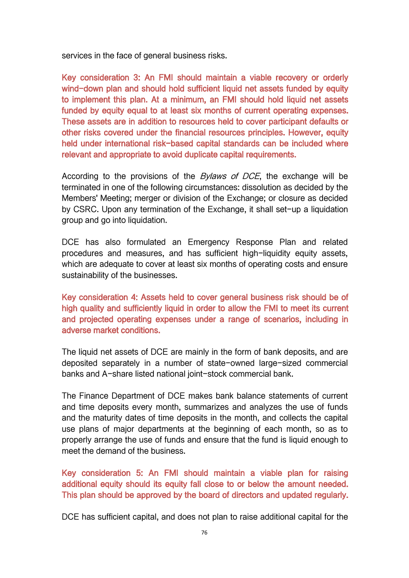services in the face of general business risks.

Key consideration 3: An FMI should maintain a viable recovery or orderly wind-down plan and should hold sufficient liquid net assets funded by equity to implement this plan. At a minimum, an FMI should hold liquid net assets funded by equity equal to at least six months of current operating expenses. These assets are in addition to resources held to cover participant defaults or other risks covered under the financial resources principles. However, equity held under international risk-based capital standards can be included where relevant and appropriate to avoid duplicate capital requirements.

According to the provisions of the *Bylaws of DCE*, the exchange will be terminated in one of the following circumstances: dissolution as decided by the Members' Meeting; merger or division of the Exchange; or closure as decided by CSRC. Upon any termination of the Exchange, it shall set-up a liquidation group and go into liquidation.

DCE has also formulated an Emergency Response Plan and related procedures and measures, and has sufficient high-liquidity equity assets, which are adequate to cover at least six months of operating costs and ensure sustainability of the businesses.

Key consideration 4: Assets held to cover general business risk should be of high quality and sufficiently liquid in order to allow the FMI to meet its current and projected operating expenses under a range of scenarios, including in adverse market conditions.

The liquid net assets of DCE are mainly in the form of bank deposits, and are deposited separately in a number of state-owned large-sized commercial banks and A-share listed national joint-stock commercial bank.

The Finance Department of DCE makes bank balance statements of current and time deposits every month, summarizes and analyzes the use of funds and the maturity dates of time deposits in the month, and collects the capital use plans of major departments at the beginning of each month, so as to properly arrange the use of funds and ensure that the fund is liquid enough to meet the demand of the business.

Key consideration 5: An FMI should maintain a viable plan for raising additional equity should its equity fall close to or below the amount needed. This plan should be approved by the board of directors and updated regularly.

DCE has sufficient capital, and does not plan to raise additional capital for the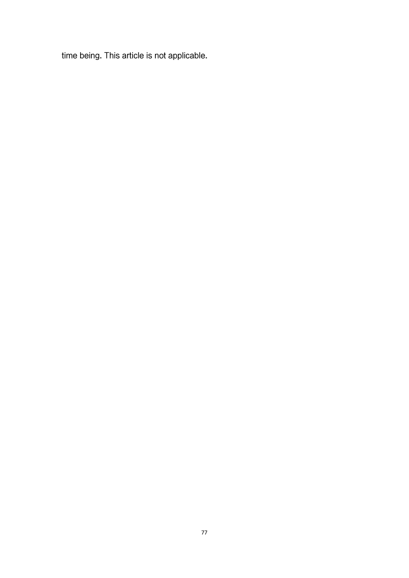time being. This article is not applicable.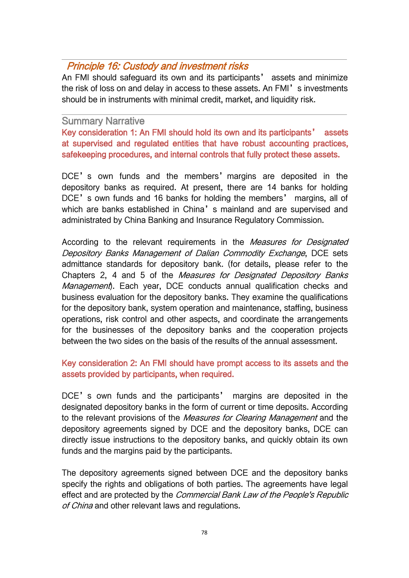# Principle 16: Custody and investment risks

An FMI should safeguard its own and its participants' assets and minimize the risk of loss on and delay in access to these assets. An FMI's investments should be in instruments with minimal credit, market, and liquidity risk.

#### Summary Narrative

Key consideration 1: An FMI should hold its own and its participants' assets at supervised and regulated entities that have robust accounting practices, safekeeping procedures, and internal controls that fully protect these assets.

DCE's own funds and the members' margins are deposited in the depository banks as required. At present, there are 14 banks for holding DCE's own funds and 16 banks for holding the members' margins, all of which are banks established in China's mainland and are supervised and administrated by China Banking and Insurance Regulatory Commission.

According to the relevant requirements in the *Measures for Designated* Depository Banks Management of Dalian Commodity Exchange, DCE sets admittance standards for depository bank. (for details, please refer to the Chapters 2, 4 and 5 of the Measures for Designated Depository Banks Management). Each year, DCE conducts annual qualification checks and business evaluation for the depository banks. They examine the qualifications for the depository bank, system operation and maintenance, staffing, business operations, risk control and other aspects, and coordinate the arrangements for the businesses of the depository banks and the cooperation projects between the two sides on the basis of the results of the annual assessment.

### Key consideration 2: An FMI should have prompt access to its assets and the assets provided by participants, when required.

DCE's own funds and the participants' margins are deposited in the designated depository banks in the form of current or time deposits. According to the relevant provisions of the *Measures for Clearing Management* and the depository agreements signed by DCE and the depository banks, DCE can directly issue instructions to the depository banks, and quickly obtain its own funds and the margins paid by the participants.

The depository agreements signed between DCE and the depository banks specify the rights and obligations of both parties. The agreements have legal effect and are protected by the Commercial Bank Law of the People's Republic of China and other relevant laws and regulations.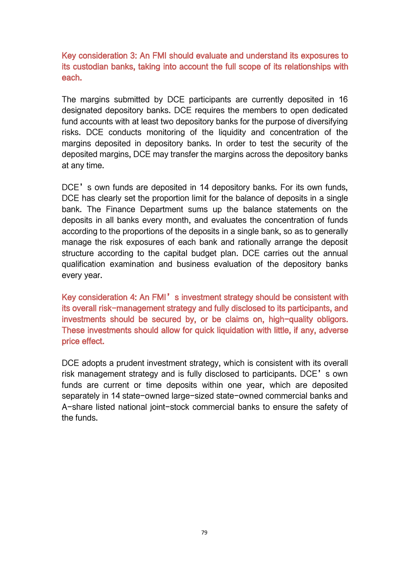Key consideration 3: An FMI should evaluate and understand its exposures to its custodian banks, taking into account the full scope of its relationships with each.

The margins submitted by DCE participants are currently deposited in 16 designated depository banks. DCE requires the members to open dedicated fund accounts with at least two depository banks for the purpose of diversifying risks. DCE conducts monitoring of the liquidity and concentration of the margins deposited in depository banks. In order to test the security of the deposited margins, DCE may transfer the margins across the depository banks at any time.

DCE's own funds are deposited in 14 depository banks. For its own funds, DCE has clearly set the proportion limit for the balance of deposits in a single bank. The Finance Department sums up the balance statements on the deposits in all banks every month, and evaluates the concentration of funds according to the proportions of the deposits in a single bank, so as to generally manage the risk exposures of each bank and rationally arrange the deposit structure according to the capital budget plan. DCE carries out the annual qualification examination and business evaluation of the depository banks every year.

Key consideration 4: An FMI's investment strategy should be consistent with its overall risk-management strategy and fully disclosed to its participants, and investments should be secured by, or be claims on, high-quality obligors.<br>These investments should allow for quick liquidation with little, if any, adverse price effect.

DCE adopts a prudent investment strategy, which is consistent with its overall risk management strategy and is fully disclosed to participants. DCE's own funds are current or time deposits within one year, which are deposited separately in 14 state-owned large-sized state-owned commercial banks and A-share listed national joint-stock commercial banks to ensure the safety of the funds.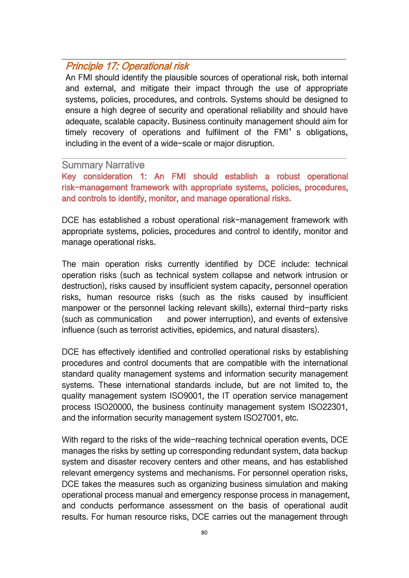# Principle 17: Operational risk

An FMI should identify the plausible sources of operational risk, both internal and external, and mitigate their impact through the use of appropriate systems, policies, procedures, and controls. Systems should be designed to ensure a high degree of security and operational reliability and should have adequate, scalable capacity. Business continuity management should aim for timely recovery of operations and fulfilment of the FMI's obligations, including in the event of a wide-scale or major disruption.

#### Summary Narrative

Key consideration 1: An FMI should establish a robust operational risk-management framework with appropriate systems, policies, procedures, and controls to identify, monitor, and manage operational risks.

DCE has established a robust operational risk-management framework with appropriate systems, policies, procedures and control to identify, monitor and manage operational risks.

The main operation risks currently identified by DCE include: technical operation risks (such as technical system collapse and network intrusion or destruction), risks caused by insufficient system capacity, personnel operation risks, human resource risks (such as the risks caused by insufficient manpower or the personnel lacking relevant skills), external third-party risks (such as communication and power interruption), and events of extensive influence (such as terrorist activities, epidemics, and natural disasters).

DCE has effectively identified and controlled operational risks by establishing procedures and control documents that are compatible with the international standard quality management systems and information security management systems. These international standards include, but are not limited to, the quality management system ISO9001, the IT operation service management process ISO20000, the business continuity management system ISO22301, and the information security management system ISO27001, etc.

With regard to the risks of the wide-reaching technical operation events, DCE manages the risks by setting up corresponding redundant system, data backup system and disaster recovery centers and other means, and has established relevant emergency systems and mechanisms. For personnel operation risks, DCE takes the measures such as organizing business simulation and making operational process manual and emergency response process in management, and conducts performance assessment on the basis of operational audit results. For human resource risks, DCE carries out the management through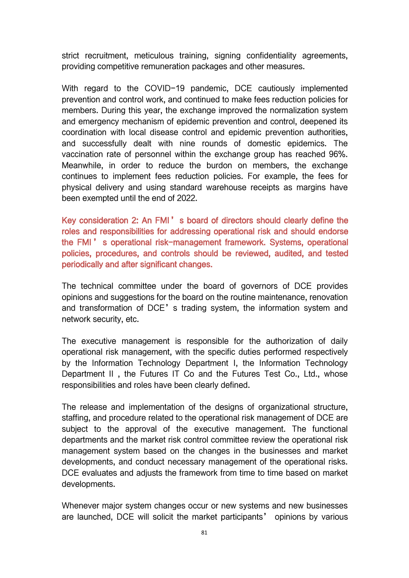strict recruitment, meticulous training, signing confidentiality agreements, providing competitive remuneration packages and other measures.

With regard to the COVID-19 pandemic. DCE cautiously implemented prevention and control work, and continued to make fees reduction policies for members. During this year, the exchange improved the normalization system and emergency mechanism of epidemic prevention and control, deepened its coordination with local disease control and epidemic prevention authorities, and successfully dealt with nine rounds of domestic epidemics. The vaccination rate of personnel within the exchange group has reached 96%. Meanwhile, in order to reduce the burdon on members, the exchange continues to implement fees reduction policies. For example, the fees for physical delivery and using standard warehouse receipts as margins have been exempted until the end of 2022.

Key consideration 2: An FMI's board of directors should clearly define the roles and responsibilities for addressing operational risk and should endorse the FMI ' s operational risk-management framework. Systems, operational policies, procedures, and controls should be reviewed, audited, and tested periodically and after significant changes.

The technical committee under the board of governors of DCE provides opinions and suggestions for the board on the routine maintenance, renovation and transformation of DCE's trading system, the information system and network security, etc.

The executive management is responsible for the authorization of daily operational risk management, with the specific duties performed respectively by the Information Technology Department I, the Information Technology Department II , the Futures IT Co and the Futures Test Co., Ltd., whose responsibilities and roles have been clearly defined.

The release and implementation of the designs of organizational structure, staffing, and procedure related to the operational risk management of DCE are subject to the approval of the executive management. The functional departments and the market risk control committee review the operational risk management system based on the changes in the businesses and market developments, and conduct necessary management of the operational risks. DCE evaluates and adjusts the framework from time to time based on market developments.

Whenever major system changes occur or new systems and new businesses are launched, DCE will solicit the market participants' opinions by various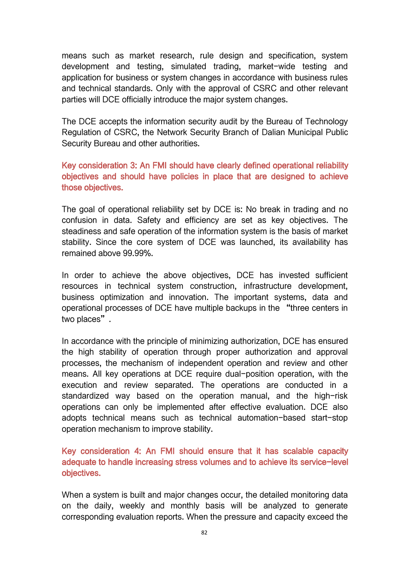means such as market research, rule design and specification, system development and testing, simulated trading, market-wide testing and application for business or system changes in accordance with business rules and technical standards. Only with the approval of CSRC and other relevant parties will DCE officially introduce the major system changes.

The DCE accepts the information security audit by the Bureau of Technology Regulation of CSRC, the Network Security Branch of Dalian Municipal Public Security Bureau and other authorities.

## Key consideration 3: An FMI should have clearly defined operational reliability objectives and should have policies in place that are designed to achieve those objectives.

The goal of operational reliability set by DCE is: No break in trading and no confusion in data. Safety and efficiency are set as key objectives. The steadiness and safe operation of the information system is the basis of market stability. Since the core system of DCE was launched, its availability has remained above 99.99%.

In order to achieve the above objectives, DCE has invested sufficient resources in technical system construction, infrastructure development, business optimization and innovation. The important systems, data and operational processes of DCE have multiple backups in the "three centers in two places".

In accordance with the principle of minimizing authorization, DCE has ensured the high stability of operation through proper authorization and approval processes, the mechanism of independent operation and review and other means. All key operations at DCE require dual-position operation, with the execution and review separated. The operations are conducted in a standardized way based on the operation manual, and the high-risk operations can only be implemented after effective evaluation. DCE also adopts technical means such as technical automation-based start-stop operation mechanism to improve stability.

Key consideration 4: An FMI should ensure that it has scalable capacity adequate to handle increasing stress volumes and to achieve its service-level objectives.

When a system is built and major changes occur, the detailed monitoring data on the daily, weekly and monthly basis will be analyzed to generate corresponding evaluation reports. When the pressure and capacity exceed the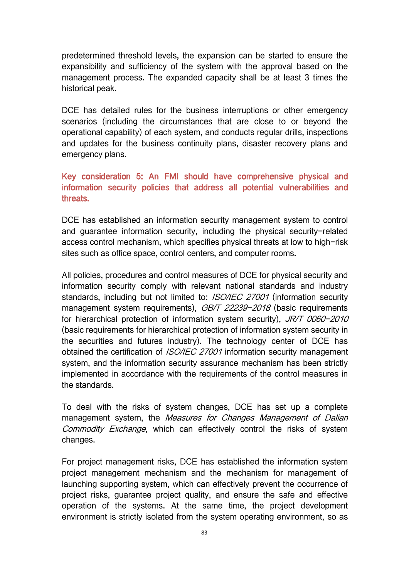predetermined threshold levels, the expansion can be started to ensure the expansibility and sufficiency of the system with the approval based on the management process. The expanded capacity shall be at least 3 times the historical peak.

DCE has detailed rules for the business interruptions or other emergency scenarios (including the circumstances that are close to or beyond the operational capability) of each system, and conducts regular drills, inspections and updates for the business continuity plans, disaster recovery plans and emergency plans.

Key consideration 5: An FMI should have comprehensive physical and information security policies that address all potential vulnerabilities and threats.

DCE has established an information security management system to control and guarantee information security, including the physical security-related access control mechanism, which specifies physical threats at low to high-risk sites such as office space, control centers, and computer rooms.

All policies, procedures and control measures of DCE for physical security and information security comply with relevant national standards and industry standards, including but not limited to: *ISO/IEC 27001* (information security management system requirements), *GB/T 22239-2018* (basic requirements for hierarchical protection of information system security), JR/T 0060-2010 (basic requirements for hierarchical protection of information system security in the securities and futures industry). The technology center of DCE has obtained the certification of *ISO/IEC 27001* information security management system, and the information security assurance mechanism has been strictly implemented in accordance with the requirements of the control measures in the standards.

To deal with the risks of system changes, DCE has set up a complete management system, the Measures for Changes Management of Dalian Commodity Exchange, which can effectively control the risks of system changes.

For project management risks, DCE has established the information system project management mechanism and the mechanism for management of launching supporting system, which can effectively prevent the occurrence of project risks, guarantee project quality, and ensure the safe and effective operation of the systems. At the same time, the project development environment is strictly isolated from the system operating environment, so as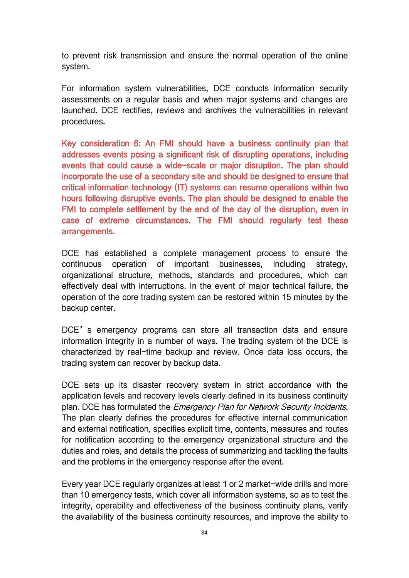to prevent risk transmission and ensure the normal operation of the online system.

For information system vulnerabilities, DCE conducts information security assessments on a regular basis and when major systems and changes are launched. DCE rectifies, reviews and archives the vulnerabilities in relevant procedures.

Key consideration 6: An FMI should have a business continuity plan that addresses events posing a significant risk of disrupting operations, including events that could cause a wide-scale or major disruption. The plan should incorporate the use of a secondary site and should be designed to ensure that critical information technology (IT) systems can resume operations within two hours following disruptive events. The plan should be designed to enable the FMI to complete settlement by the end of the day of the disruption, even in case of extreme circumstances. The FMI should regularly test these arrangements.

DCE has established a complete management process to ensure the continuous operation of important businesses, including strategy, organizational structure, methods, standards and procedures, which can effectively deal with interruptions. In the event of major technical failure, the operation of the core trading system can be restored within 15 minutes by the backup center.

DCE's emergency programs can store all transaction data and ensure information integrity in a number of ways. The trading system of the DCE is characterized by real-time backup and review. Once data loss occurs, the trading system can recover by backup data.

DCE sets up its disaster recovery system in strict accordance with the application levels and recovery levels clearly defined in its business continuity plan. DCE has formulated the *Emergency Plan for Network Security Incidents.* The plan clearly defines the procedures for effective internal communication and external notification, specifies explicit time, contents, measures and routes for notification according to the emergency organizational structure and the duties and roles, and details the process of summarizing and tackling the faults and the problems in the emergency response after the event.

Every year DCE regularly organizes at least 1 or 2 market-wide drills and more than 10 emergency tests, which cover all information systems, so as to test the integrity, operability and effectiveness of the business continuity plans, verify the availability of the business continuity resources, and improve the ability to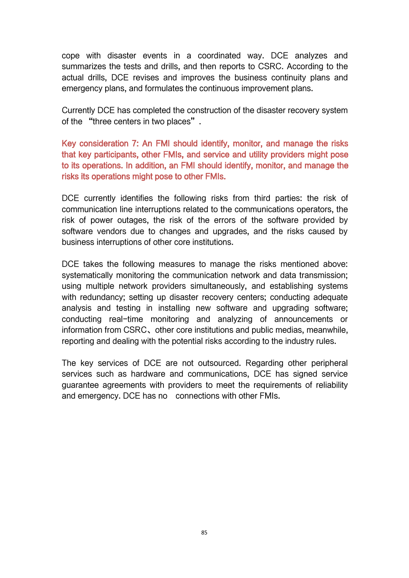cope with disaster events in a coordinated way. DCE analyzes and summarizes the tests and drills, and then reports to CSRC. According to the actual drills, DCE revises and improves the business continuity plans and emergency plans, and formulates the continuous improvement plans.

Currently DCE has completed the construction of the disaster recovery system of the "three centers in two places".

Key consideration 7: An FMI should identify, monitor, and manage the risks that key participants, other FMIs, and service and utility providers might pose to its operations. In addition, an FMI should identify, monitor, and manage the risks its operations might pose to other FMIs.

DCE currently identifies the following risks from third parties: the risk of communication line interruptions related to the communications operators, the risk of power outages, the risk of the errors of the software provided by software vendors due to changes and upgrades, and the risks caused by business interruptions of other core institutions.

DCE takes the following measures to manage the risks mentioned above: systematically monitoring the communication network and data transmission; using multiple network providers simultaneously, and establishing systems with redundancy; setting up disaster recovery centers; conducting adequate analysis and testing in installing new software and upgrading software; conducting real-time monitoring and analyzing of announcements or information from CSRC、other core institutions and public medias, meanwhile, reporting and dealing with the potential risks according to the industry rules.

The key services of DCE are not outsourced. Regarding other peripheral services such as hardware and communications, DCE has signed service guarantee agreements with providers to meet the requirements of reliability and emergency. DCE has no connections with other FMIs.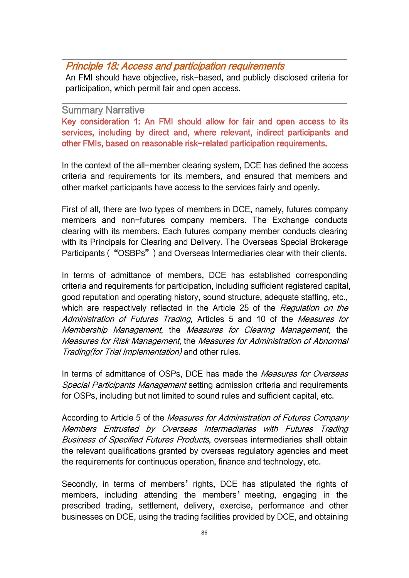## Principle 18: Access and participation requirements

An FMI should have objective, risk-based, and publicly disclosed criteria for participation, which permit fair and open access.

#### Summary Narrative

Key consideration 1: An FMI should allow for fair and open access to its services, including by direct and, where relevant, indirect participants and other FMIs, based on reasonable risk-related participation requirements.

In the context of the all-member clearing system, DCE has defined the access criteria and requirements for its members, and ensured that members and other market participants have access to the services fairly and openly.

First of all, there are two types of members in DCE, namely, futures company members and non-futures company members. The Exchange conducts clearing with its members. Each futures company member conducts clearing with its Principals for Clearing and Delivery. The Overseas Special Brokerage Participants ("OSBPs") and Overseas Intermediaries clear with their clients.

In terms of admittance of members, DCE has established corresponding criteria and requirements for participation, including sufficient registered capital, good reputation and operating history, sound structure, adequate staffing, etc., which are respectively reflected in the Article 25 of the Regulation on the Administration of Futures Trading, Articles 5 and 10 of the Measures for Membership Management, the Measures for Clearing Management, the Measures for Risk Management, the Measures for Administration of Abnormal Trading(for Trial Implementation) and other rules.

In terms of admittance of OSPs, DCE has made the Measures for Overseas Special Participants Management setting admission criteria and requirements for OSPs, including but not limited to sound rules and sufficient capital, etc.

According to Article 5 of the Measures for Administration of Futures Company Members Entrusted by Overseas [Intermediaries](http://www.dce.com.cn/DCE/RulesRegulation/6146719/6146731/6146739/6147590/index.html) with Futures Trading Business of Specified Futures Products, overseas intermediaries shall obtain the relevant qualifications granted by overseas regulatory agencies and meet the requirements for continuous operation, finance and technology, etc.

Secondly, in terms of members' rights, DCE has stipulated the rights of members, including attending the members' meeting, engaging in the prescribed trading, settlement, delivery, exercise, performance and other businesses on DCE, using the trading facilities provided by DCE, and obtaining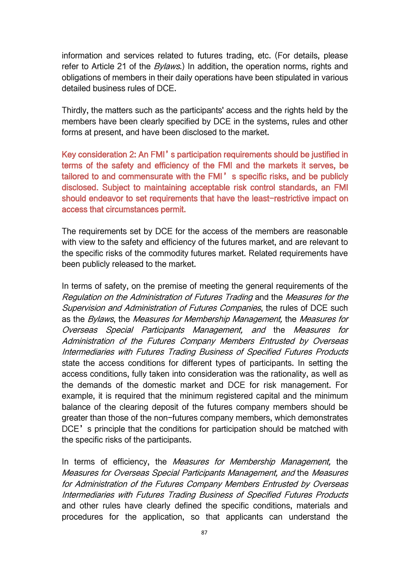information and services related to futures trading, etc. (For details, please refer to Article 21 of the *Bylaws*.) In addition, the operation norms, rights and obligations of members in their daily operations have been stipulated in various detailed business rules of DCE.

Thirdly, the matters such as the participants' access and the rights held by the members have been clearly specified by DCE in the systems, rules and other forms at present, and have been disclosed to the market.

Key consideration 2: An FMI's participation requirements should be justified in terms of the safety and efficiency of the FMI and the markets it serves, be tailored to and commensurate with the FMI's specific risks, and be publicly disclosed. Subject to maintaining acceptable risk control standards, an FMI should endeavor to set requirements that have the least-restrictive impact on access that circumstances permit.

The requirements set by DCE for the access of the members are reasonable with view to the safety and efficiency of the futures market, and are relevant to the specific risks of the commodity futures market. Related requirements have been publicly released to the market.

In terms of safety, on the premise of meeting the general requirements of the Regulation on the Administration of Futures Trading and the Measures for the Supervision and Administration of Futures Companies, the rules of DCE such as the Bylaws, the Measures for Membership Management, the Measures for Overseas Special Participants Management, and the Measures for Administration of the Futures Company Members Entrusted by Overseas Intermediaries with Futures Trading Business of Specified Futures Products state the access conditions for different types of participants. In setting the access conditions, fully taken into consideration was the rationality, as well as the demands of the domestic market and DCE for risk management. For example, it is required that the minimum registered capital and the minimum balance of the clearing deposit of the futures company members should be greater than those of the non-futures company members, which demonstrates DCE's principle that the conditions for participation should be matched with the specific risks of the participants.

In terms of efficiency, the *Measures for Membership Management*, the Measures for Overseas Special Participants Management, and the Measures for Administration of the Futures Company Members Entrusted by Overseas Intermediaries with Futures Trading Business of Specified Futures Products and other rules have clearly defined the specific conditions, materials and procedures for the application, so that applicants can understand the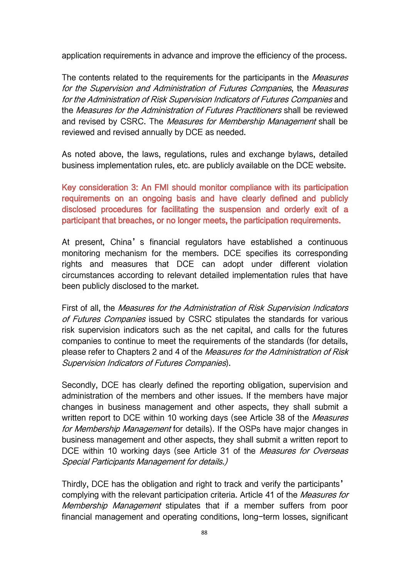application requirements in advance and improve the efficiency of the process.

The contents related to the requirements for the participants in the *Measures* for the Supervision and Administration of Futures Companies, the Measures for the Administration of Risk Supervision Indicators of Futures Companies and the Measures for the Administration of Futures Practitioners shall be reviewed and revised by CSRC. The Measures for Membership Management shall be reviewed and revised annually by DCE as needed.

As noted above, the laws, regulations, rules and exchange bylaws, detailed business implementation rules, etc. are publicly available on the DCE website.

Key consideration 3: An FMI should monitor compliance with its participation requirements on an ongoing basis and have clearly defined and publicly disclosed procedures for facilitating the suspension and orderly exit of a participant that breaches, or no longer meets, the participation requirements.

At present, China's financial regulators have established a continuous monitoring mechanism for the members. DCE specifies its corresponding rights and measures that DCE can adopt under different violation circumstances according to relevant detailed implementation rules that have been publicly disclosed to the market.<br>First of all, the *Measures for the Administration of Risk Supervision Indicators* 

of Futures Companies issued by CSRC stipulates the standards for various risk supervision indicators such as the net capital, and calls for the futures companies to continue to meet the requirements of the standards (for details, please refer to Chapters 2 and 4 of the Measures for the Administration of Risk Supervision Indicators of Futures Companies).

Secondly, DCE has clearly defined the reporting obligation, supervision and administration of the members and other issues. If the members have major changes in business management and other aspects, they shall submit a written report to DCE within 10 working days (see Article 38 of the *Measures* for *Membership Management* for details). If the OSPs have major changes in business management and other aspects, they shall submit a written report to DCE within 10 working days (see Article 31 of the Measures for Overseas Special Participants Management for details.)

Thirdly, DCE has the obligation and right to track and verify the participants' complying with the relevant participation criteria. Article 41 of the *Measures for* Membership Management stipulates that if a member suffers from poor financial management and operating conditions, long-term losses, significant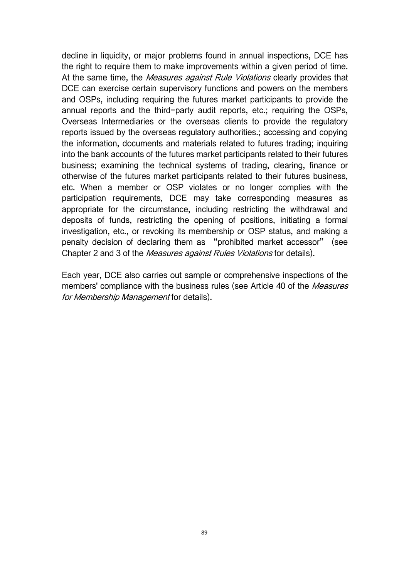decline in liquidity, or major problems found in annual inspections, DCE has the right to require them to make improvements within a given period of time. At the same time, the *Measures against Rule Violations* clearly provides that DCE can exercise certain supervisory functions and powers on the members and OSPs, including requiring the futures market participants to provide the annual reports and the third-party audit reports, etc.; requiring the OSPs, Overseas Intermediaries or the overseas clients to provide the regulatory reports issued by the overseas regulatory authorities.; accessing and copying the information, documents and materials related to futures trading; inquiring into the bank accounts of the futures market participants related to their futures business; examining the technical systems of trading, clearing, finance or otherwise of the futures market participants related to their futures business, etc. When a member or OSP violates or no longer complies with the participation requirements, DCE may take corresponding measures as appropriate for the circumstance, including restricting the withdrawal and deposits of funds, restricting the opening of positions, initiating a formal investigation, etc., or revoking its membership or OSP status, and making a penalty decision of declaring them as "prohibited market accessor" (see Chapter 2 and 3 of the Measures against Rules Violations for details).

Each year, DCE also carries out sample or comprehensive inspections of the members' compliance with the business rules (see Article 40 of the *Measures* for Membership Management for details).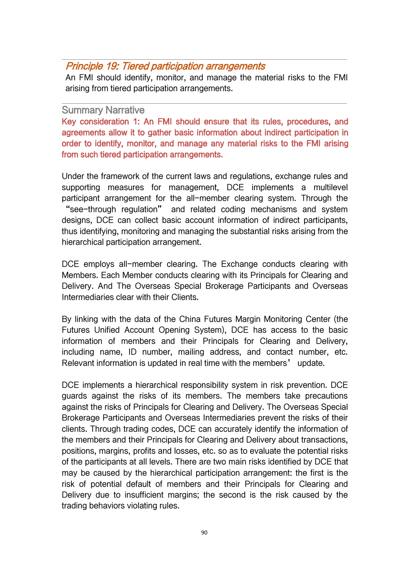## Principle 19: Tiered participation arrangements

An FMI should identify, monitor, and manage the material risks to the FMI arising from tiered participation arrangements.

#### Summary Narrative

Key consideration 1: An FMI should ensure that its rules, procedures, and agreements allow it to gather basic information about indirect participation in order to identify, monitor, and manage any material risks to the FMI arising from such tiered participation arrangements.

Under the framework of the current laws and regulations, exchange rules and supporting measures for management, DCE implements a multilevel participant arrangement for the all-member clearing system. Through the "see-through regulation" and related coding mechanisms and system designs, DCE can collect basic account information of indirect participants, thus identifying, monitoring and managing the substantial risks arising from the hierarchical participation arrangement.

DCE employs all-member clearing. The Exchange conducts clearing with Members. Each Member conducts clearing with its Principals for Clearing and Delivery. And The Overseas Special Brokerage Participants and Overseas Intermediaries clear with their Clients.

By linking with the data of the China Futures Margin Monitoring Center (the Futures Unified Account Opening System), DCE has access to the basic information of members and their Principals for Clearing and Delivery, including name, ID number, mailing address, and contact number, etc. Relevant information is updated in real time with the members' update.

DCE implements a hierarchical responsibility system in risk prevention. DCE guards against the risks of its members. The members take precautions against the risks of Principals for Clearing and Delivery. The Overseas Special Brokerage Participants and Overseas Intermediaries prevent the risks of their clients. Through trading codes, DCE can accurately identify the information of the members and their Principals for Clearing and Delivery about transactions, positions, margins, profits and losses, etc. so as to evaluate the potential risks of the participants at all levels. There are two main risks identified by DCE that may be caused by the hierarchical participation arrangement: the first is the risk of potential default of members and their Principals for Clearing and Delivery due to insufficient margins; the second is the risk caused by the trading behaviors violating rules.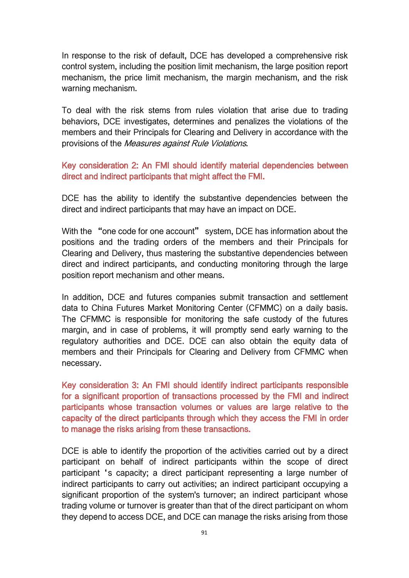In response to the risk of default, DCE has developed a comprehensive risk control system, including the position limit mechanism, the large position report mechanism, the price limit mechanism, the margin mechanism, and the risk warning mechanism.

To deal with the risk stems from rules violation that arise due to trading behaviors, DCE investigates, determines and penalizes the violations of the members and their Principals for Clearing and Delivery in accordance with the provisions of the *Measures against Rule Violations*.

Key consideration 2: An FMI should identify material dependencies between direct and indirect participants that might affect the FMI.

DCE has the ability to identify the substantive dependencies between the direct and indirect participants that may have an impact on DCE.

With the "one code for one account" system, DCE has information about the positions and the trading orders of the members and their Principals for Clearing and Delivery, thus mastering the substantive dependencies between direct and indirect participants, and conducting monitoring through the large position report mechanism and other means.

In addition, DCE and futures companies submit transaction and settlement data to China Futures Market Monitoring Center (CFMMC) on a daily basis. The CFMMC is responsible for monitoring the safe custody of the futures margin, and in case of problems, it will promptly send early warning to the regulatory authorities and DCE. DCE can also obtain the equity data of members and their Principals for Clearing and Delivery from CFMMC when necessary.

Key consideration 3: An FMI should identify indirect participants responsible for a significant proportion of transactions processed by the FMI and indirect participants whose transaction volumes or values are large relative to the capacity of the direct participants through which they access the FMI in order to manage the risks arising from these transactions.

DCE is able to identify the proportion of the activities carried out by a direct participant on behalf of indirect participants within the scope of direct participant 's capacity; a direct participant representing a large number of indirect participants to carry out activities; an indirect participant occupying a significant proportion of the system's turnover; an indirect participant whose trading volume or turnover is greater than that of the direct participant on whom they depend to access DCE, and DCE can manage the risks arising from those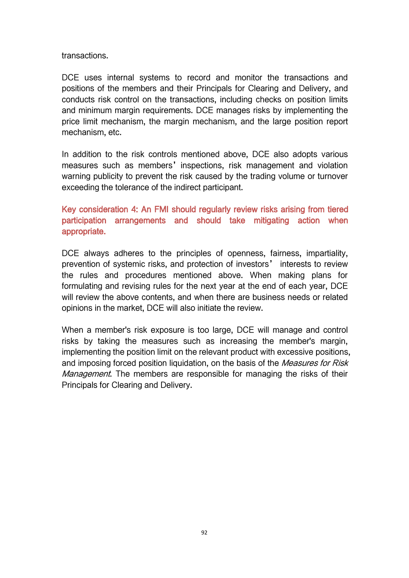transactions.

DCE uses internal systems to record and monitor the transactions and positions of the members and their Principals for Clearing and Delivery, and conducts risk control on the transactions, including checks on position limits and minimum margin requirements. DCE manages risks by implementing the price limit mechanism, the margin mechanism, and the large position report mechanism, etc.

In addition to the risk controls mentioned above, DCE also adopts various measures such as members' inspections, risk management and violation warning publicity to prevent the risk caused by the trading volume or turnover exceeding the tolerance of the indirect participant.

# Key consideration 4: An FMI should regularly review risks arising from tiered participation arrangements and should take mitigating action when appropriate.

DCE always adheres to the principles of openness, fairness, impartiality, prevention of systemic risks, and protection of investors' interests to review the rules and procedures mentioned above. When making plans for formulating and revising rules for the next year at the end of each year, DCE will review the above contents, and when there are business needs or related opinions in the market, DCE will also initiate the review.

When a member's risk exposure is too large, DCE will manage and control risks by taking the measures such as increasing the member's margin, implementing the position limit on the relevant product with excessive positions, and imposing forced position liquidation, on the basis of the *Measures for Risk Management*. The members are responsible for managing the risks of their Principals for Clearing and Delivery.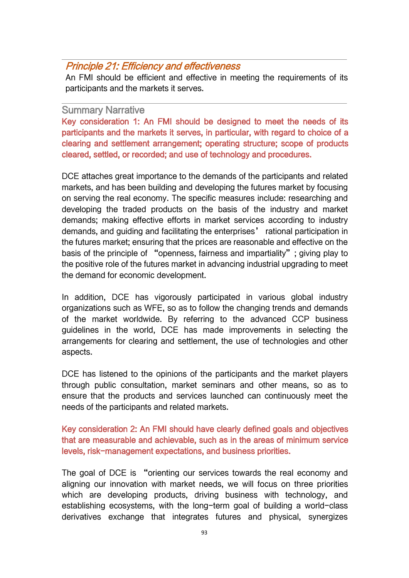# Principle 21: Efficiency and effectiveness

An FMI should be efficient and effective in meeting the requirements of its participants and the markets it serves.

#### Summary Narrative

Key consideration 1: An FMI should be designed to meet the needs of its participants and the markets it serves, in particular, with regard to choice of a clearing and settlement arrangement; operating structure; scope of products cleared, settled, or recorded; and use of technology and procedures.

DCE attaches great importance to the demands of the participants and related markets, and has been building and developing the futures market by focusing on serving the real economy. The specific measures include: researching and developing the traded products on the basis of the industry and market demands; making effective efforts in market services according to industry demands, and guiding and facilitating the enterprises' rational participation in the futures market; ensuring that the prices are reasonable and effective on the basis of the principle of "openness, fairness and impartiality"; giving play to the positive role of the futures market in advancing industrial upgrading to meet the demand for economic development.

In addition, DCE has vigorously participated in various global industry organizations such as WFE, so as to follow the changing trends and demands of the market worldwide. By referring to the advanced CCP business guidelines in the world, DCE has made improvements in selecting the arrangements for clearing and settlement, the use of technologies and other aspects.

DCE has listened to the opinions of the participants and the market players through public consultation, market seminars and other means, so as to ensure that the products and services launched can continuously meet the needs of the participants and related markets.

Key consideration 2: An FMI should have clearly defined goals and objectives that are measurable and achievable, such as in the areas of minimum service levels, risk-management expectations, and business priorities.

The goal of DCE is "orienting our services towards the real economy and aligning our innovation with market needs, we will focus on three priorities which are developing products, driving business with technology, and establishing ecosystems, with the long-term goal of building a world-class derivatives exchange that integrates futures and physical, synergizes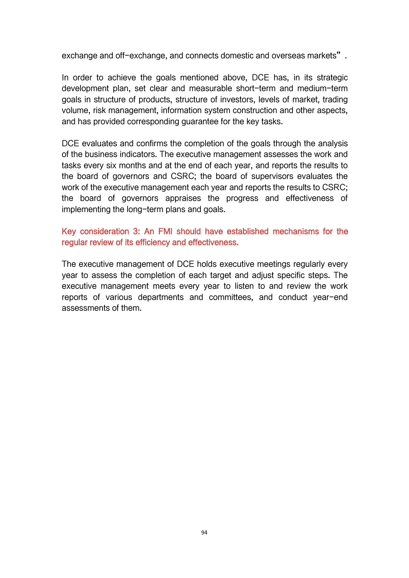exchange and off-exchange, and connects domestic and overseas markets".

In order to achieve the goals mentioned above, DCE has, in its strategic development plan, set clear and measurable short-term and medium-term goals in structure of products, structure of investors, levels of market, trading volume, risk management, information system construction and other aspects, and has provided corresponding guarantee for the key tasks.

DCE evaluates and confirms the completion of the goals through the analysis of the business indicators. The executive management assesses the work and tasks every six months and at the end of each year, and reports the results to the board of governors and CSRC; the board of supervisors evaluates the work of the executive management each year and reports the results to CSRC; the board of governors appraises the progress and effectiveness of implementing the long-term plans and goals.

#### Key consideration 3: An FMI should have established mechanisms for the regular review of its efficiency and effectiveness.

The executive management of DCE holds executive meetings regularly every year to assess the completion of each target and adjust specific steps. The executive management meets every year to listen to and review the work reports of various departments and committees, and conduct year-end assessments of them.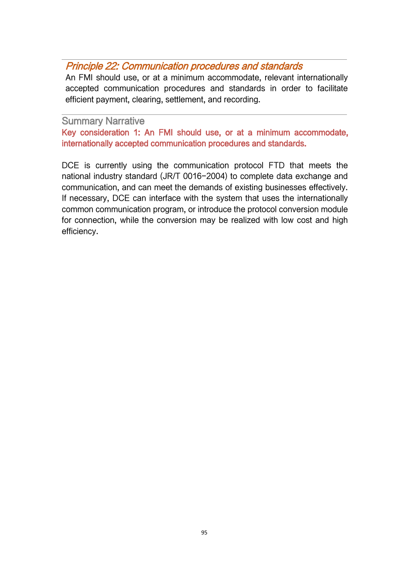# Principle 22: Communication procedures and standards

An FMI should use, or at a minimum accommodate, relevant internationally accepted communication procedures and standards in order to facilitate efficient payment, clearing, settlement, and recording.

#### Summary Narrative

Key consideration 1: An FMI should use, or at a minimum accommodate, internationally accepted communication procedures and standards.

DCE is currently using the communication protocol FTD that meets the national industry standard (JR/T 0016-2004) to complete data exchange and communication, and can meet the demands of existing businesses effectively. If necessary, DCE can interface with the system that uses the internationally common communication program, or introduce the protocol conversion module for connection, while the conversion may be realized with low cost and high efficiency.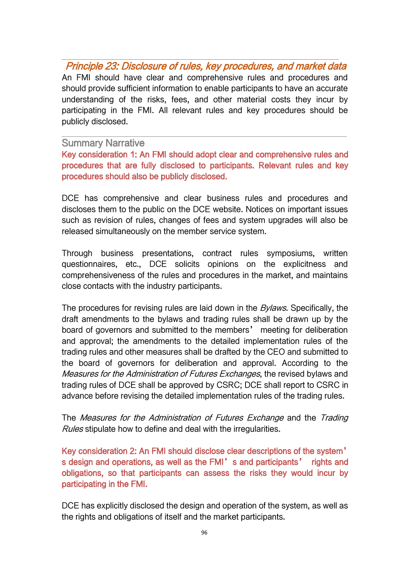Principle 23: Disclosure of rules, key procedures, and market data An FMI should have clear and comprehensive rules and procedures and should provide sufficient information to enable participants to have an accurate understanding of the risks, fees, and other material costs they incur by participating in the FMI. All relevant rules and key procedures should be publicly disclosed.

#### Summary Narrative

Key consideration 1: An FMI should adopt clear and comprehensive rules and procedures that are fully disclosed to participants. Relevant rules and key procedures should also be publicly disclosed.

DCE has comprehensive and clear business rules and procedures and discloses them to the public on the DCE website. Notices on important issues such as revision of rules, changes of fees and system upgrades will also be released simultaneously on the member service system.

Through business presentations, contract rules symposiums, written questionnaires, etc., DCE solicits opinions on the explicitness and comprehensiveness of the rules and procedures in the market, and maintains close contacts with the industry participants.

The procedures for revising rules are laid down in the *Bylaws*. Specifically, the draft amendments to the bylaws and trading rules shall be drawn up by the board of governors and submitted to the members' meeting for deliberation and approval; the amendments to the detailed implementation rules of the trading rules and other measures shall be drafted by the CEO and submitted to the board of governors for deliberation and approval. According to the Measures for the Administration of Futures Exchanges, the revised bylaws and trading rules of DCE shall be approved by CSRC; DCE shall report to CSRC in advance before revising the detailed implementation rules of the trading rules.

The Measures for the Administration of Futures Exchange and the Trading Rules stipulate how to define and deal with the irregularities.

Key consideration 2: An FMI should disclose clear descriptions of the system' s design and operations, as well as the FMI's and participants' rights and obligations, so that participants can assess the risks they would incur by participating in the FMI.

DCE has explicitly disclosed the design and operation of the system, as well as the rights and obligations of itself and the market participants.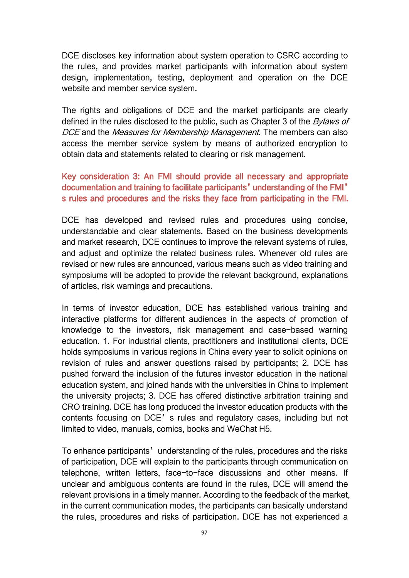DCE discloses key information about system operation to CSRC according to the rules, and provides market participants with information about system design, implementation, testing, deployment and operation on the DCE website and member service system.

The rights and obligations of DCE and the market participants are clearly defined in the rules disclosed to the public, such as Chapter 3 of the Bylaws of DCE and the Measures for Membership Management. The members can also access the member service system by means of authorized encryption to obtain data and statements related to clearing or risk management.

## Key consideration 3: An FMI should provide all necessary and appropriate documentation and training to facilitate participants'understanding of the FMI' s rules and procedures and the risks they face from participating in the FMI.

DCE has developed and revised rules and procedures using concise, understandable and clear statements. Based on the business developments and market research, DCE continues to improve the relevant systems of rules, and adjust and optimize the related business rules. Whenever old rules are revised or new rules are announced, various means such as video training and symposiums will be adopted to provide the relevant background, explanations of articles, risk warnings and precautions.

In terms of investor education, DCE has established various training and interactive platforms for different audiences in the aspects of promotion of knowledge to the investors, risk management and case-based warning education. 1. For industrial clients, practitioners and institutional clients, DCE holds symposiums in various regions in China every year to solicit opinions on revision of rules and answer questions raised by participants; 2. DCE has pushed forward the inclusion of the futures investor education in the national education system, and joined hands with the universities in China to implement the university projects; 3. DCE has offered distinctive arbitration training and CRO training. DCE has long produced the investor education products with the contents focusing on DCE's rules and regulatory cases, including but not limited to video, manuals, comics, books and WeChat H5.

To enhance participants' understanding of the rules, procedures and the risks of participation, DCE will explain to the participants through communication on telephone, written letters, face-to-face discussions and other means. If unclear and ambiguous contents are found in the rules, DCE will amend the relevant provisions in a timely manner. According to the feedback of the market, in the current communication modes, the participants can basically understand the rules, procedures and risks of participation. DCE has not experienced a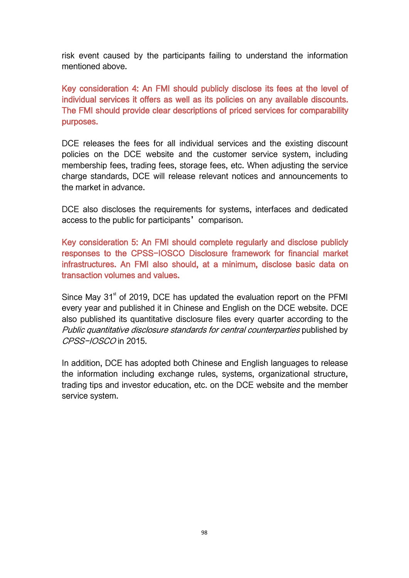risk event caused by the participants failing to understand the information mentioned above.

Key consideration 4: An FMI should publicly disclose its fees at the level of individual services it offers as well as its policies on any available discounts. The FMI should provide clear descriptions of priced services for comparability purposes.

DCE releases the fees for all individual services and the existing discount policies on the DCE website and the customer service system, including membership fees, trading fees, storage fees, etc. When adjusting the service charge standards, DCE will release relevant notices and announcements to the market in advance.

DCE also discloses the requirements for systems, interfaces and dedicated access to the public for participants' comparison.

Key consideration 5: An FMI should complete regularly and disclose publicly responses to the CPSS-IOSCO Disclosure framework for financial market infrastructures. An FMI also should, at a minimum, disclose basic data on transaction volumes and values.

Since May 31<sup>st</sup> of 2019, DCE has updated the evaluation report on the PFMI every year and published it in Chinese and English on the DCE website. DCE also published its quantitative disclosure files every quarter according to the Public quantitative disclosure standards for central counterparties published by CPSS-IOSCO in 2015.

In addition, DCE has adopted both Chinese and English languages to release the information including exchange rules, systems, organizational structure, trading tips and investor education, etc. on the DCE website and the member service system.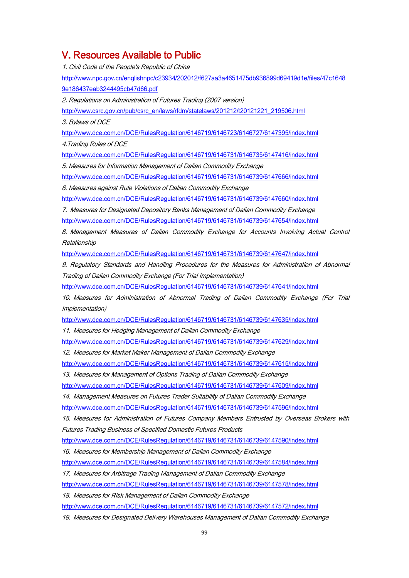## V. Resources Available to Public

1. Civil Code of the People's Republic of China [http://www.npc.gov.cn/englishnpc/c23934/202012/f627aa3a4651475db936899d69419d1e/files/47c1648](http://www.npc.gov.cn/englishnpc/c23934/202012/f627aa3a4651475db936899d69419d1e/files/47c16489e186437eab3244495cb47d66.pdf) 9e186437eab3244495cb47d66.pdf 2. Regulations on Administration of Futures Trading (2007 version) [http://www.csrc.gov.cn/pub/csrc\\_en/laws/rfdm/statelaws/201212/t20121221\\_219506.html](http://www.csrc.gov.cn/pub/csrc_en/laws/rfdm/statelaws/201212/t20121221_219506.html) 3. Bylaws of DCE <http://www.dce.com.cn/DCE/RulesRegulation/6146719/6146723/6146727/6147395/index.html> 4.Trading Rules of DCE <http://www.dce.com.cn/DCE/RulesRegulation/6146719/6146731/6146735/6147416/index.html> 5. Measures for Information Management of Dalian Commodity Exchange <http://www.dce.com.cn/DCE/RulesRegulation/6146719/6146731/6146739/6147666/index.html> 6. Measures against Rule Violations of Dalian Commodity Exchange <http://www.dce.com.cn/DCE/RulesRegulation/6146719/6146731/6146739/6147660/index.html> 7. Measures for Designated Depository Banks Management of Dalian Commodity Exchange <http://www.dce.com.cn/DCE/RulesRegulation/6146719/6146731/6146739/6147654/index.html> 8. Management Measures of Dalian Commodity Exchange for Accounts Involving Actual Control Relationship <http://www.dce.com.cn/DCE/RulesRegulation/6146719/6146731/6146739/6147647/index.html> 9. Regulatory Standards and Handling Procedures for the Measures for Administration of Abnormal Trading of Dalian Commodity Exchange (For Trial Implementation) <http://www.dce.com.cn/DCE/RulesRegulation/6146719/6146731/6146739/6147641/index.html> 10. Measures for Administration of Abnormal Trading of Dalian Commodity Exchange (For Trial Implementation) <http://www.dce.com.cn/DCE/RulesRegulation/6146719/6146731/6146739/6147635/index.html> 11. Measures for Hedging Management of Dalian Commodity Exchange <http://www.dce.com.cn/DCE/RulesRegulation/6146719/6146731/6146739/6147629/index.html> 12. Measures for Market Maker Management of Dalian Commodity Exchange <http://www.dce.com.cn/DCE/RulesRegulation/6146719/6146731/6146739/6147615/index.html> 13. Measures for Management of Options Trading of Dalian Commodity Exchange <http://www.dce.com.cn/DCE/RulesRegulation/6146719/6146731/6146739/6147609/index.html> 14. Management Measures on Futures Trader Suitability of Dalian Commodity Exchange <http://www.dce.com.cn/DCE/RulesRegulation/6146719/6146731/6146739/6147596/index.html> 15. Measures for Administration of Futures Company Members Entrusted by Overseas Brokers with Futures Trading Business of Specified Domestic Futures Products <http://www.dce.com.cn/DCE/RulesRegulation/6146719/6146731/6146739/6147590/index.html> 16. Measures for Membership Management of Dalian Commodity Exchange <http://www.dce.com.cn/DCE/RulesRegulation/6146719/6146731/6146739/6147584/index.html>

17. Measures for Arbitrage Trading Management of Dalian Commodity Exchange <http://www.dce.com.cn/DCE/RulesRegulation/6146719/6146731/6146739/6147578/index.html>

18. Measures for Risk Management of Dalian Commodity Exchange

<http://www.dce.com.cn/DCE/RulesRegulation/6146719/6146731/6146739/6147572/index.html>

19. Measures for Designated Delivery Warehouses Management of Dalian Commodity Exchange